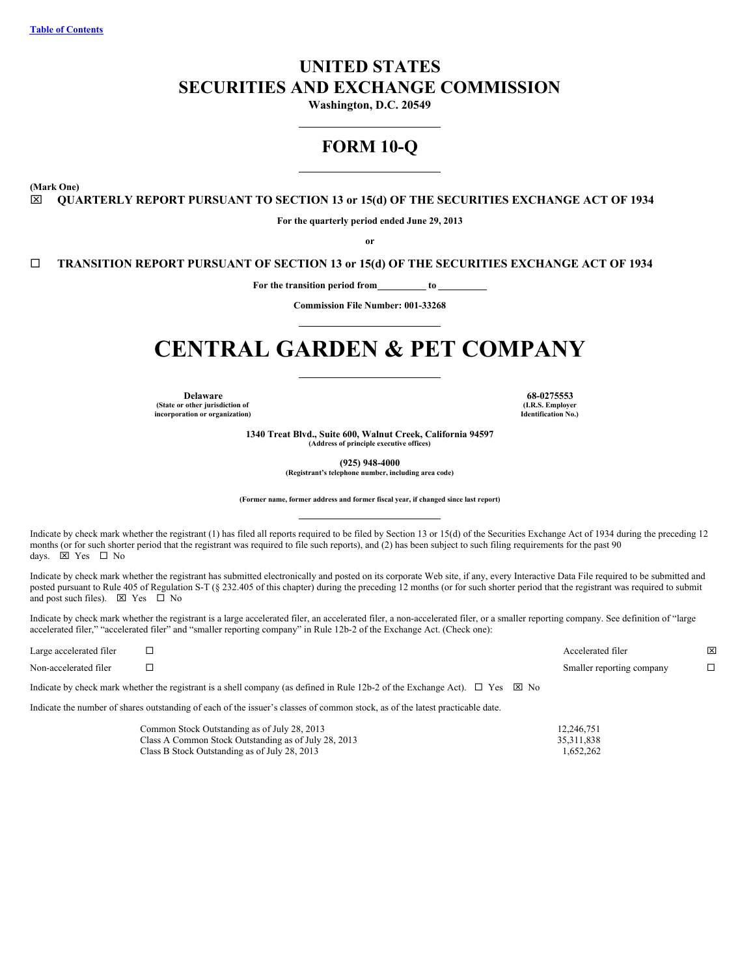# <span id="page-0-0"></span>**UNITED STATES SECURITIES AND EXCHANGE COMMISSION**

**Washington, D.C. 20549**

# **FORM 10-Q**

**(Mark One)**

x **QUARTERLY REPORT PURSUANT TO SECTION 13 or 15(d) OF THE SECURITIES EXCHANGE ACT OF 1934**

**For the quarterly period ended June 29, 2013**

**or**

¨ **TRANSITION REPORT PURSUANT OF SECTION 13 or 15(d) OF THE SECURITIES EXCHANGE ACT OF 1934**

**For the transition period from to**

**Commission File Number: 001-33268**

# **CENTRAL GARDEN & PET COMPANY**

**Delaware 68-0275553 (State or other jurisdiction of incorporation or organization)**

**(I.R.S. Employer Identification No.)**

**1340 Treat Blvd., Suite 600, Walnut Creek, California 94597 (Address of principle executive offices)**

**(925) 948-4000**

**(Registrant's telephone number, including area code)**

**(Former name, former address and former fiscal year, if changed since last report)**

Indicate by check mark whether the registrant (1) has filed all reports required to be filed by Section 13 or 15(d) of the Securities Exchange Act of 1934 during the preceding 12 months (or for such shorter period that the registrant was required to file such reports), and (2) has been subject to such filing requirements for the past 90 days.  $\boxtimes$  Yes  $\Box$  No

Indicate by check mark whether the registrant has submitted electronically and posted on its corporate Web site, if any, every Interactive Data File required to be submitted and posted pursuant to Rule 405 of Regulation S-T (§ 232.405 of this chapter) during the preceding 12 months (or for such shorter period that the registrant was required to submit and post such files).  $\boxtimes$  Yes  $\Box$  No

Indicate by check mark whether the registrant is a large accelerated filer, an accelerated filer, a non-accelerated filer, or a smaller reporting company. See definition of "large accelerated filer," "accelerated filer" and "smaller reporting company" in Rule 12b-2 of the Exchange Act. (Check one):

| Large accelerated filer |                                                                                                                                                                                                                                                                               | Accelerated filer         | X |
|-------------------------|-------------------------------------------------------------------------------------------------------------------------------------------------------------------------------------------------------------------------------------------------------------------------------|---------------------------|---|
| Non-accelerated filer   |                                                                                                                                                                                                                                                                               | Smaller reporting company |   |
|                         | Letter and the change of contraction of the contract of the component of the $\mathbf{0}$ . $\mathbf{0}$ and $\mathbf{0}$ and $\mathbf{0}$ and $\mathbf{0}$ and $\mathbf{0}$ and $\mathbf{0}$ and $\mathbf{0}$ and $\mathbf{0}$ and $\mathbf{0}$ and $\mathbf{0}$ and $\math$ |                           |   |

Indicate by check mark whether the registrant is a shell company (as defined in Rule 12b-2 of the Exchange Act).  $\Box$  Yes  $\boxtimes$  No

Indicate the number of shares outstanding of each of the issuer's classes of common stock, as of the latest practicable date.

| Common Stock Outstanding as of July 28, 2013         | 12.246.751 |
|------------------------------------------------------|------------|
| Class A Common Stock Outstanding as of July 28, 2013 | 35.311.838 |
| Class B Stock Outstanding as of July 28, 2013        | 1.652.262  |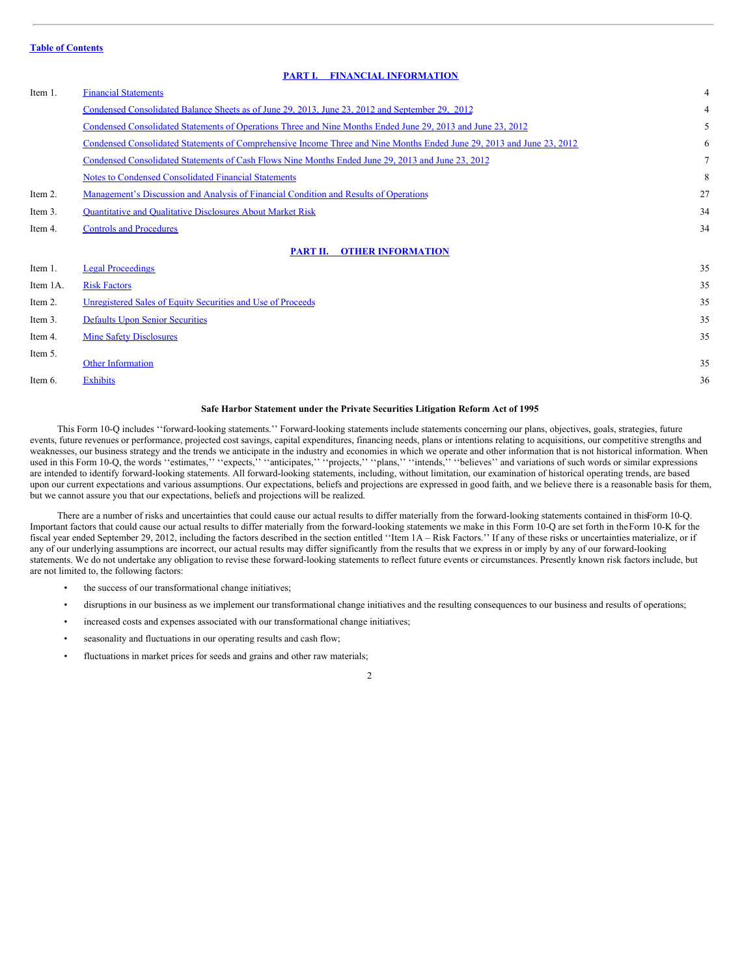# <span id="page-1-0"></span>**PART I. FINANCIAL [INFORMATION](#page-3-0)**

| Item 1.  | <b>Financial Statements</b>                                                                                           | $\overline{4}$ |
|----------|-----------------------------------------------------------------------------------------------------------------------|----------------|
|          | Condensed Consolidated Balance Sheets as of June 29, 2013, June 23, 2012 and September 29, 2012                       | 4              |
|          | Condensed Consolidated Statements of Operations Three and Nine Months Ended June 29, 2013 and June 23, 2012           | 5              |
|          | Condensed Consolidated Statements of Comprehensive Income Three and Nine Months Ended June 29, 2013 and June 23, 2012 | 6              |
|          | Condensed Consolidated Statements of Cash Flows Nine Months Ended June 29, 2013 and June 23, 2012                     | $\tau$         |
|          | <b>Notes to Condensed Consolidated Financial Statements</b>                                                           | 8              |
| Item 2.  | Management's Discussion and Analysis of Financial Condition and Results of Operations                                 | 27             |
| Item 3.  | <b>Quantitative and Qualitative Disclosures About Market Risk</b>                                                     | 34             |
| Item 4.  | <b>Controls and Procedures</b>                                                                                        | 34             |
|          | PART II. OTHER INFORMATION                                                                                            |                |
| Item 1.  | <b>Legal Proceedings</b>                                                                                              | 35             |
| Item 1A. | <b>Risk Factors</b>                                                                                                   | 35             |
| Item 2.  | Unregistered Sales of Equity Securities and Use of Proceeds                                                           | 35             |
| Item 3.  | <b>Defaults Upon Senior Securities</b>                                                                                | 35             |
| Item 4.  | <b>Mine Safety Disclosures</b>                                                                                        | 35             |
| Item 5.  | <b>Other Information</b>                                                                                              | 35             |
| Item 6.  | <b>Exhibits</b>                                                                                                       | 36             |
|          |                                                                                                                       |                |

#### **Safe Harbor Statement under the Private Securities Litigation Reform Act of 1995**

This Form 10-Q includes ''forward-looking statements.'' Forward-looking statements include statements concerning our plans, objectives, goals, strategies, future events, future revenues or performance, projected cost savings, capital expenditures, financing needs, plans or intentions relating to acquisitions, our competitive strengths and weaknesses, our business strategy and the trends we anticipate in the industry and economies in which we operate and other information that is not historical information. When used in this Form 10-Q, the words "estimates," "expects," "anticipates," "projects," "plans," "intends," "believes" and variations of such words or similar expressions are intended to identify forward-looking statements. All forward-looking statements, including, without limitation, our examination of historical operating trends, are based upon our current expectations and various assumptions. Our expectations, beliefs and projections are expressed in good faith, and we believe there is a reasonable basis for them, but we cannot assure you that our expectations, beliefs and projections will be realized.

There are a number of risks and uncertainties that could cause our actual results to differ materially from the forward-looking statements contained in thisForm 10-Q. Important factors that could cause our actual results to differ materially from the forward-looking statements we make in this Form 10-Q are set forth in theForm 10-K for the fiscal year ended September 29, 2012, including the factors described in the section entitled "Item 1A - Risk Factors." If any of these risks or uncertainties materialize, or if any of our underlying assumptions are incorrect, our actual results may differ significantly from the results that we express in or imply by any of our forward-looking statements. We do not undertake any obligation to revise these forward-looking statements to reflect future events or circumstances. Presently known risk factors include, but are not limited to, the following factors:

- the success of our transformational change initiatives;
- disruptions in our business as we implement our transformational change initiatives and the resulting consequences to our business and results of operations;
- increased costs and expenses associated with our transformational change initiatives;
- seasonality and fluctuations in our operating results and cash flow;
- fluctuations in market prices for seeds and grains and other raw materials;

#### $\overline{2}$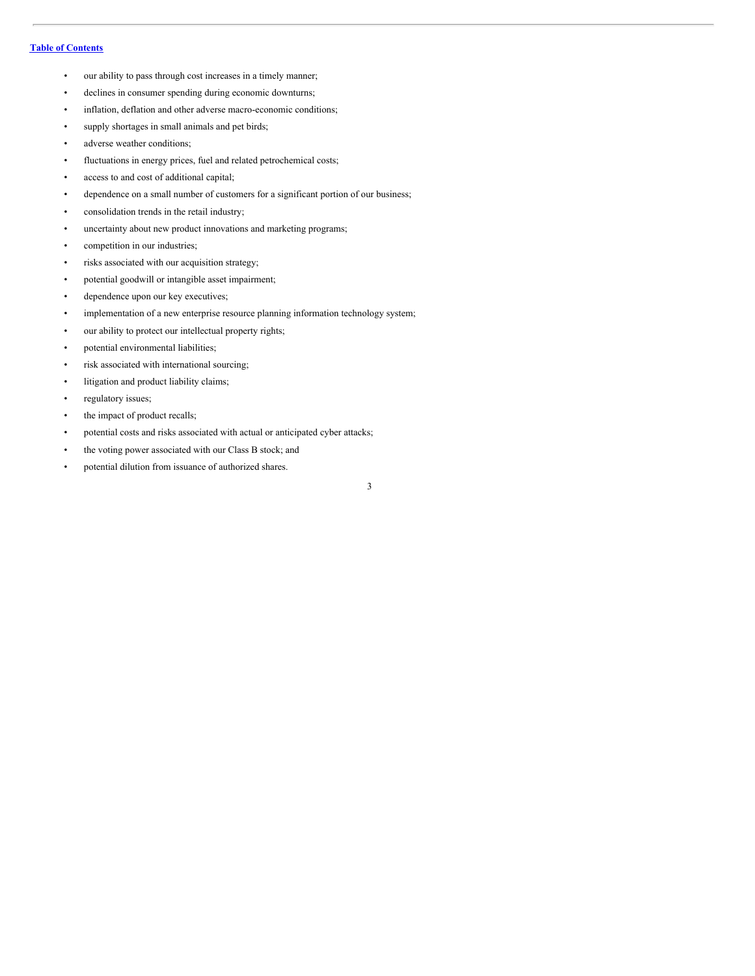- our ability to pass through cost increases in a timely manner;
- declines in consumer spending during economic downturns;
- inflation, deflation and other adverse macro-economic conditions;
- supply shortages in small animals and pet birds;
- adverse weather conditions;
- fluctuations in energy prices, fuel and related petrochemical costs;
- access to and cost of additional capital;
- dependence on a small number of customers for a significant portion of our business;
- consolidation trends in the retail industry;
- uncertainty about new product innovations and marketing programs;
- competition in our industries;
- risks associated with our acquisition strategy;
- potential goodwill or intangible asset impairment;
- dependence upon our key executives;
- implementation of a new enterprise resource planning information technology system;
- our ability to protect our intellectual property rights;
- potential environmental liabilities;
- risk associated with international sourcing;
- litigation and product liability claims;
- regulatory issues;
- the impact of product recalls;
- potential costs and risks associated with actual or anticipated cyber attacks;
- the voting power associated with our Class B stock; and
- potential dilution from issuance of authorized shares.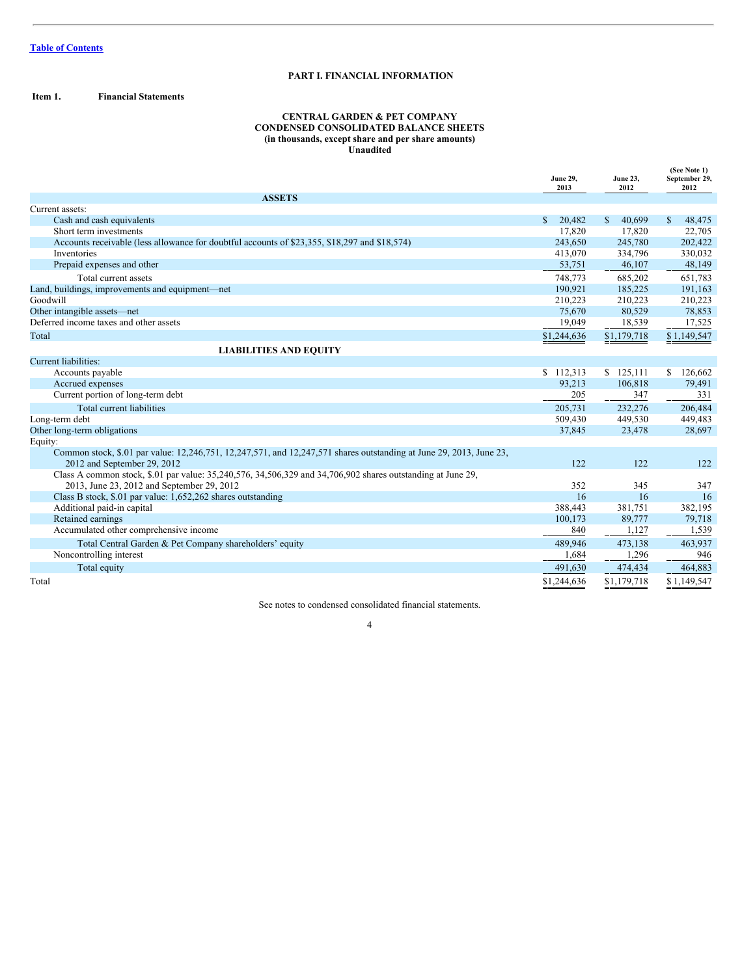# <span id="page-3-0"></span>**PART I. FINANCIAL INFORMATION**

<span id="page-3-1"></span>**Item 1. Financial Statements**

# **CENTRAL GARDEN & PET COMPANY CONDENSED CONSOLIDATED BALANCE SHEETS (in thousands, except share and per share amounts) Unaudited**

|                                                                                                                                                           | <b>June 29,</b><br>2013 | <b>June 23,</b><br>2012 | (See Note 1)<br>September 29,<br>2012 |
|-----------------------------------------------------------------------------------------------------------------------------------------------------------|-------------------------|-------------------------|---------------------------------------|
| <b>ASSETS</b>                                                                                                                                             |                         |                         |                                       |
| Current assets:                                                                                                                                           |                         |                         |                                       |
| Cash and cash equivalents                                                                                                                                 | 20.482<br>\$            | 40.699<br>$\mathbb{S}$  | $\mathbb{S}$<br>48,475                |
| Short term investments                                                                                                                                    | 17,820                  | 17,820                  | 22,705                                |
| Accounts receivable (less allowance for doubtful accounts of \$23,355, \$18,297 and \$18,574)                                                             | 243,650                 | 245,780                 | 202,422                               |
| Inventories                                                                                                                                               | 413,070                 | 334,796                 | 330,032                               |
| Prepaid expenses and other                                                                                                                                | 53,751                  | 46,107                  | 48,149                                |
| Total current assets                                                                                                                                      | 748,773                 | 685,202                 | 651,783                               |
| Land, buildings, improvements and equipment—net                                                                                                           | 190,921                 | 185,225                 | 191,163                               |
| Goodwill                                                                                                                                                  | 210,223                 | 210,223                 | 210,223                               |
| Other intangible assets-net                                                                                                                               | 75,670                  | 80,529                  | 78,853                                |
| Deferred income taxes and other assets                                                                                                                    | 19,049                  | 18,539                  | 17,525                                |
| Total                                                                                                                                                     | \$1,244,636             | \$1,179,718             | \$1,149,547                           |
| <b>LIABILITIES AND EQUITY</b>                                                                                                                             |                         |                         |                                       |
| <b>Current liabilities:</b>                                                                                                                               |                         |                         |                                       |
| Accounts payable                                                                                                                                          | \$112,313               | \$125,111               | 126,662<br>$\mathbb{S}$               |
| Accrued expenses                                                                                                                                          | 93,213                  | 106,818                 | 79,491                                |
| Current portion of long-term debt                                                                                                                         | 205                     | 347                     | 331                                   |
| Total current liabilities                                                                                                                                 | 205,731                 | 232,276                 | 206,484                               |
| Long-term debt                                                                                                                                            | 509,430                 | 449,530                 | 449,483                               |
| Other long-term obligations                                                                                                                               | 37,845                  | 23,478                  | 28,697                                |
| Equity:                                                                                                                                                   |                         |                         |                                       |
| Common stock, \$.01 par value: 12,246,751, 12,247,571, and 12,247,571 shares outstanding at June 29, 2013, June 23,                                       |                         |                         |                                       |
| 2012 and September 29, 2012                                                                                                                               | 122                     | 122                     | 122                                   |
| Class A common stock, \$.01 par value: 35,240,576, 34,506,329 and 34,706,902 shares outstanding at June 29,<br>2013, June 23, 2012 and September 29, 2012 | 352                     | 345                     | 347                                   |
| Class B stock, \$.01 par value: 1,652,262 shares outstanding                                                                                              | 16                      | 16                      | 16                                    |
| Additional paid-in capital                                                                                                                                | 388,443                 | 381,751                 | 382,195                               |
| Retained earnings                                                                                                                                         | 100,173                 | 89,777                  | 79,718                                |
| Accumulated other comprehensive income                                                                                                                    | 840                     | 1,127                   | 1,539                                 |
|                                                                                                                                                           |                         |                         |                                       |
| Total Central Garden & Pet Company shareholders' equity                                                                                                   | 489,946                 | 473,138                 | 463,937                               |
| Noncontrolling interest                                                                                                                                   | 1,684                   | 1,296                   | 946                                   |
| Total equity                                                                                                                                              | 491,630                 | 474,434                 | 464,883                               |
| Total                                                                                                                                                     | \$1,244,636             | \$1,179,718             | \$1,149,547                           |

See notes to condensed consolidated financial statements.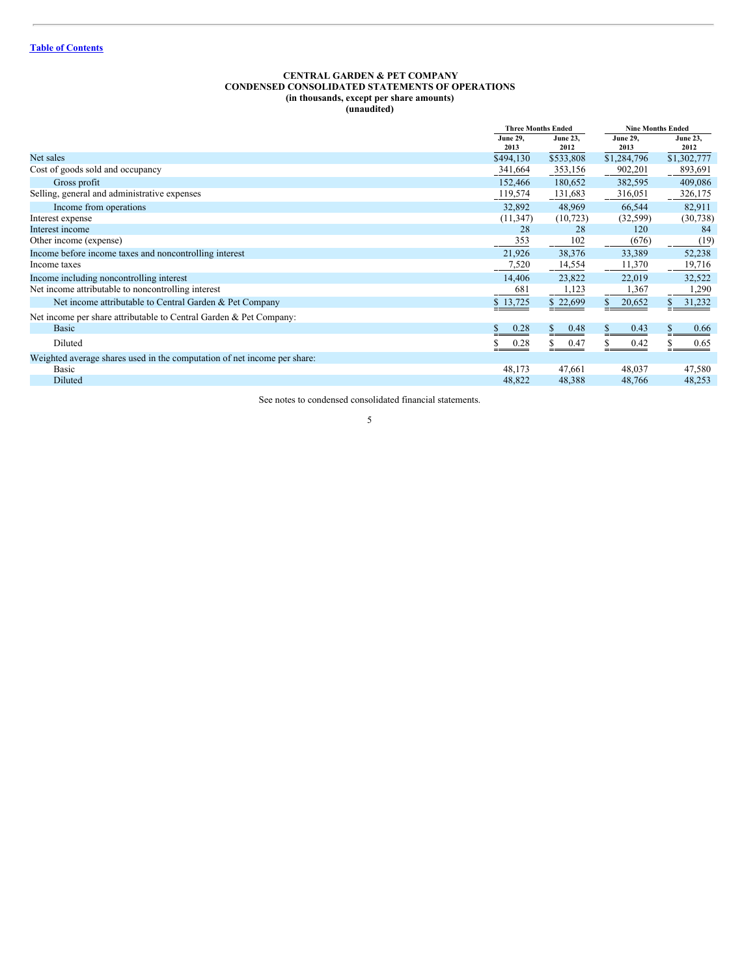#### <span id="page-4-0"></span>**CENTRAL GARDEN & PET COMPANY CONDENSED CONSOLIDATED STATEMENTS OF OPERATIONS (in thousands, except per share amounts) (unaudited)**

|                                                                          |                  | <b>Three Months Ended</b> |                         | <b>Nine Months Ended</b> |  |  |
|--------------------------------------------------------------------------|------------------|---------------------------|-------------------------|--------------------------|--|--|
|                                                                          | June 29.<br>2013 | <b>June 23.</b><br>2012   | <b>June 29,</b><br>2013 | <b>June 23,</b><br>2012  |  |  |
| Net sales                                                                | \$494,130        | \$533,808                 | \$1,284,796             | \$1,302,777              |  |  |
| Cost of goods sold and occupancy                                         | 341,664          | 353,156                   | 902,201                 | 893,691                  |  |  |
| Gross profit                                                             | 152,466          | 180,652                   | 382,595                 | 409,086                  |  |  |
| Selling, general and administrative expenses                             | 119,574          | 131,683                   | 316,051                 | 326,175                  |  |  |
| Income from operations                                                   | 32,892           | 48,969                    | 66,544                  | 82,911                   |  |  |
| Interest expense                                                         | (11, 347)        | (10, 723)                 | (32, 599)               | (30, 738)                |  |  |
| Interest income                                                          | 28               | 28                        | 120                     | 84                       |  |  |
| Other income (expense)                                                   | 353              | 102                       | (676)                   | (19)                     |  |  |
| Income before income taxes and noncontrolling interest                   | 21,926           | 38,376                    | 33,389                  | 52,238                   |  |  |
| Income taxes                                                             | 7,520            | 14,554                    | 11,370                  | 19,716                   |  |  |
| Income including noncontrolling interest                                 | 14,406           | 23,822                    | 22,019                  | 32,522                   |  |  |
| Net income attributable to noncontrolling interest                       | 681              | 1,123                     | 1,367                   | 1,290                    |  |  |
| Net income attributable to Central Garden & Pet Company                  | \$13,725         | \$22,699                  | 20,652<br>S.            | 31,232                   |  |  |
| Net income per share attributable to Central Garden & Pet Company:       |                  |                           |                         |                          |  |  |
| <b>Basic</b>                                                             | 0.28             | 0.48<br>S.                | 0.43                    | 0.66                     |  |  |
| Diluted                                                                  | 0.28             | 0.47                      | 0.42                    | 0.65                     |  |  |
| Weighted average shares used in the computation of net income per share: |                  |                           |                         |                          |  |  |
| Basic                                                                    | 48,173           | 47,661                    | 48,037                  | 47,580                   |  |  |
| Diluted                                                                  | 48,822           | 48,388                    | 48,766                  | 48,253                   |  |  |

See notes to condensed consolidated financial statements.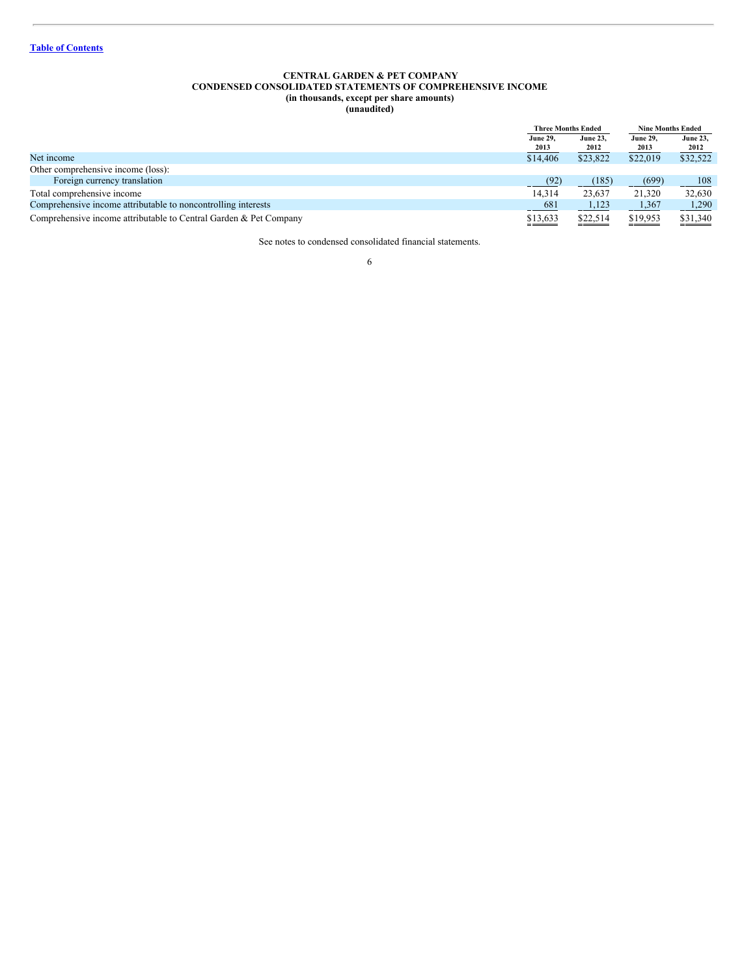#### <span id="page-5-0"></span>**CENTRAL GARDEN & PET COMPANY CONDENSED CONSOLIDATED STATEMENTS OF COMPREHENSIVE INCOME (in thousands, except per share amounts) (unaudited)**

|                                                                   | <b>Three Months Ended</b> |                         | <b>Nine Months Ended</b> |                         |
|-------------------------------------------------------------------|---------------------------|-------------------------|--------------------------|-------------------------|
|                                                                   | <b>June 29.</b><br>2013   | <b>June 23,</b><br>2012 | <b>June 29,</b><br>2013  | <b>June 23,</b><br>2012 |
| Net income                                                        | \$14,406                  | \$23,822                | \$22,019                 | \$32,522                |
| Other comprehensive income (loss):                                |                           |                         |                          |                         |
| Foreign currency translation                                      | (92)                      | (185)                   | (699)                    | 108                     |
| Total comprehensive income                                        | 14.314                    | 23.637                  | 21,320                   | 32,630                  |
| Comprehensive income attributable to noncontrolling interests     | $-681$                    | 1,123                   | 1,367                    | 1,290                   |
| Comprehensive income attributable to Central Garden & Pet Company | \$13,633                  | \$22,514                | \$19,953                 | \$31,340                |

See notes to condensed consolidated financial statements.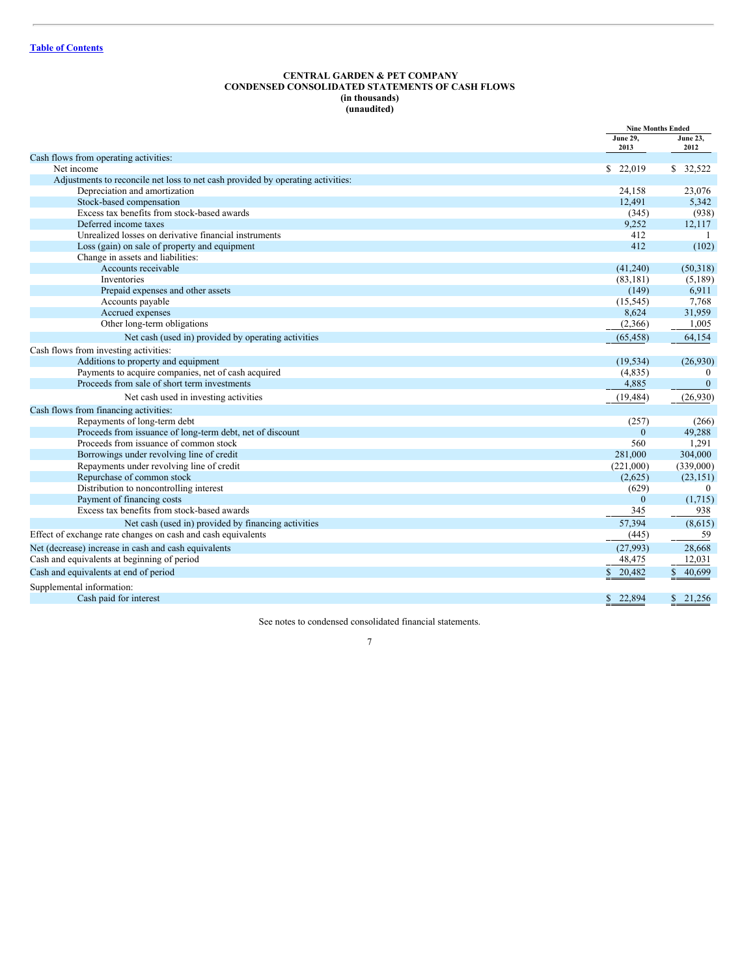## <span id="page-6-0"></span>**CENTRAL GARDEN & PET COMPANY CONDENSED CONSOLIDATED STATEMENTS OF CASH FLOWS (in thousands) (unaudited)**

|                                                                                 |                         | <b>Nine Months Ended</b> |
|---------------------------------------------------------------------------------|-------------------------|--------------------------|
|                                                                                 | <b>June 29,</b><br>2013 | <b>June 23,</b><br>2012  |
| Cash flows from operating activities:                                           |                         |                          |
| Net income                                                                      | \$ 22,019               | \$ 32,522                |
| Adjustments to reconcile net loss to net cash provided by operating activities: |                         |                          |
| Depreciation and amortization                                                   | 24,158                  | 23,076                   |
| Stock-based compensation                                                        | 12,491                  | 5,342                    |
| Excess tax benefits from stock-based awards                                     | (345)                   | (938)                    |
| Deferred income taxes                                                           | 9,252                   | 12,117                   |
| Unrealized losses on derivative financial instruments                           | 412                     |                          |
| Loss (gain) on sale of property and equipment                                   | 412                     | (102)                    |
| Change in assets and liabilities:                                               |                         |                          |
| Accounts receivable                                                             | (41,240)                | (50,318)                 |
| <b>Inventories</b>                                                              | (83, 181)               | (5,189)                  |
| Prepaid expenses and other assets                                               | (149)                   | 6,911                    |
| Accounts payable                                                                | (15, 545)               | 7,768                    |
| Accrued expenses                                                                | 8,624                   | 31,959                   |
| Other long-term obligations                                                     | (2,366)                 | 1,005                    |
| Net cash (used in) provided by operating activities                             | (65, 458)               | 64,154                   |
| Cash flows from investing activities:                                           |                         |                          |
| Additions to property and equipment                                             | (19, 534)               | (26,930)                 |
| Payments to acquire companies, net of cash acquired                             | (4,835)                 | $\mathbf{0}$             |
| Proceeds from sale of short term investments                                    | 4,885                   | $\mathbf{0}$             |
| Net cash used in investing activities                                           | (19, 484)               | (26,930)                 |
| Cash flows from financing activities:                                           |                         |                          |
| Repayments of long-term debt                                                    | (257)                   | (266)                    |
| Proceeds from issuance of long-term debt, net of discount                       | $\Omega$                | 49,288                   |
| Proceeds from issuance of common stock                                          | 560                     | 1,291                    |
| Borrowings under revolving line of credit                                       | 281,000                 | 304,000                  |
| Repayments under revolving line of credit                                       | (221,000)               | (339,000)                |
| Repurchase of common stock                                                      | (2,625)                 | (23, 151)                |
| Distribution to noncontrolling interest                                         | (629)                   | $\mathbf{0}$             |
| Payment of financing costs                                                      | $\Omega$                | (1,715)                  |
| Excess tax benefits from stock-based awards                                     | 345                     | 938                      |
| Net cash (used in) provided by financing activities                             | 57,394                  | (8,615)                  |
| Effect of exchange rate changes on cash and cash equivalents                    | (445)                   | 59                       |
| Net (decrease) increase in cash and cash equivalents                            | (27,993)                | 28,668                   |
| Cash and equivalents at beginning of period                                     | 48,475                  | 12,031                   |
| Cash and equivalents at end of period                                           | 20,482                  | 40,699                   |
| Supplemental information:                                                       |                         |                          |
| Cash paid for interest                                                          | 22.894<br>S.            | \$21,256                 |

See notes to condensed consolidated financial statements.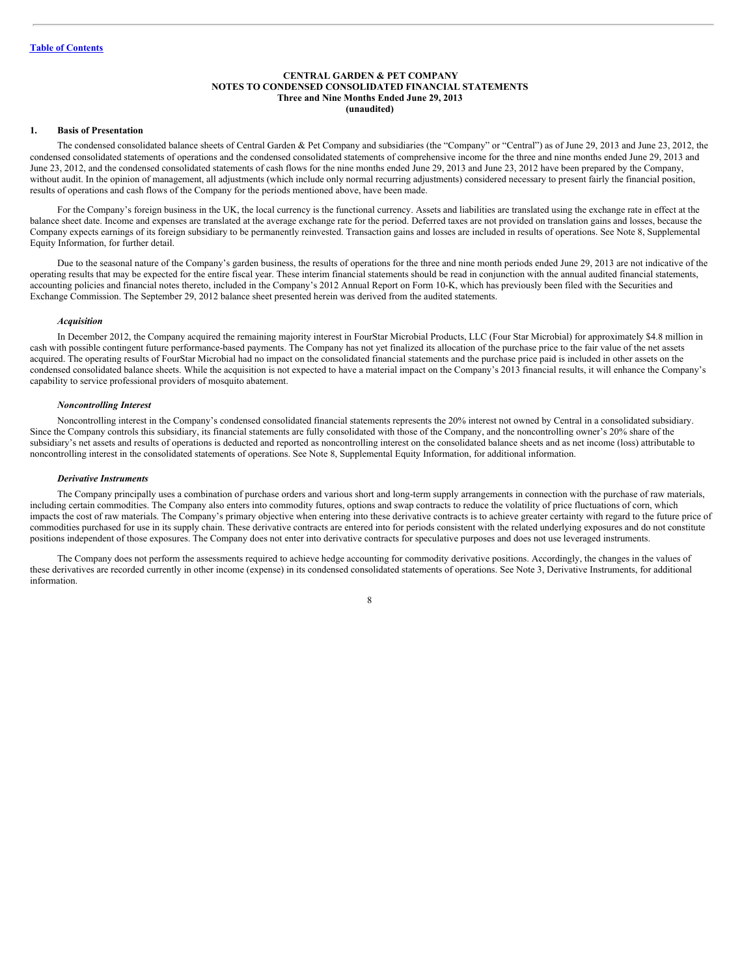## <span id="page-7-0"></span>**CENTRAL GARDEN & PET COMPANY NOTES TO CONDENSED CONSOLIDATED FINANCIAL STATEMENTS Three and Nine Months Ended June 29, 2013 (unaudited)**

#### **1. Basis of Presentation**

The condensed consolidated balance sheets of Central Garden & Pet Company and subsidiaries (the "Company" or "Central") as of June 29, 2013 and June 23, 2012, the condensed consolidated statements of operations and the condensed consolidated statements of comprehensive income for the three and nine months ended June 29, 2013 and June 23, 2012, and the condensed consolidated statements of cash flows for the nine months ended June 29, 2013 and June 23, 2012 have been prepared by the Company, without audit. In the opinion of management, all adjustments (which include only normal recurring adjustments) considered necessary to present fairly the financial position, results of operations and cash flows of the Company for the periods mentioned above, have been made.

For the Company's foreign business in the UK, the local currency is the functional currency. Assets and liabilities are translated using the exchange rate in effect at the balance sheet date. Income and expenses are translated at the average exchange rate for the period. Deferred taxes are not provided on translation gains and losses, because the Company expects earnings of its foreign subsidiary to be permanently reinvested. Transaction gains and losses are included in results of operations. See Note 8, Supplemental Equity Information, for further detail.

Due to the seasonal nature of the Company's garden business, the results of operations for the three and nine month periods ended June 29, 2013 are not indicative of the operating results that may be expected for the entire fiscal year. These interim financial statements should be read in conjunction with the annual audited financial statements, accounting policies and financial notes thereto, included in the Company's 2012 Annual Report on Form 10-K, which has previously been filed with the Securities and Exchange Commission. The September 29, 2012 balance sheet presented herein was derived from the audited statements.

#### *Acquisition*

In December 2012, the Company acquired the remaining majority interest in FourStar Microbial Products, LLC (Four Star Microbial) for approximately \$4.8 million in cash with possible contingent future performance-based payments. The Company has not yet finalized its allocation of the purchase price to the fair value of the net assets acquired. The operating results of FourStar Microbial had no impact on the consolidated financial statements and the purchase price paid is included in other assets on the condensed consolidated balance sheets. While the acquisition is not expected to have a material impact on the Company's 2013 financial results, it will enhance the Company's capability to service professional providers of mosquito abatement.

#### *Noncontrolling Interest*

Noncontrolling interest in the Company's condensed consolidated financial statements represents the 20% interest not owned by Central in a consolidated subsidiary. Since the Company controls this subsidiary, its financial statements are fully consolidated with those of the Company, and the noncontrolling owner's 20% share of the subsidiary's net assets and results of operations is deducted and reported as noncontrolling interest on the consolidated balance sheets and as net income (loss) attributable to noncontrolling interest in the consolidated statements of operations. See Note 8, Supplemental Equity Information, for additional information.

#### *Derivative Instruments*

The Company principally uses a combination of purchase orders and various short and long-term supply arrangements in connection with the purchase of raw materials, including certain commodities. The Company also enters into commodity futures, options and swap contracts to reduce the volatility of price fluctuations of corn, which impacts the cost of raw materials. The Company's primary objective when entering into these derivative contracts is to achieve greater certainty with regard to the future price of commodities purchased for use in its supply chain. These derivative contracts are entered into for periods consistent with the related underlying exposures and do not constitute positions independent of those exposures. The Company does not enter into derivative contracts for speculative purposes and does not use leveraged instruments.

The Company does not perform the assessments required to achieve hedge accounting for commodity derivative positions. Accordingly, the changes in the values of these derivatives are recorded currently in other income (expense) in its condensed consolidated statements of operations. See Note 3, Derivative Instruments, for additional information.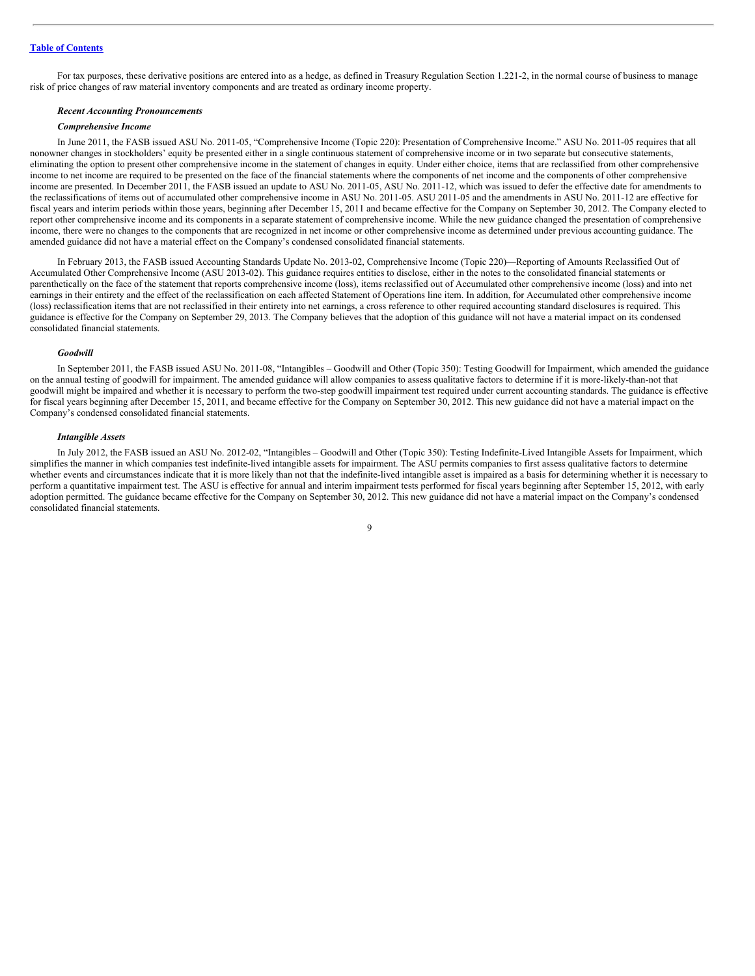For tax purposes, these derivative positions are entered into as a hedge, as defined in Treasury Regulation Section 1.221-2, in the normal course of business to manage risk of price changes of raw material inventory components and are treated as ordinary income property.

#### *Recent Accounting Pronouncements*

#### *Comprehensive Income*

In June 2011, the FASB issued ASU No. 2011-05, "Comprehensive Income (Topic 220): Presentation of Comprehensive Income." ASU No. 2011-05 requires that all nonowner changes in stockholders' equity be presented either in a single continuous statement of comprehensive income or in two separate but consecutive statements, eliminating the option to present other comprehensive income in the statement of changes in equity. Under either choice, items that are reclassified from other comprehensive income to net income are required to be presented on the face of the financial statements where the components of net income and the components of other comprehensive income are presented. In December 2011, the FASB issued an update to ASU No. 2011-05, ASU No. 2011-12, which was issued to defer the effective date for amendments to the reclassifications of items out of accumulated other comprehensive income in ASU No. 2011-05. ASU 2011-05 and the amendments in ASU No. 2011-12 are effective for fiscal years and interim periods within those years, beginning after December 15, 2011 and became effective for the Company on September 30, 2012. The Company elected to report other comprehensive income and its components in a separate statement of comprehensive income. While the new guidance changed the presentation of comprehensive income, there were no changes to the components that are recognized in net income or other comprehensive income as determined under previous accounting guidance. The amended guidance did not have a material effect on the Company's condensed consolidated financial statements.

In February 2013, the FASB issued Accounting Standards Update No. 2013-02, Comprehensive Income (Topic 220)—Reporting of Amounts Reclassified Out of Accumulated Other Comprehensive Income (ASU 2013-02). This guidance requires entities to disclose, either in the notes to the consolidated financial statements or parenthetically on the face of the statement that reports comprehensive income (loss), items reclassified out of Accumulated other comprehensive income (loss) and into net earnings in their entirety and the effect of the reclassification on each affected Statement of Operations line item. In addition, for Accumulated other comprehensive income (loss) reclassification items that are not reclassified in their entirety into net earnings, a cross reference to other required accounting standard disclosures is required. This guidance is effective for the Company on September 29, 2013. The Company believes that the adoption of this guidance will not have a material impact on its condensed consolidated financial statements.

#### *Goodwill*

In September 2011, the FASB issued ASU No. 2011-08, "Intangibles – Goodwill and Other (Topic 350): Testing Goodwill for Impairment, which amended the guidance on the annual testing of goodwill for impairment. The amended guidance will allow companies to assess qualitative factors to determine if it is more-likely-than-not that goodwill might be impaired and whether it is necessary to perform the two-step goodwill impairment test required under current accounting standards. The guidance is effective for fiscal years beginning after December 15, 2011, and became effective for the Company on September 30, 2012. This new guidance did not have a material impact on the Company's condensed consolidated financial statements.

#### *Intangible Assets*

In July 2012, the FASB issued an ASU No. 2012-02, "Intangibles – Goodwill and Other (Topic 350): Testing Indefinite-Lived Intangible Assets for Impairment, which simplifies the manner in which companies test indefinite-lived intangible assets for impairment. The ASU permits companies to first assess qualitative factors to determine whether events and circumstances indicate that it is more likely than not that the indefinite-lived intangible asset is impaired as a basis for determining whether it is necessary to perform a quantitative impairment test. The ASU is effective for annual and interim impairment tests performed for fiscal years beginning after September 15, 2012, with early adoption permitted. The guidance became effective for the Company on September 30, 2012. This new guidance did not have a material impact on the Company's condensed consolidated financial statements.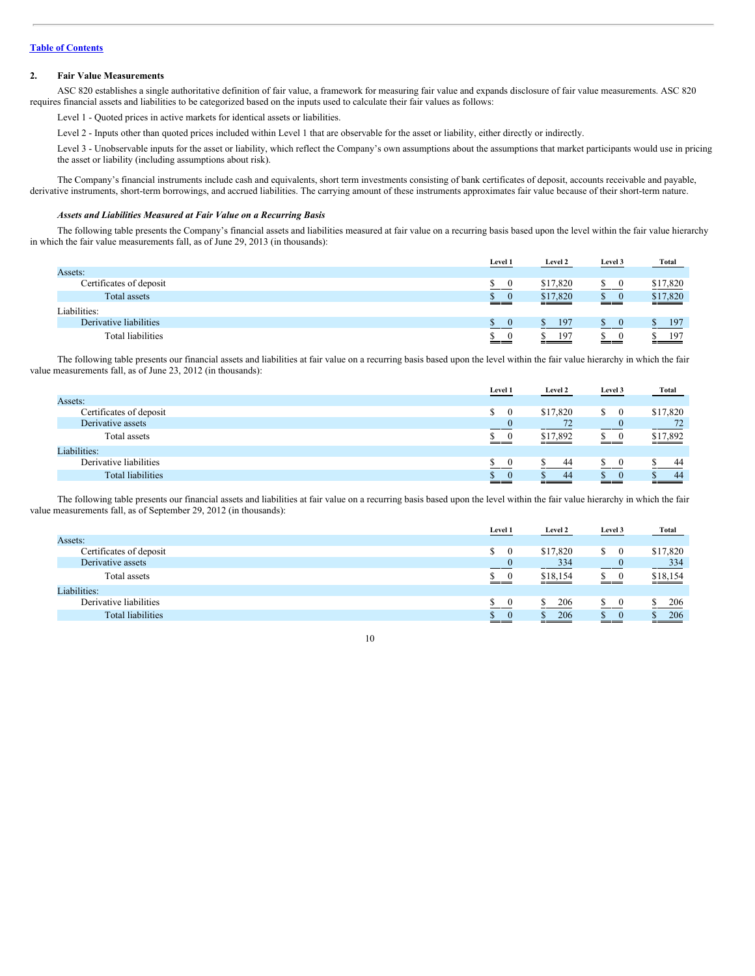# **2. Fair Value Measurements**

ASC 820 establishes a single authoritative definition of fair value, a framework for measuring fair value and expands disclosure of fair value measurements. ASC 820 requires financial assets and liabilities to be categorized based on the inputs used to calculate their fair values as follows:

Level 1 - Quoted prices in active markets for identical assets or liabilities.

Level 2 - Inputs other than quoted prices included within Level 1 that are observable for the asset or liability, either directly or indirectly.

Level 3 - Unobservable inputs for the asset or liability, which reflect the Company's own assumptions about the assumptions that market participants would use in pricing the asset or liability (including assumptions about risk).

The Company's financial instruments include cash and equivalents, short term investments consisting of bank certificates of deposit, accounts receivable and payable, derivative instruments, short-term borrowings, and accrued liabilities. The carrying amount of these instruments approximates fair value because of their short-term nature.

# *Assets and Liabilities Measured at Fair Value on a Recurring Basis*

The following table presents the Company's financial assets and liabilities measured at fair value on a recurring basis based upon the level within the fair value hierarchy in which the fair value measurements fall, as of June 29, 2013 (in thousands):

|                          | Level 1                   | <b>Level 2</b> | Level 3  | <b>Total</b> |
|--------------------------|---------------------------|----------------|----------|--------------|
| Assets:                  |                           |                |          |              |
| Certificates of deposit  | S.<br>$\overline{0}$      | \$17,820       | S.       | \$17,820     |
| Total assets             | $\delta$ 0<br><u>i di</u> | \$17,820       | S.<br>__ | \$17,820     |
| Liabilities:             |                           |                |          |              |
| Derivative liabilities   | $\mathbb{S} \quad 0$      | 197            |          | 197          |
| <b>Total liabilities</b> | $\theta$<br>___           | 197            |          | 197          |

The following table presents our financial assets and liabilities at fair value on a recurring basis based upon the level within the fair value hierarchy in which the fair value measurements fall, as of June 23, 2012 (in thousands):

|                         | Level 1        | Level 2  | Level 3        | <b>Total</b> |
|-------------------------|----------------|----------|----------------|--------------|
| Assets:                 |                |          |                |              |
| Certificates of deposit | $\mathbb{S}$   | \$17,820 | S.<br>$\bf{0}$ | \$17,820     |
| Derivative assets       |                | 72       | $\theta$       | 72           |
| Total assets            |                | \$17,892 | S.<br>$\bf{0}$ | \$17,892     |
| Liabilities:            |                |          |                |              |
| Derivative liabilities  |                | 44       |                | 44           |
| Total liabilities       | $\theta$<br>__ | -44      | $\Omega$       | 44           |

The following table presents our financial assets and liabilities at fair value on a recurring basis based upon the level within the fair value hierarchy in which the fair value measurements fall, as of September 29, 2012 (in thousands):

|                          | Level 1 | Level 2  | Level 3  | <b>Total</b>    |
|--------------------------|---------|----------|----------|-----------------|
| Assets:                  |         |          |          |                 |
| Certificates of deposit  | S.      | \$17,820 | S.       | \$17,820        |
| Derivative assets        |         | 334      |          | $\frac{334}{ }$ |
| Total assets             | S.      | \$18,154 | ___      | \$18,154        |
| Liabilities:             |         |          |          |                 |
| Derivative liabilities   | S.      | 206      |          | 206             |
| <b>Total liabilities</b> | S.      | 206      | $\theta$ | 206             |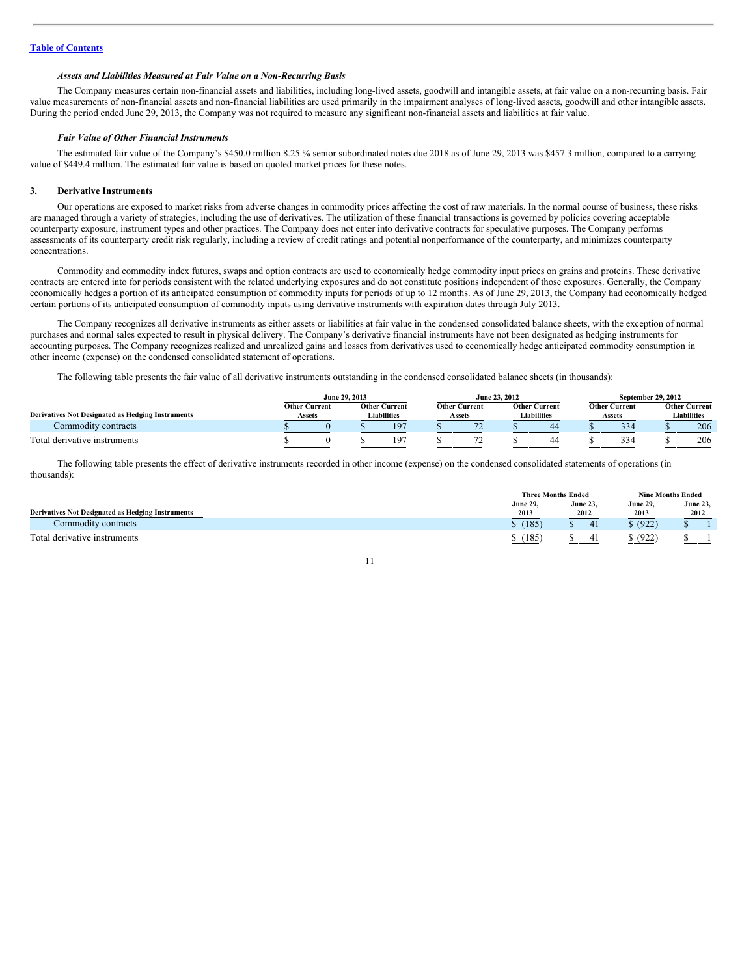# *Assets and Liabilities Measured at Fair Value on a Non-Recurring Basis*

The Company measures certain non-financial assets and liabilities, including long-lived assets, goodwill and intangible assets, at fair value on a non-recurring basis. Fair value measurements of non-financial assets and non-financial liabilities are used primarily in the impairment analyses of long-lived assets, goodwill and other intangible assets. During the period ended June 29, 2013, the Company was not required to measure any significant non-financial assets and liabilities at fair value.

#### *Fair Value of Other Financial Instruments*

The estimated fair value of the Company's \$450.0 million 8.25 % senior subordinated notes due 2018 as of June 29, 2013 was \$457.3 million, compared to a carrying value of \$449.4 million. The estimated fair value is based on quoted market prices for these notes.

#### **3. Derivative Instruments**

Our operations are exposed to market risks from adverse changes in commodity prices affecting the cost of raw materials. In the normal course of business, these risks are managed through a variety of strategies, including the use of derivatives. The utilization of these financial transactions is governed by policies covering acceptable counterparty exposure, instrument types and other practices. The Company does not enter into derivative contracts for speculative purposes. The Company performs assessments of its counterparty credit risk regularly, including a review of credit ratings and potential nonperformance of the counterparty, and minimizes counterparty concentrations.

Commodity and commodity index futures, swaps and option contracts are used to economically hedge commodity input prices on grains and proteins. These derivative contracts are entered into for periods consistent with the related underlying exposures and do not constitute positions independent of those exposures. Generally, the Company economically hedges a portion of its anticipated consumption of commodity inputs for periods of up to 12 months. As of June 29, 2013, the Company had economically hedged certain portions of its anticipated consumption of commodity inputs using derivative instruments with expiration dates through July 2013.

The Company recognizes all derivative instruments as either assets or liabilities at fair value in the condensed consolidated balance sheets, with the exception of normal purchases and normal sales expected to result in physical delivery. The Company's derivative financial instruments have not been designated as hedging instruments for accounting purposes. The Company recognizes realized and unrealized gains and losses from derivatives used to economically hedge anticipated commodity consumption in other income (expense) on the condensed consolidated statement of operations.

The following table presents the fair value of all derivative instruments outstanding in the condensed consolidated balance sheets (in thousands):

|                                                          | June 29, 2013                  |  | June 23, 2012                              |                                |  | September 29, 2012                         |  |                                |  |                                            |
|----------------------------------------------------------|--------------------------------|--|--------------------------------------------|--------------------------------|--|--------------------------------------------|--|--------------------------------|--|--------------------------------------------|
| <b>Derivatives Not Designated as Hedging Instruments</b> | <b>Other Current</b><br>Assets |  | <b>Other Current</b><br><b>Liabilities</b> | <b>Other Current</b><br>Assets |  | <b>Other Current</b><br><b>Liabilities</b> |  | <b>Other Current</b><br>Assets |  | <b>Other Current</b><br><b>Liabilities</b> |
| Commodity contracts                                      |                                |  | 197                                        |                                |  | 44                                         |  | 334                            |  | 206                                        |
| Total derivative instruments                             |                                |  | 197                                        |                                |  | 44                                         |  | 334                            |  | 206                                        |

The following table presents the effect of derivative instruments recorded in other income (expense) on the condensed consolidated statements of operations (in thousands)

|                                                          | <b>Three Months Ended</b> |                 | <b>Nine Months Ended</b> |                 |  |
|----------------------------------------------------------|---------------------------|-----------------|--------------------------|-----------------|--|
|                                                          | June 29.                  | <b>June 23.</b> | <b>June 29,</b>          | <b>June 23,</b> |  |
| <b>Derivatives Not Designated as Hedging Instruments</b> | 2013                      | 2012            | 2013                     | 2012            |  |
| Commodity contracts                                      | (185)                     | 41              | (922)                    |                 |  |
| Total derivative instruments                             | (185)<br>____             | 41<br>____      | (922)                    |                 |  |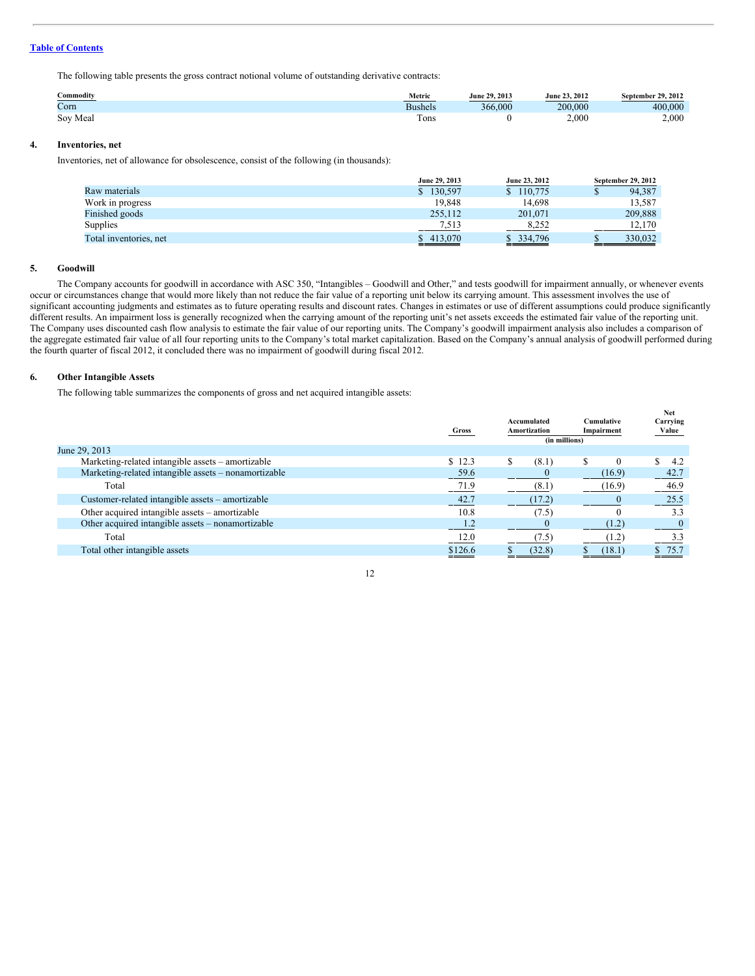The following table presents the gross contract notional volume of outstanding derivative contracts:

| Commodity | Metric         | June 29, 2013 | June 23, 2012 | September 29, 2012 |
|-----------|----------------|---------------|---------------|--------------------|
| Corn      | <b>Bushels</b> | 366,000       | 200,000       | 400,000            |
| Soy Meal  | rons           |               | 2,000         | 2.000              |

# **4. Inventories, net**

Inventories, net of allowance for obsolescence, consist of the following (in thousands):

|                        | June 29, 2013 | June 23, 2012 | September 29, 2012 |
|------------------------|---------------|---------------|--------------------|
| Raw materials          | \$130,597     | \$110,775     | 94,387<br>۰υ       |
| Work in progress       | 19.848        | 14.698        | 13,587             |
| Finished goods         | 255.112       | 201,071       | 209,888            |
| Supplies               | 7,513         | 8.252         | 12.170             |
| Total inventories, net | \$413,070     | \$ 334,796    | 330.032            |

#### **5. Goodwill**

The Company accounts for goodwill in accordance with ASC 350, "Intangibles – Goodwill and Other," and tests goodwill for impairment annually, or whenever events occur or circumstances change that would more likely than not reduce the fair value of a reporting unit below its carrying amount. This assessment involves the use of significant accounting judgments and estimates as to future operating results and discount rates. Changes in estimates or use of different assumptions could produce significantly different results. An impairment loss is generally recognized when the carrying amount of the reporting unit's net assets exceeds the estimated fair value of the reporting unit. The Company uses discounted cash flow analysis to estimate the fair value of our reporting units. The Company's goodwill impairment analysis also includes a comparison of the aggregate estimated fair value of all four reporting units to the Company's total market capitalization. Based on the Company's annual analysis of goodwill performed during the fourth quarter of fiscal 2012, it concluded there was no impairment of goodwill during fiscal 2012.

# **6. Other Intangible Assets**

The following table summarizes the components of gross and net acquired intangible assets:

|                                                      | Gross   |   | Accumulated<br>Amortization<br>(in millions) | Cumulative<br>Impairment | <b>Net</b><br>Carrying<br>Value |
|------------------------------------------------------|---------|---|----------------------------------------------|--------------------------|---------------------------------|
| June 29, 2013                                        |         |   |                                              |                          |                                 |
| Marketing-related intangible assets – amortizable    | \$12.3  | S | (8.1)                                        | $\Omega$                 | \$.<br>4.2                      |
| Marketing-related intangible assets – nonamortizable | 59.6    |   |                                              | (16.9)                   | 42.7                            |
| Total                                                | 71.9    |   | (8.1)                                        | (16.9)                   | 46.9                            |
| Customer-related intangible assets – amortizable     | 42.7    |   | (17.2)                                       |                          | 25.5                            |
| Other acquired intangible assets – amortizable       | 10.8    |   | (7.5)                                        |                          | 3.3                             |
| Other acquired intangible assets – nonamortizable    | 1.2     |   |                                              | (1.2)                    |                                 |
| Total                                                | 12.0    |   | (7.5)                                        | (1.2)                    | 3.3                             |
| Total other intangible assets                        | \$126.6 |   | (32.8)                                       | (18.1)                   | 75.7                            |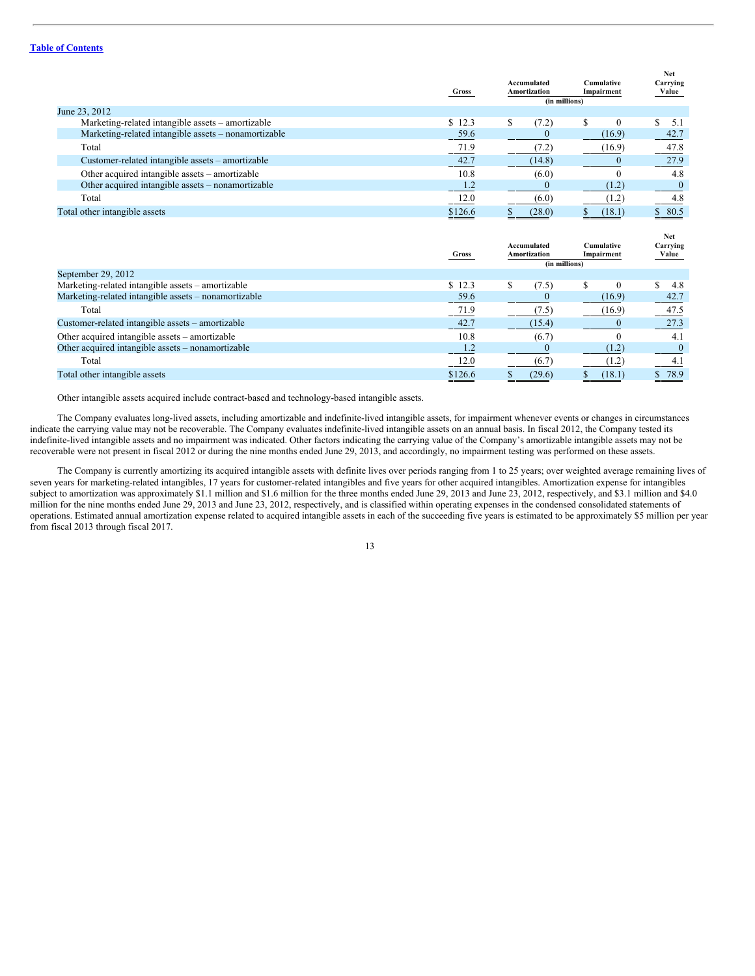|                                                      | Gross   | Accumulated<br><b>Amortization</b><br>(in millions) | <b>Cumulative</b><br>Impairment | Net<br>Carrying<br>Value |
|------------------------------------------------------|---------|-----------------------------------------------------|---------------------------------|--------------------------|
| June 23, 2012                                        |         |                                                     |                                 |                          |
| Marketing-related intangible assets – amortizable    | \$12.3  | S<br>(7.2)                                          | $\Omega$                        | 5.1                      |
| Marketing-related intangible assets – nonamortizable | 59.6    |                                                     | (16.9)                          | 42.7                     |
| Total                                                | 71.9    | 7.2                                                 | (16.9)                          | 47.8                     |
| Customer-related intangible assets – amortizable     | 42.7    | (14.8)                                              |                                 | 27.9                     |
| Other acquired intangible assets – amortizable       | 10.8    | (6.0)                                               |                                 | 4.8                      |
| Other acquired intangible assets – nonamortizable    | 1.2     |                                                     | (1.2)                           |                          |
| Total                                                | 12.0    | (6.0)                                               | (1.2)                           | 4.8                      |
| Total other intangible assets                        | \$126.6 | (28.0)                                              | (18.1)                          | $\underline{\$ 80.5}$    |
|                                                      |         |                                                     |                                 |                          |

|                                                      | Gross            | Accumulated<br><b>Amortization</b><br>(in millions) | Cumulative<br>Impairment |    | Net<br>Carrying<br>Value |
|------------------------------------------------------|------------------|-----------------------------------------------------|--------------------------|----|--------------------------|
| September 29, 2012                                   |                  |                                                     |                          |    |                          |
| Marketing-related intangible assets – amortizable    | \$12.3           | (7.5)                                               |                          |    | 4.8                      |
| Marketing-related intangible assets – nonamortizable | 59.6             |                                                     | (16.9)                   |    | 42.7                     |
| Total                                                | 71.9             | (7.5)                                               | (16.9)                   |    | 47.5                     |
| Customer-related intangible assets – amortizable     | 42.7             | (15.4)                                              |                          |    | 27.3                     |
| Other acquired intangible assets – amortizable       | 10.8             | (6.7)                                               |                          |    | 4.1                      |
| Other acquired intangible assets – nonamortizable    | $\overline{1.2}$ |                                                     | (1.2)                    |    |                          |
| Total                                                | 12.0             | (6.7)                                               | (1.2)                    |    | 4.1                      |
| Total other intangible assets                        | \$126.6          | (29.6)                                              | (18.1)                   | S. | 78.9                     |

Other intangible assets acquired include contract-based and technology-based intangible assets.

The Company evaluates long-lived assets, including amortizable and indefinite-lived intangible assets, for impairment whenever events or changes in circumstances indicate the carrying value may not be recoverable. The Company evaluates indefinite-lived intangible assets on an annual basis. In fiscal 2012, the Company tested its indefinite-lived intangible assets and no impairment was indicated. Other factors indicating the carrying value of the Company's amortizable intangible assets may not be recoverable were not present in fiscal 2012 or during the nine months ended June 29, 2013, and accordingly, no impairment testing was performed on these assets.

The Company is currently amortizing its acquired intangible assets with definite lives over periods ranging from 1 to 25 years; over weighted average remaining lives of seven years for marketing-related intangibles, 17 years for customer-related intangibles and five years for other acquired intangibles. Amortization expense for intangibles subject to amortization was approximately \$1.1 million and \$1.6 million for the three months ended June 29, 2013 and June 23, 2012, respectively, and \$3.1 million and \$4.0 million for the nine months ended June 29, 2013 and June 23, 2012, respectively, and is classified within operating expenses in the condensed consolidated statements of operations. Estimated annual amortization expense related to acquired intangible assets in each of the succeeding five years is estimated to be approximately \$5 million per year from fiscal 2013 through fiscal 2017.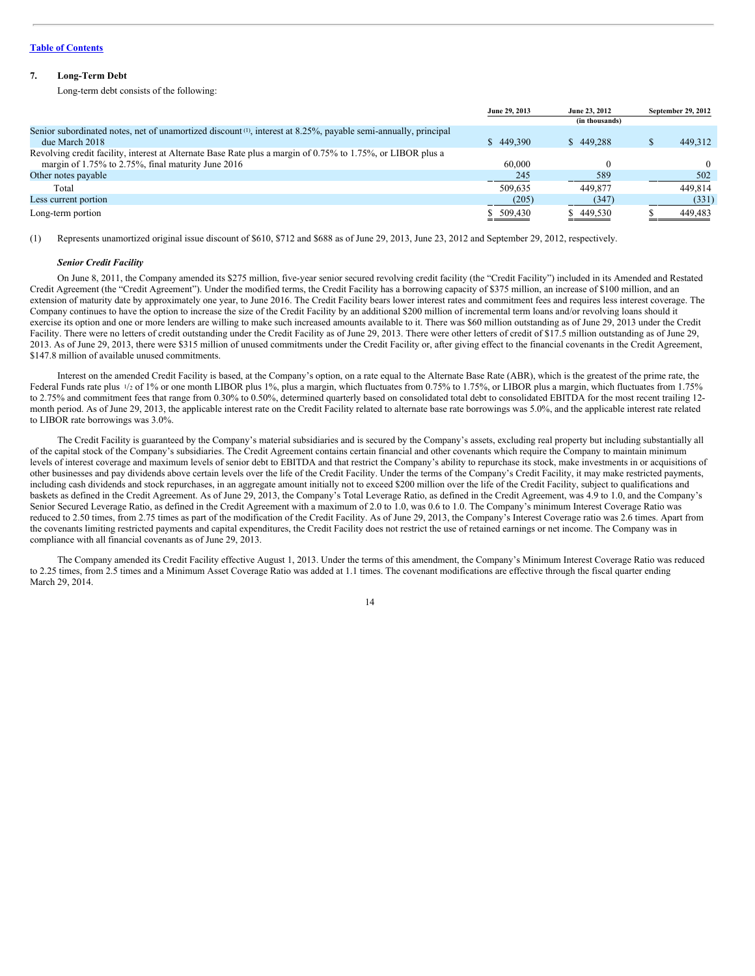# **7. Long-Term Debt**

Long-term debt consists of the following:

|                                                                                                                 | June 29, 2013<br>June 23, 2012 |                | September 29, 2012 |         |
|-----------------------------------------------------------------------------------------------------------------|--------------------------------|----------------|--------------------|---------|
|                                                                                                                 |                                | (in thousands) |                    |         |
| Senior subordinated notes, net of unamortized discount (1), interest at 8.25%, payable semi-annually, principal |                                |                |                    |         |
| due March 2018                                                                                                  | \$449,390                      | \$449.288      |                    | 449.312 |
| Revolving credit facility, interest at Alternate Base Rate plus a margin of 0.75% to 1.75%, or LIBOR plus a     |                                |                |                    |         |
| margin of 1.75% to 2.75%, final maturity June 2016                                                              | 60,000                         |                |                    |         |
| Other notes payable                                                                                             | 245                            | 589            |                    | 502     |
| Total                                                                                                           | 509.635                        | 449,877        |                    | 449.814 |
| Less current portion                                                                                            | (205)                          | (347)          |                    | (331)   |
| Long-term portion                                                                                               | \$ 509,430                     | \$449,530      |                    | 449,483 |

(1) Represents unamortized original issue discount of \$610, \$712 and \$688 as of June 29, 2013, June 23, 2012 and September 29, 2012, respectively.

#### *Senior Credit Facility*

On June 8, 2011, the Company amended its \$275 million, five-year senior secured revolving credit facility (the "Credit Facility") included in its Amended and Restated Credit Agreement (the "Credit Agreement"). Under the modified terms, the Credit Facility has a borrowing capacity of \$375 million, an increase of \$100 million, and an extension of maturity date by approximately one year, to June 2016. The Credit Facility bears lower interest rates and commitment fees and requires less interest coverage. The Company continues to have the option to increase the size of the Credit Facility by an additional \$200 million of incremental term loans and/or revolving loans should it exercise its option and one or more lenders are willing to make such increased amounts available to it. There was \$60 million outstanding as of June 29, 2013 under the Credit Facility. There were no letters of credit outstanding under the Credit Facility as of June 29, 2013. There were other letters of credit of \$17.5 million outstanding as of June 29, 2013. As of June 29, 2013, there were \$315 million of unused commitments under the Credit Facility or, after giving effect to the financial covenants in the Credit Agreement, \$147.8 million of available unused commitments.

Interest on the amended Credit Facility is based, at the Company's option, on a rate equal to the Alternate Base Rate (ABR), which is the greatest of the prime rate, the Federal Funds rate plus  $\frac{1}{2}$  of 1% or one month LIBOR plus 1%, plus a margin, which fluctuates from 0.75% to 1.75%, or LIBOR plus a margin, which fluctuates from 1.75% to 2.75% and commitment fees that range from 0.30% to 0.50%, determined quarterly based on consolidated total debt to consolidated EBITDA for the most recent trailing 12month period. As of June 29, 2013, the applicable interest rate on the Credit Facility related to alternate base rate borrowings was 5.0%, and the applicable interest rate related to LIBOR rate borrowings was 3.0%.

The Credit Facility is guaranteed by the Company's material subsidiaries and is secured by the Company's assets, excluding real property but including substantially all of the capital stock of the Company's subsidiaries. The Credit Agreement contains certain financial and other covenants which require the Company to maintain minimum levels of interest coverage and maximum levels of senior debt to EBITDA and that restrict the Company's ability to repurchase its stock, make investments in or acquisitions of other businesses and pay dividends above certain levels over the life of the Credit Facility. Under the terms of the Company's Credit Facility, it may make restricted payments, including cash dividends and stock repurchases, in an aggregate amount initially not to exceed \$200 million over the life of the Credit Facility, subject to qualifications and baskets as defined in the Credit Agreement. As of June 29, 2013, the Company's Total Leverage Ratio, as defined in the Credit Agreement, was 4.9 to 1.0, and the Company's Senior Secured Leverage Ratio, as defined in the Credit Agreement with a maximum of 2.0 to 1.0, was 0.6 to 1.0. The Company's minimum Interest Coverage Ratio was reduced to 2.50 times, from 2.75 times as part of the modification of the Credit Facility. As of June 29, 2013, the Company's Interest Coverage ratio was 2.6 times. Apart from the covenants limiting restricted payments and capital expenditures, the Credit Facility does not restrict the use of retained earnings or net income. The Company was in compliance with all financial covenants as of June 29, 2013.

The Company amended its Credit Facility effective August 1, 2013. Under the terms of this amendment, the Company's Minimum Interest Coverage Ratio was reduced to 2.25 times, from 2.5 times and a Minimum Asset Coverage Ratio was added at 1.1 times. The covenant modifications are effective through the fiscal quarter ending March 29, 2014.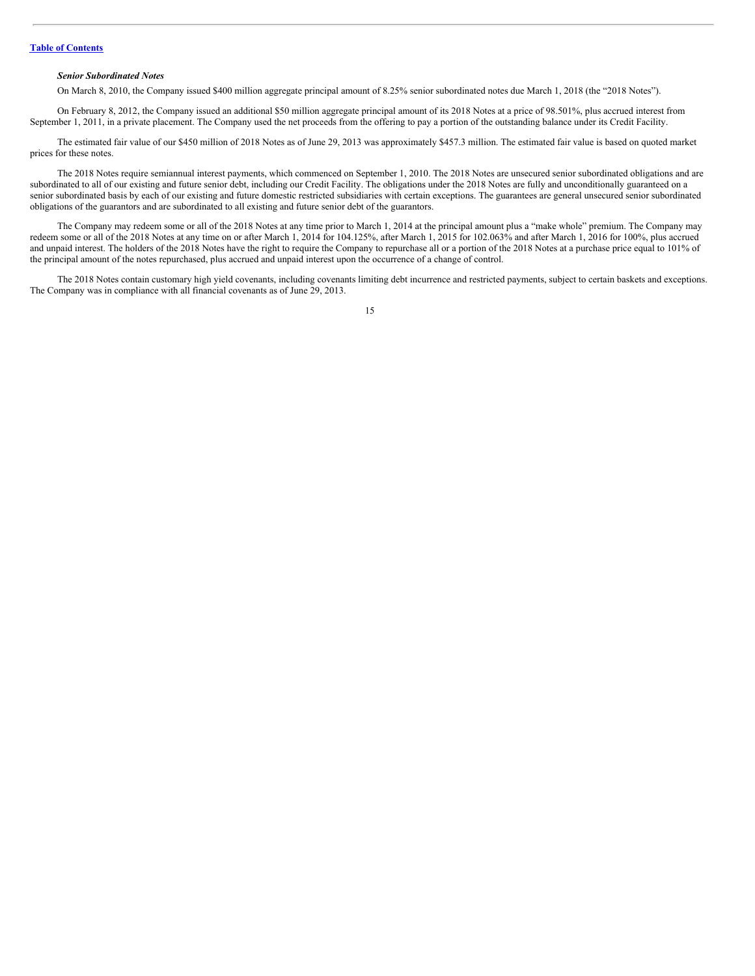# *Senior Subordinated Notes*

On March 8, 2010, the Company issued \$400 million aggregate principal amount of 8.25% senior subordinated notes due March 1, 2018 (the "2018 Notes").

On February 8, 2012, the Company issued an additional \$50 million aggregate principal amount of its 2018 Notes at a price of 98.501%, plus accrued interest from September 1, 2011, in a private placement. The Company used the net proceeds from the offering to pay a portion of the outstanding balance under its Credit Facility.

The estimated fair value of our \$450 million of 2018 Notes as of June 29, 2013 was approximately \$457.3 million. The estimated fair value is based on quoted market prices for these notes.

The 2018 Notes require semiannual interest payments, which commenced on September 1, 2010. The 2018 Notes are unsecured senior subordinated obligations and are subordinated to all of our existing and future senior debt, including our Credit Facility. The obligations under the 2018 Notes are fully and unconditionally guaranteed on a senior subordinated basis by each of our existing and future domestic restricted subsidiaries with certain exceptions. The guarantees are general unsecured senior subordinated obligations of the guarantors and are subordinated to all existing and future senior debt of the guarantors.

The Company may redeem some or all of the 2018 Notes at any time prior to March 1, 2014 at the principal amount plus a "make whole" premium. The Company may redeem some or all of the 2018 Notes at any time on or after March 1, 2014 for 104.125%, after March 1, 2015 for 102.063% and after March 1, 2016 for 100%, plus accrued and unpaid interest. The holders of the 2018 Notes have the right to require the Company to repurchase all or a portion of the 2018 Notes at a purchase price equal to 101% of the principal amount of the notes repurchased, plus accrued and unpaid interest upon the occurrence of a change of control.

The 2018 Notes contain customary high yield covenants, including covenants limiting debt incurrence and restricted payments, subject to certain baskets and exceptions. The Company was in compliance with all financial covenants as of June 29, 2013.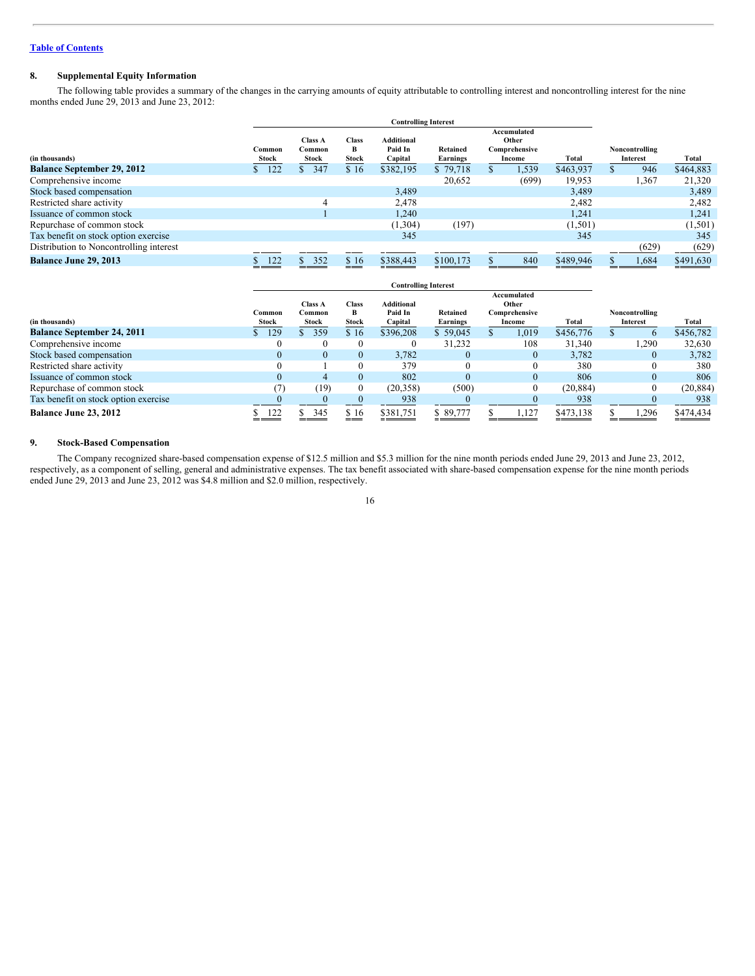# **8. Supplemental Equity Information**

The following table provides a summary of the changes in the carrying amounts of equity attributable to controlling interest and noncontrolling interest for the nine months ended June 29, 2013 and June 23, 2012:

|                                         |                 |                                   |                            | <b>Controlling Interest</b>             |                      |               |                                                 |           |                            |           |
|-----------------------------------------|-----------------|-----------------------------------|----------------------------|-----------------------------------------|----------------------|---------------|-------------------------------------------------|-----------|----------------------------|-----------|
| (in thousands)                          | Common<br>Stock | <b>Class A</b><br>Common<br>Stock | <b>Class</b><br>в<br>Stock | <b>Additional</b><br>Paid In<br>Capital | Retained<br>Earnings |               | Accumulated<br>Other<br>Comprehensive<br>Income | Total     | Noncontrolling<br>Interest | Total     |
| <b>Balance September 29, 2012</b>       | \$122           | 347<br>S                          | \$16                       | \$382.195                               | \$79,718             | $\mathcal{P}$ | 1,539                                           | \$463,937 | 946                        | \$464,883 |
| Comprehensive income                    |                 |                                   |                            |                                         | 20.652               |               | (699)                                           | 19,953    | 1,367                      | 21,320    |
| Stock based compensation                |                 |                                   |                            | 3,489                                   |                      |               |                                                 | 3,489     |                            | 3,489     |
| Restricted share activity               |                 |                                   |                            | 2,478                                   |                      |               |                                                 | 2,482     |                            | 2,482     |
| Issuance of common stock                |                 |                                   |                            | 1,240                                   |                      |               |                                                 | 1,241     |                            | 1,241     |
| Repurchase of common stock              |                 |                                   |                            | (1,304)                                 | (197)                |               |                                                 | (1,501)   |                            | (1, 501)  |
| Tax benefit on stock option exercise    |                 |                                   |                            | 345                                     |                      |               |                                                 | 345       |                            | 345       |
| Distribution to Noncontrolling interest |                 |                                   |                            |                                         |                      |               |                                                 |           | (629)                      | (629)     |
| <b>Balance June 29, 2013</b>            | 122             | 352                               | \$16                       | \$388,443                               | \$100,173            |               | 840                                             | \$489,946 | 1,684                      | \$491,630 |

|                                      | <b>Controlling Interest</b> |                                   |                            |                                         |                             |    |                                                 |           |                            |           |
|--------------------------------------|-----------------------------|-----------------------------------|----------------------------|-----------------------------------------|-----------------------------|----|-------------------------------------------------|-----------|----------------------------|-----------|
| (in thousands)                       | Common<br>Stock             | <b>Class A</b><br>Common<br>Stock | <b>Class</b><br>в<br>Stock | <b>Additional</b><br>Paid In<br>Capital | Retained<br><b>Earnings</b> |    | Accumulated<br>Other<br>Comprehensive<br>Income | Total     | Noncontrolling<br>Interest | Total     |
| <b>Balance September 24, 2011</b>    | 129                         | 359                               | \$16                       | \$396,208                               | \$59,045                    | D. | 1,019                                           | \$456,776 | $\sigma$                   | \$456,782 |
| Comprehensive income                 |                             | $\theta$                          | 0                          |                                         | 31,232                      |    | 108                                             | 31,340    | .290                       | 32,630    |
| Stock based compensation             |                             | $\mathbf{0}$                      | 0                          | 3.782                                   | $\theta$                    |    | $\Omega$                                        | 3.782     | 0                          | 3,782     |
| Restricted share activity            |                             |                                   | 0                          | 379                                     | $\Omega$                    |    |                                                 | 380       | $\theta$                   | 380       |
| Issuance of common stock             |                             | 4                                 | 0                          | 802                                     | $\theta$                    |    | $\theta$                                        | 806       | $\mathbf{0}$               | 806       |
| Repurchase of common stock           |                             | (19)                              | 0                          | (20, 358)                               | (500)                       |    |                                                 | (20, 884) | 0                          | (20, 884) |
| Tax benefit on stock option exercise |                             |                                   |                            | 938                                     |                             |    |                                                 | 938       |                            | 938       |
| Balance June 23, 2012                | 122                         | 345                               | \$16                       | \$381,751                               | \$89,777                    |    | 1,127                                           | \$473,138 | .296                       | \$474,434 |

# **9. Stock-Based Compensation**

The Company recognized share-based compensation expense of \$12.5 million and \$5.3 million for the nine month periods ended June 29, 2013 and June 23, 2012, respectively, as a component of selling, general and administrative expenses. The tax benefit associated with share-based compensation expense for the nine month periods ended June 29, 2013 and June 23, 2012 was \$4.8 million and \$2.0 million, respectively.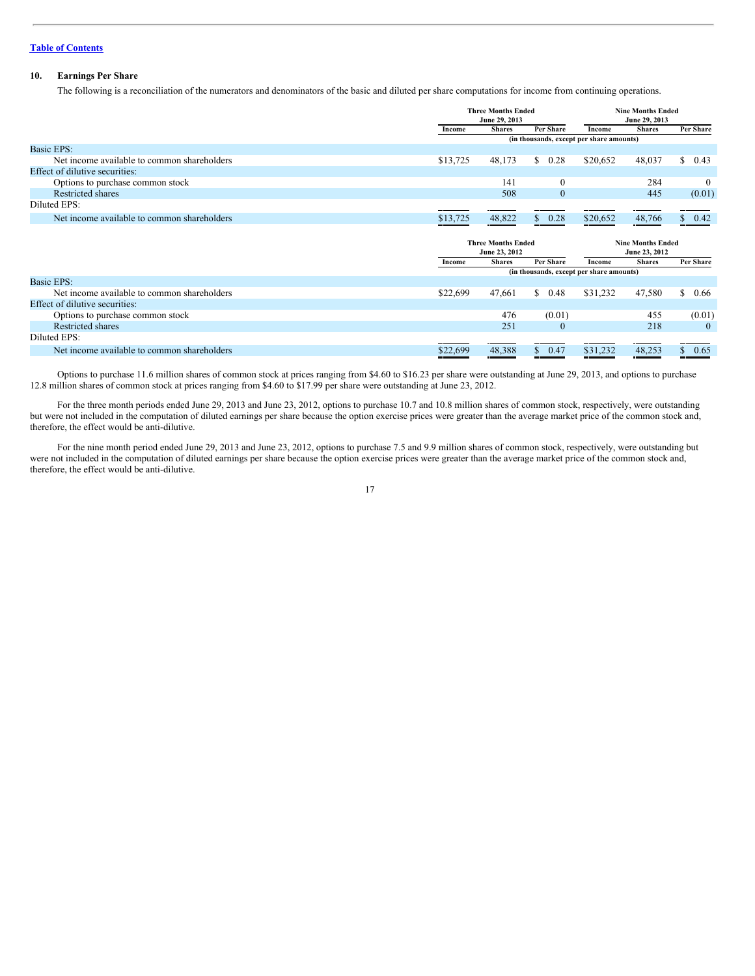# **10. Earnings Per Share**

The following is a reconciliation of the numerators and denominators of the basic and diluted per share computations for income from continuing operations.

|                                             |          | <b>Three Months Ended</b><br>June 29, 2013 |                  |                                          | <b>Nine Months Ended</b><br>June 29, 2013 |                  |  |
|---------------------------------------------|----------|--------------------------------------------|------------------|------------------------------------------|-------------------------------------------|------------------|--|
|                                             | Income   | <b>Shares</b>                              | <b>Per Share</b> | Income                                   | <b>Shares</b>                             | Per Share        |  |
|                                             |          |                                            |                  | (in thousands, except per share amounts) |                                           |                  |  |
| Basic EPS:                                  |          |                                            |                  |                                          |                                           |                  |  |
| Net income available to common shareholders | \$13,725 | 48,173                                     | S.<br>0.28       | \$20,652                                 | 48,037                                    | S.<br>0.43       |  |
| Effect of dilutive securities:              |          |                                            |                  |                                          |                                           |                  |  |
| Options to purchase common stock            |          | 141                                        | $\boldsymbol{0}$ |                                          | 284                                       | $\bf{0}$         |  |
| Restricted shares                           |          | 508                                        | $\mathbf{0}$     |                                          | 445                                       | (0.01)           |  |
| Diluted EPS:                                |          |                                            |                  |                                          |                                           |                  |  |
| Net income available to common shareholders | \$13,725 | 48,822                                     | \$ 0.28          | \$20,652                                 | 48,766                                    | 0.42             |  |
|                                             |          | <b>Three Months Ended</b><br>June 23, 2012 |                  |                                          | <b>Nine Months Ended</b><br>June 23, 2012 |                  |  |
|                                             | Income   | <b>Shares</b>                              | <b>Per Share</b> | Income                                   | <b>Shares</b>                             | <b>Per Share</b> |  |
|                                             |          |                                            |                  | (in thousands, except per share amounts) |                                           |                  |  |
| Basic EPS:                                  |          |                                            |                  |                                          |                                           |                  |  |
| Net income available to common shareholders | \$22,699 | 47,661                                     | \$<br>0.48       | \$31,232                                 | 47,580                                    | S.<br>0.66       |  |
| Effect of dilutive securities:              |          |                                            |                  |                                          |                                           |                  |  |
| Options to purchase common stock            |          | 476                                        | (0.01)           |                                          | 455                                       | (0.01)           |  |
|                                             |          |                                            |                  |                                          |                                           |                  |  |
| <b>Restricted shares</b>                    |          | 251                                        | $\mathbf{0}$     |                                          | 218                                       | $\theta$         |  |
| Diluted EPS:                                |          |                                            |                  |                                          |                                           |                  |  |

Options to purchase 11.6 million shares of common stock at prices ranging from \$4.60 to \$16.23 per share were outstanding at June 29, 2013, and options to purchase 12.8 million shares of common stock at prices ranging from \$4.60 to \$17.99 per share were outstanding at June 23, 2012.

For the three month periods ended June 29, 2013 and June 23, 2012, options to purchase 10.7 and 10.8 million shares of common stock, respectively, were outstanding but were not included in the computation of diluted earnings per share because the option exercise prices were greater than the average market price of the common stock and, therefore, the effect would be anti-dilutive.

For the nine month period ended June 29, 2013 and June 23, 2012, options to purchase 7.5 and 9.9 million shares of common stock, respectively, were outstanding but were not included in the computation of diluted earnings per share because the option exercise prices were greater than the average market price of the common stock and, therefore, the effect would be anti-dilutive.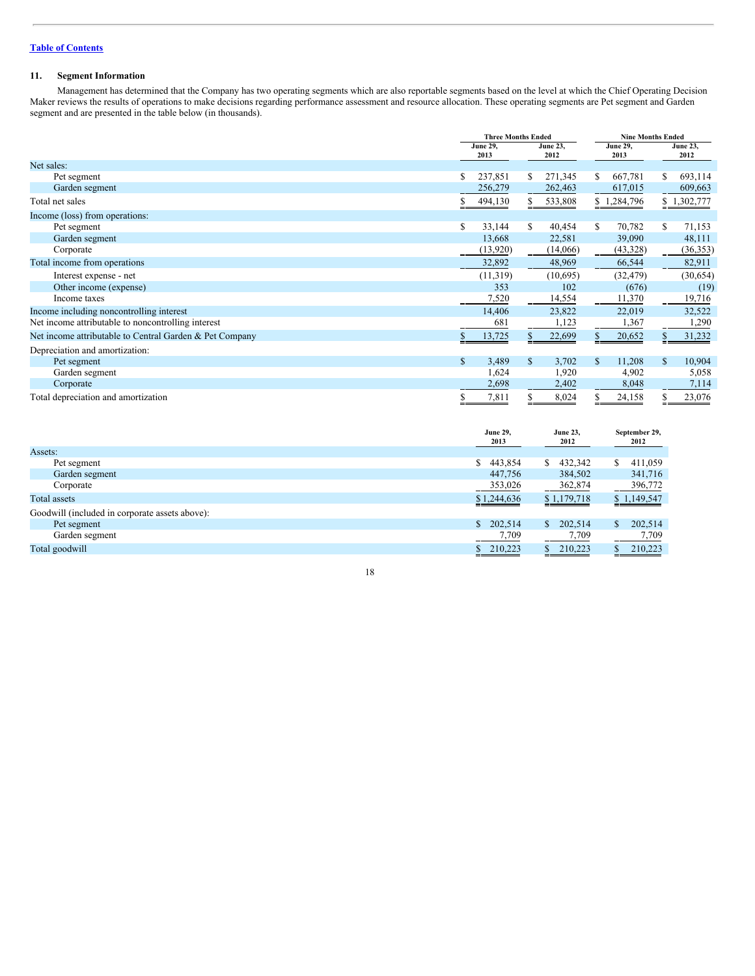# **11. Segment Information**

Management has determined that the Company has two operating segments which are also reportable segments based on the level at which the Chief Operating Decision Maker reviews the results of operations to make decisions regarding performance assessment and resource allocation. These operating segments are Pet segment and Garden segment and are presented in the table below (in thousands).

|                                                         |                         | <b>Three Months Ended</b> |                         |                         | <b>Nine Months Ended</b> |  |  |  |
|---------------------------------------------------------|-------------------------|---------------------------|-------------------------|-------------------------|--------------------------|--|--|--|
|                                                         | <b>June 29,</b><br>2013 |                           | <b>June 23,</b><br>2012 | <b>June 29,</b><br>2013 | <b>June 23,</b><br>2012  |  |  |  |
| Net sales:                                              |                         |                           |                         |                         |                          |  |  |  |
| Pet segment                                             | S                       | 237,851<br>\$             | 271,345                 | 667,781<br>S.           | 693,114<br>S             |  |  |  |
| Garden segment                                          |                         | 256,279                   | 262,463                 | 617,015                 | 609,663                  |  |  |  |
| Total net sales                                         |                         | S<br>494,130              | 533,808                 | \$1,284,796             | \$1,302,777              |  |  |  |
| Income (loss) from operations:                          |                         |                           |                         |                         |                          |  |  |  |
| Pet segment                                             | S                       | 33,144<br>S               | 40,454                  | 70,782<br>S.            | 71,153<br>S              |  |  |  |
| Garden segment                                          |                         | 13,668                    | 22,581                  | 39,090                  | 48,111                   |  |  |  |
| Corporate                                               |                         | (13, 920)                 | (14,066)                | (43,328)                | (36,353)                 |  |  |  |
| Total income from operations                            |                         | 32,892                    | 48,969                  | 66,544                  | 82,911                   |  |  |  |
| Interest expense - net                                  |                         | (11, 319)                 | (10,695)                | (32, 479)               | (30,654)                 |  |  |  |
| Other income (expense)                                  |                         | 353                       | 102                     | (676)                   | (19)                     |  |  |  |
| Income taxes                                            |                         | 7,520                     | 14,554                  | 11,370                  | 19,716                   |  |  |  |
| Income including noncontrolling interest                |                         | 14,406                    | 23,822                  | 22,019                  | 32,522                   |  |  |  |
| Net income attributable to noncontrolling interest      |                         | 681                       | 1,123                   | 1,367                   | 1,290                    |  |  |  |
| Net income attributable to Central Garden & Pet Company |                         | 13,725<br>\$              | 22,699                  | 20,652                  | 31,232                   |  |  |  |
| Depreciation and amortization:                          |                         |                           |                         |                         |                          |  |  |  |
| Pet segment                                             | \$                      | 3,489<br>\$               | 3,702                   | 11,208                  | $\mathbb{S}$<br>10,904   |  |  |  |
| Garden segment                                          |                         | 1,624                     | 1,920                   | 4,902                   | 5,058                    |  |  |  |
| Corporate                                               |                         | 2,698                     | 2,402                   | 8,048                   | 7,114                    |  |  |  |
| Total depreciation and amortization                     | ъ                       | 7,811                     | 8,024                   | 24,158                  | 23,076                   |  |  |  |

|                                                | <b>June 29,</b><br>2013 | <b>June 23,</b><br>2012 | September 29,<br>2012 |
|------------------------------------------------|-------------------------|-------------------------|-----------------------|
| Assets:                                        |                         |                         |                       |
| Pet segment                                    | 443,854<br>\$           | 432,342<br>\$           | 411,059<br>S          |
| Garden segment                                 | 447,756                 | 384,502                 | 341,716               |
| Corporate                                      | 353,026                 | 362,874                 | 396,772               |
| Total assets                                   | \$1,244,636             | \$1,179,718             | \$1,149,547           |
| Goodwill (included in corporate assets above): |                         |                         |                       |
| Pet segment                                    | \$<br>202,514           | 202,514<br>\$.          | 202,514               |
| Garden segment                                 | 7,709                   | 7,709                   | 7,709                 |
| Total goodwill                                 | 210,223                 | 210,223                 | 210,223               |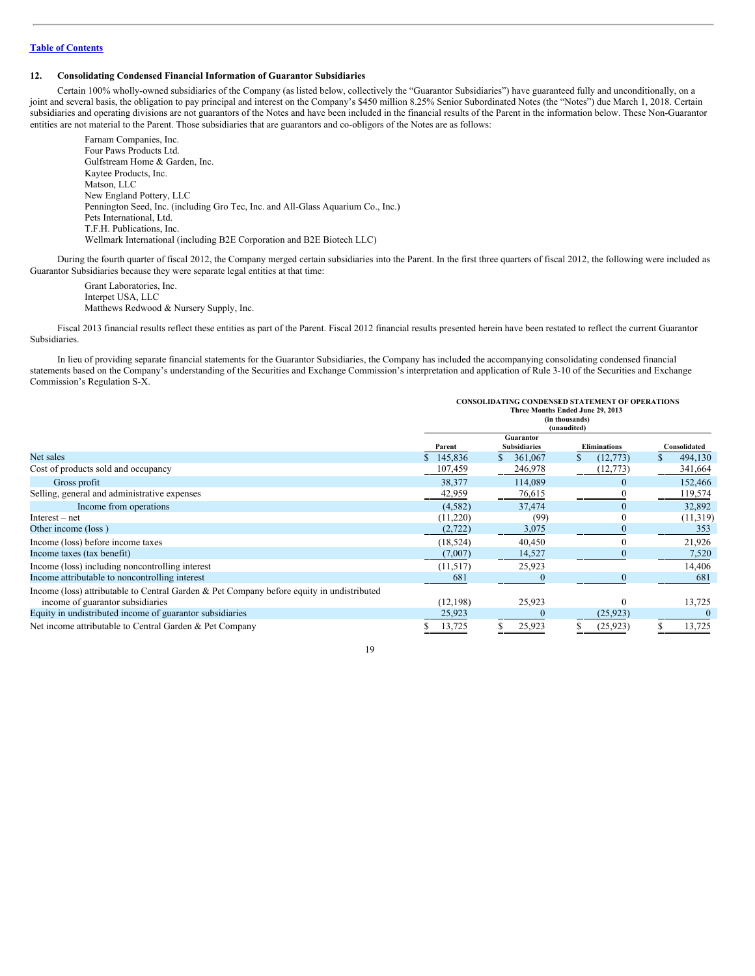## **12. Consolidating Condensed Financial Information of Guarantor Subsidiaries**

Certain 100% wholly-owned subsidiaries of the Company (as listed below, collectively the "Guarantor Subsidiaries") have guaranteed fully and unconditionally, on a joint and several basis, the obligation to pay principal and interest on the Company's \$450 million 8.25% Senior Subordinated Notes (the "Notes") due March 1, 2018. Certain subsidiaries and operating divisions are not guarantors of the Notes and have been included in the financial results of the Parent in the information below. These Non-Guarantor entities are not material to the Parent. Those subsidiaries that are guarantors and co-obligors of the Notes are as follows:

Farnam Companies, Inc. Four Paws Products Ltd. Gulfstream Home & Garden, Inc. Kaytee Products, Inc. Matson, LLC New England Pottery, LLC Pennington Seed, Inc. (including Gro Tec, Inc. and All-Glass Aquarium Co., Inc.) Pets International, Ltd. T.F.H. Publications, Inc. Wellmark International (including B2E Corporation and B2E Biotech LLC)

During the fourth quarter of fiscal 2012, the Company merged certain subsidiaries into the Parent. In the first three quarters of fiscal 2012, the following were included as Guarantor Subsidiaries because they were separate legal entities at that time:

Grant Laboratories, Inc. Interpet USA, LLC Matthews Redwood & Nursery Supply, Inc.

Fiscal 2013 financial results reflect these entities as part of the Parent. Fiscal 2012 financial results presented herein have been restated to reflect the current Guarantor Subsidiaries.

In lieu of providing separate financial statements for the Guarantor Subsidiaries, the Company has included the accompanying consolidating condensed financial statements based on the Company's understanding of the Securities and Exchange Commission's interpretation and application of Rule 3-10 of the Securities and Exchange Commission's Regulation S-X.

|                                                                                           | <b>CONSOLIDATING CONDENSED STATEMENT OF OPERATIONS</b>            |                                      |                                  |                         |  |  |  |  |
|-------------------------------------------------------------------------------------------|-------------------------------------------------------------------|--------------------------------------|----------------------------------|-------------------------|--|--|--|--|
|                                                                                           | Three Months Ended June 29, 2013<br>(in thousands)<br>(unaudited) |                                      |                                  |                         |  |  |  |  |
|                                                                                           |                                                                   |                                      |                                  |                         |  |  |  |  |
|                                                                                           |                                                                   | Guarantor                            |                                  |                         |  |  |  |  |
| Net sales                                                                                 | Parent<br>145,836                                                 | <b>Subsidiaries</b><br>361,067<br>\$ | <b>Eliminations</b><br>(12, 773) | Consolidated<br>494,130 |  |  |  |  |
| Cost of products sold and occupancy                                                       | 107,459                                                           | 246,978                              | (12, 773)                        | 341,664                 |  |  |  |  |
| Gross profit                                                                              | 38,377                                                            | 114,089                              | $\Omega$                         | 152,466                 |  |  |  |  |
| Selling, general and administrative expenses                                              | 42,959                                                            | 76,615                               |                                  | 119,574                 |  |  |  |  |
| Income from operations                                                                    | (4, 582)                                                          | 37,474                               | $\theta$                         | 32,892                  |  |  |  |  |
| $Interest - net$                                                                          | (11,220)                                                          | (99)                                 |                                  | (11,319)                |  |  |  |  |
| Other income (loss)                                                                       | (2, 722)                                                          | 3,075                                |                                  | 353                     |  |  |  |  |
| Income (loss) before income taxes                                                         | (18, 524)                                                         | 40,450                               |                                  | 21,926                  |  |  |  |  |
| Income taxes (tax benefit)                                                                | (7,007)                                                           | 14,527                               |                                  | 7,520                   |  |  |  |  |
| Income (loss) including noncontrolling interest                                           | (11,517)                                                          | 25,923                               |                                  | 14,406                  |  |  |  |  |
| Income attributable to noncontrolling interest                                            | 681                                                               |                                      |                                  | 681                     |  |  |  |  |
| Income (loss) attributable to Central Garden & Pet Company before equity in undistributed |                                                                   |                                      |                                  |                         |  |  |  |  |
| income of guarantor subsidiaries                                                          | (12, 198)                                                         | 25,923                               |                                  | 13,725                  |  |  |  |  |
| Equity in undistributed income of guarantor subsidiaries                                  | 25,923                                                            |                                      | (25, 923)                        |                         |  |  |  |  |
| Net income attributable to Central Garden & Pet Company                                   | 13,725                                                            | 25,923                               | (25, 923)                        | 13,725                  |  |  |  |  |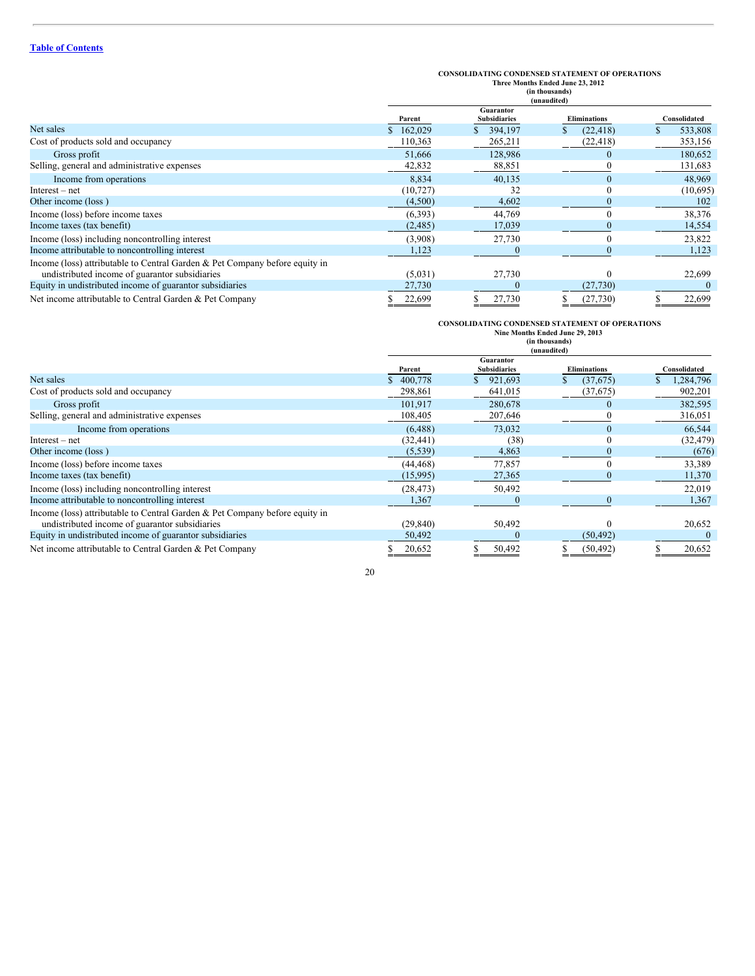|                                                                             | <b>CONSOLIDATING CONDENSED STATEMENT OF OPERATIONS</b><br>Three Months Ended June 23, 2012<br>(in thousands)<br>(unaudited) |                                  |                     |              |  |
|-----------------------------------------------------------------------------|-----------------------------------------------------------------------------------------------------------------------------|----------------------------------|---------------------|--------------|--|
|                                                                             | Parent                                                                                                                      | Guarantor<br><b>Subsidiaries</b> | <b>Eliminations</b> | Consolidated |  |
| Net sales                                                                   | \$162,029                                                                                                                   | 394,197                          | (22, 418)           | 533,808<br>S |  |
| Cost of products sold and occupancy                                         | 110,363                                                                                                                     | 265,211                          | (22, 418)           | 353,156      |  |
| Gross profit                                                                | 51,666                                                                                                                      | 128,986                          | $\theta$            | 180,652      |  |
| Selling, general and administrative expenses                                | 42,832                                                                                                                      | 88,851                           |                     | 131,683      |  |
| Income from operations                                                      | 8,834                                                                                                                       | 40,135                           |                     | 48,969       |  |
| $Interest - net$                                                            | (10, 727)                                                                                                                   | 32                               |                     | (10,695)     |  |
| Other income (loss)                                                         | (4,500)                                                                                                                     | 4,602                            |                     | 102          |  |
| Income (loss) before income taxes                                           | (6,393)                                                                                                                     | 44,769                           |                     | 38,376       |  |
| Income taxes (tax benefit)                                                  | (2, 485)                                                                                                                    | 17,039                           |                     | 14,554       |  |
| Income (loss) including noncontrolling interest                             | (3,908)                                                                                                                     | 27,730                           |                     | 23,822       |  |
| Income attributable to noncontrolling interest                              | 1,123                                                                                                                       | 0                                |                     | 1,123        |  |
| Income (loss) attributable to Central Garden & Pet Company before equity in |                                                                                                                             |                                  |                     |              |  |
| undistributed income of guarantor subsidiaries                              | (5,031)                                                                                                                     | 27,730                           |                     | 22,699       |  |
| Equity in undistributed income of guarantor subsidiaries                    | 27,730                                                                                                                      |                                  | (27, 730)           |              |  |
| Net income attributable to Central Garden & Pet Company                     | 22,699                                                                                                                      | 27,730                           | (27, 730)<br>ъ.     | 22,699       |  |

# **CONSOLIDATING CONDENSED STATEMENT OF OPERATIONS**

|                                                                                                                               | Nine Months Ended June 29, 2013<br>(in thousands)<br>(unaudited) |                                  |                     |              |
|-------------------------------------------------------------------------------------------------------------------------------|------------------------------------------------------------------|----------------------------------|---------------------|--------------|
|                                                                                                                               | Parent                                                           | Guarantor<br><b>Subsidiaries</b> | <b>Eliminations</b> | Consolidated |
| Net sales                                                                                                                     | \$400,778                                                        | 921,693                          | (37,675)            | 1,284,796    |
| Cost of products sold and occupancy                                                                                           | 298,861                                                          | 641,015                          | (37, 675)           | 902,201      |
| Gross profit                                                                                                                  | 101.917                                                          | 280,678                          |                     | 382,595      |
| Selling, general and administrative expenses                                                                                  | 108,405                                                          | 207,646                          |                     | 316,051      |
| Income from operations                                                                                                        | (6, 488)                                                         | 73,032                           |                     | 66,544       |
| $Interest - net$                                                                                                              | (32, 441)                                                        | (38)                             |                     | (32, 479)    |
| Other income (loss)                                                                                                           | (5, 539)                                                         | 4,863                            |                     | (676)        |
| Income (loss) before income taxes                                                                                             | (44, 468)                                                        | 77,857                           |                     | 33,389       |
| Income taxes (tax benefit)                                                                                                    | (15,995)                                                         | 27,365                           |                     | 11,370       |
| Income (loss) including noncontrolling interest                                                                               | (28, 473)                                                        | 50,492                           |                     | 22,019       |
| Income attributable to noncontrolling interest                                                                                | 1,367                                                            |                                  |                     | 1,367        |
| Income (loss) attributable to Central Garden & Pet Company before equity in<br>undistributed income of guarantor subsidiaries | (29, 840)                                                        | 50,492                           |                     | 20,652       |
| Equity in undistributed income of guarantor subsidiaries                                                                      | 50,492                                                           |                                  | (50, 492)           |              |
| Net income attributable to Central Garden & Pet Company                                                                       | 20,652                                                           | 50,492                           | (50, 492)           | 20,652       |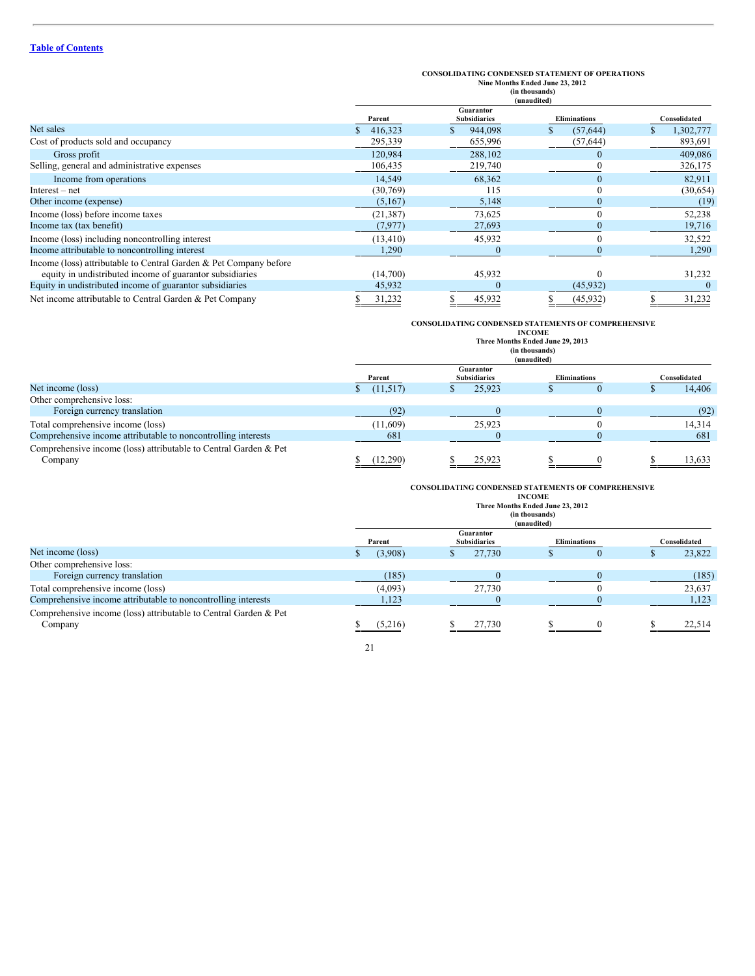# **CONSOLIDATING CONDENSED STATEMENT OF OPERATIONS Nine Months Ended June 23, 2012 (in thousands) (unaudited)**

|                                                                   | (unaudited) |                                  |                     |              |  |
|-------------------------------------------------------------------|-------------|----------------------------------|---------------------|--------------|--|
|                                                                   | Parent      | Guarantor<br><b>Subsidiaries</b> | <b>Eliminations</b> | Consolidated |  |
| Net sales                                                         | 416,323     | 944,098                          | (57, 644)           | 1,302,777    |  |
| Cost of products sold and occupancy                               | 295,339     | 655,996                          | (57, 644)           | 893,691      |  |
| Gross profit                                                      | 120,984     | 288,102                          |                     | 409,086      |  |
| Selling, general and administrative expenses                      | 106,435     | 219,740                          |                     | 326,175      |  |
| Income from operations                                            | 14,549      | 68,362                           |                     | 82,911       |  |
| $Interest - net$                                                  | (30,769)    | 115                              |                     | (30,654)     |  |
| Other income (expense)                                            | (5,167)     | 5,148                            |                     | (19)         |  |
| Income (loss) before income taxes                                 | (21, 387)   | 73,625                           |                     | 52,238       |  |
| Income tax (tax benefit)                                          | (7, 977)    | 27,693                           |                     | 19,716       |  |
| Income (loss) including noncontrolling interest                   | (13, 410)   | 45,932                           |                     | 32,522       |  |
| Income attributable to noncontrolling interest                    | 1,290       |                                  |                     | 1,290        |  |
| Income (loss) attributable to Central Garden & Pet Company before |             |                                  |                     |              |  |
| equity in undistributed income of guarantor subsidiaries          | (14,700)    | 45,932                           |                     | 31,232       |  |
| Equity in undistributed income of guarantor subsidiaries          | 45,932      |                                  | (45, 932)           |              |  |
| Net income attributable to Central Garden & Pet Company           | 31,232      | 45,932                           | (45, 932)           | 31,232       |  |

# **CONSOLIDATING CONDENSED STATEMENTS OF COMPREHENSIVE INCOME**

|                                                                             | Three Months Ended June 29, 2013<br>(in thousands)<br>(unaudited) |                                  |                     |              |  |
|-----------------------------------------------------------------------------|-------------------------------------------------------------------|----------------------------------|---------------------|--------------|--|
|                                                                             | Parent                                                            | Guarantor<br><b>Subsidiaries</b> | <b>Eliminations</b> | Consolidated |  |
| Net income (loss)                                                           | (11,517)                                                          | 25.923                           |                     | 14,406       |  |
| Other comprehensive loss:                                                   |                                                                   |                                  |                     |              |  |
| Foreign currency translation                                                | (92)                                                              |                                  |                     | (92)         |  |
| Total comprehensive income (loss)                                           | (11,609)                                                          | 25,923                           |                     | 14,314       |  |
| Comprehensive income attributable to noncontrolling interests               | 681                                                               |                                  |                     | 681          |  |
| Comprehensive income (loss) attributable to Central Garden & Pet<br>Company | (12,290)                                                          | 25,923                           |                     | 13,633       |  |

# **CONSOLIDATING CONDENSED STATEMENTS OF COMPREHENSIVE**

|                                                                             |         |                                  | <b>INCOME</b><br>Three Months Ended June 23, 2012<br>(in thousands)<br>(unaudited) |                     |              |
|-----------------------------------------------------------------------------|---------|----------------------------------|------------------------------------------------------------------------------------|---------------------|--------------|
|                                                                             | Parent  | Guarantor<br><b>Subsidiaries</b> |                                                                                    | <b>Eliminations</b> | Consolidated |
| Net income (loss)                                                           | (3,908) | 27,730                           |                                                                                    | v                   | 23,822       |
| Other comprehensive loss:                                                   |         |                                  |                                                                                    |                     |              |
| Foreign currency translation                                                | (185)   |                                  |                                                                                    |                     | (185)        |
| Total comprehensive income (loss)                                           | (4,093) | 27,730                           |                                                                                    |                     | 23,637       |
| Comprehensive income attributable to noncontrolling interests               | 1,123   |                                  |                                                                                    |                     | 1,123        |
| Comprehensive income (loss) attributable to Central Garden & Pet<br>Company | (5,216) | 27,730                           |                                                                                    |                     | 22,514       |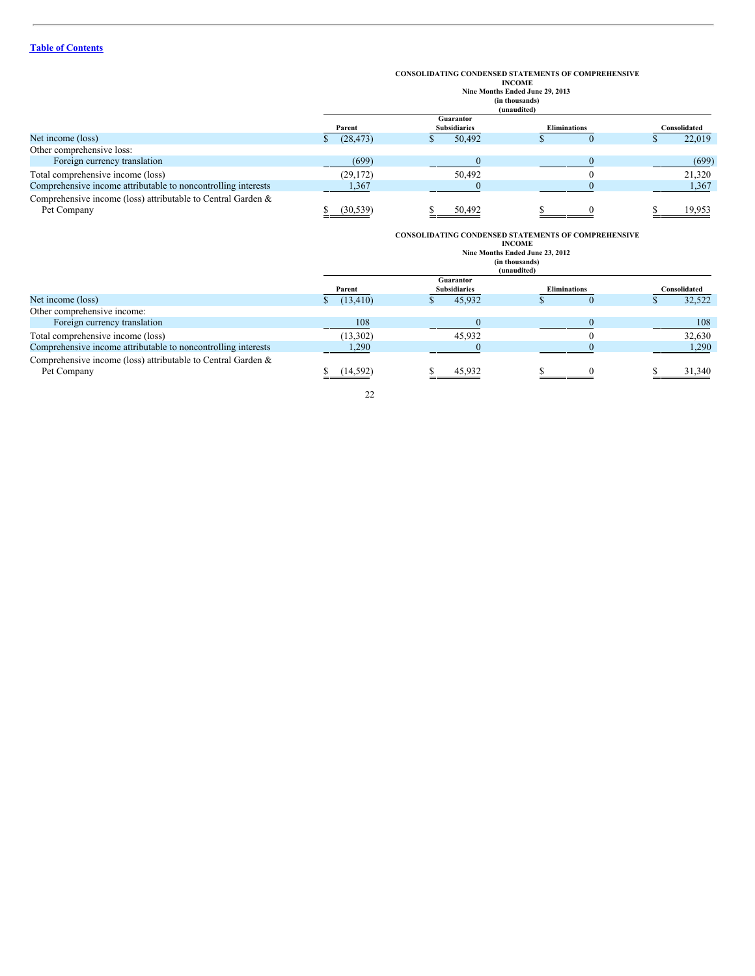# **CONSOLIDATING CONDENSED STATEMENTS OF COMPREHENSIVE**

|        |                     | <b>INCOME</b>                   |
|--------|---------------------|---------------------------------|
|        |                     | Nine Months Ended June 29, 2013 |
|        |                     | (in thousands)                  |
|        |                     | (unaudited)                     |
|        | Guarantor           |                                 |
| Parent | <b>Subsidiaries</b> | <b>Eliminations</b>             |

| Parent    | <b>Subsidiaries</b> | <b>Eliminations</b> | Consolidated |
|-----------|---------------------|---------------------|--------------|
| (28, 473) | 50,492              |                     | 22,019       |
|           |                     |                     |              |
| (699)     |                     |                     | (699)        |
| (29, 172) | 50,492              |                     | 21.320       |
| 1,367     |                     |                     | 1,367        |
|           |                     |                     | 19.953       |
|           | (30.539)            | 50.492              |              |

|                                                                             | <b>CONSOLIDATING CONDENSED STATEMENTS OF COMPREHENSIVE</b><br><b>INCOME</b><br>Nine Months Ended June 23, 2012<br>(in thousands)<br>(unaudited) |                                  |                     |              |  |
|-----------------------------------------------------------------------------|-------------------------------------------------------------------------------------------------------------------------------------------------|----------------------------------|---------------------|--------------|--|
|                                                                             | Parent                                                                                                                                          | Guarantor<br><b>Subsidiaries</b> | <b>Eliminations</b> | Consolidated |  |
| Net income (loss)                                                           | (13, 410)                                                                                                                                       | 45,932                           |                     | 32,522       |  |
| Other comprehensive income:                                                 |                                                                                                                                                 |                                  |                     |              |  |
| Foreign currency translation                                                | 108                                                                                                                                             |                                  |                     | 108          |  |
| Total comprehensive income (loss)                                           | (13,302)                                                                                                                                        | 45,932                           |                     | 32,630       |  |
| Comprehensive income attributable to noncontrolling interests               | 1,290                                                                                                                                           |                                  |                     | 1,290        |  |
| Comprehensive income (loss) attributable to Central Garden &<br>Pet Company | (14.592)                                                                                                                                        | 45.932                           |                     | 31,340       |  |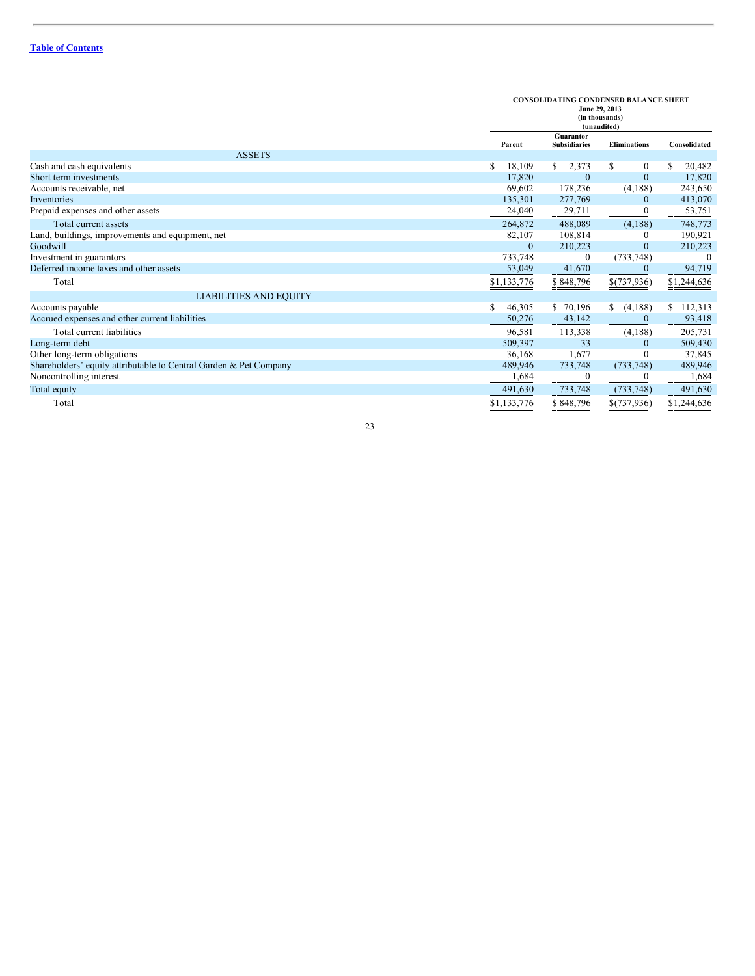|                                                                   |             | <b>CONSOLIDATING CONDENSED BALANCE SHEET</b><br>June 29, 2013<br>(in thousands)<br>(unaudited) |                     |              |  |
|-------------------------------------------------------------------|-------------|------------------------------------------------------------------------------------------------|---------------------|--------------|--|
|                                                                   | Parent      | <b>Guarantor</b><br><b>Subsidiaries</b>                                                        | <b>Eliminations</b> | Consolidated |  |
| <b>ASSETS</b>                                                     |             |                                                                                                |                     |              |  |
| Cash and cash equivalents                                         | 18,109<br>S | \$<br>2,373                                                                                    | \$<br>$\mathbf{0}$  | 20,482<br>S. |  |
| Short term investments                                            | 17,820      | $\mathbf{0}$                                                                                   | $\mathbf{0}$        | 17,820       |  |
| Accounts receivable, net                                          | 69,602      | 178,236                                                                                        | (4,188)             | 243,650      |  |
| Inventories                                                       | 135,301     | 277,769                                                                                        | $\mathbf{0}$        | 413,070      |  |
| Prepaid expenses and other assets                                 | 24,040      | 29,711                                                                                         | $\mathbf{0}$        | 53,751       |  |
| Total current assets                                              | 264,872     | 488,089                                                                                        | (4,188)             | 748,773      |  |
| Land, buildings, improvements and equipment, net                  | 82,107      | 108,814                                                                                        | 0                   | 190,921      |  |
| Goodwill                                                          | $\Omega$    | 210,223                                                                                        | $\mathbf{0}$        | 210,223      |  |
| Investment in guarantors                                          | 733,748     | $\mathbf{0}$                                                                                   | (733, 748)          | $\Omega$     |  |
| Deferred income taxes and other assets                            | 53,049      | 41,670                                                                                         | $\bf{0}$            | 94,719       |  |
| Total                                                             | \$1,133,776 | \$848,796                                                                                      | \$(737,936)         | \$1,244,636  |  |
| <b>LIABILITIES AND EQUITY</b>                                     |             |                                                                                                |                     |              |  |
| Accounts payable                                                  | 46,305<br>S | \$ 70,196                                                                                      | (4,188)<br>\$       | \$112,313    |  |
| Accrued expenses and other current liabilities                    | 50,276      | 43,142                                                                                         | $\mathbf{0}$        | 93,418       |  |
| Total current liabilities                                         | 96,581      | 113,338                                                                                        | (4,188)             | 205,731      |  |
| Long-term debt                                                    | 509,397     | 33                                                                                             | $\theta$            | 509,430      |  |
| Other long-term obligations                                       | 36,168      | 1,677                                                                                          | $\mathbf{0}$        | 37,845       |  |
| Shareholders' equity attributable to Central Garden & Pet Company | 489,946     | 733,748                                                                                        | (733, 748)          | 489,946      |  |
| Noncontrolling interest                                           | 1,684       |                                                                                                | 0                   | 1,684        |  |
| Total equity                                                      | 491,630     | 733,748                                                                                        | (733, 748)          | 491,630      |  |
| Total                                                             | \$1,133,776 | \$848,796                                                                                      | \$(737,936)         | \$1,244,636  |  |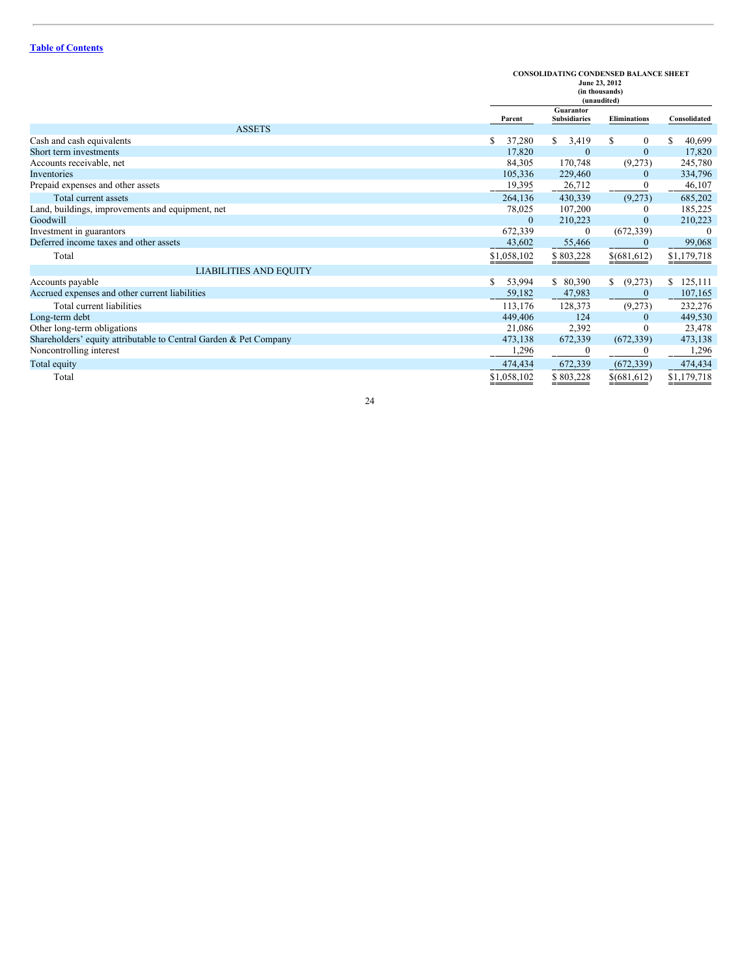# **CONSOLIDATING CONDENSED BALANCE SHEET June 23, 2012**

| 5000043, 2012  |
|----------------|
| (in thousands) |

|                                                                   |              | (in thousands)<br>(unaudited)    |                                      |                           |
|-------------------------------------------------------------------|--------------|----------------------------------|--------------------------------------|---------------------------|
|                                                                   | Parent       | Guarantor<br><b>Subsidiaries</b> | <b>Eliminations</b>                  | Consolidated              |
| <b>ASSETS</b>                                                     |              |                                  |                                      |                           |
| Cash and cash equivalents                                         | 37,280<br>S  | \$<br>3,419                      | \$<br>0                              | 40,699                    |
| Short term investments                                            | 17,820       | $\mathbf{0}$                     | $\mathbf{0}$                         | 17,820                    |
| Accounts receivable, net                                          | 84,305       | 170,748                          | (9,273)                              | 245,780                   |
| Inventories                                                       | 105,336      | 229,460                          | $\mathbf{0}$                         | 334,796                   |
| Prepaid expenses and other assets                                 | 19,395       | 26,712                           | $\theta$                             | 46,107                    |
| Total current assets                                              | 264,136      | 430,339                          | (9,273)                              | 685,202                   |
| Land, buildings, improvements and equipment, net                  | 78,025       | 107,200                          | $\theta$                             | 185,225                   |
| Goodwill                                                          | $\mathbf{0}$ | 210,223                          | $\mathbf{0}$                         | 210,223                   |
| Investment in guarantors                                          | 672,339      | $\Omega$                         | (672, 339)                           | $\left($                  |
| Deferred income taxes and other assets                            | 43,602       | 55,466                           | $\bf{0}$                             | 99,068                    |
| Total                                                             | \$1,058,102  | \$803,228                        | $\underline{\$(\underline{681,612})$ | $\underline{\$1,179,718}$ |
| <b>LIABILITIES AND EQUITY</b>                                     |              |                                  |                                      |                           |
| Accounts payable                                                  | S<br>53,994  | \$<br>80,390                     | \$<br>(9,273)                        | 125,111                   |
| Accrued expenses and other current liabilities                    | 59,182       | 47,983                           | $\mathbf{0}$                         | 107,165                   |
| Total current liabilities                                         | 113,176      | 128,373                          | (9,273)                              | 232,276                   |
| Long-term debt                                                    | 449,406      | 124                              | $\mathbf{0}$                         | 449,530                   |
| Other long-term obligations                                       | 21,086       | 2,392                            | $\Omega$                             | 23,478                    |
| Shareholders' equity attributable to Central Garden & Pet Company | 473,138      | 672,339                          | (672, 339)                           | 473,138                   |
| Noncontrolling interest                                           | 1,296        | $\Omega$                         | 0                                    | 1,296                     |
| Total equity                                                      | 474,434      | 672,339                          | (672, 339)                           | 474,434                   |
| Total                                                             | \$1,058,102  | \$803,228                        | \$(681,612)                          | \$1,179,718               |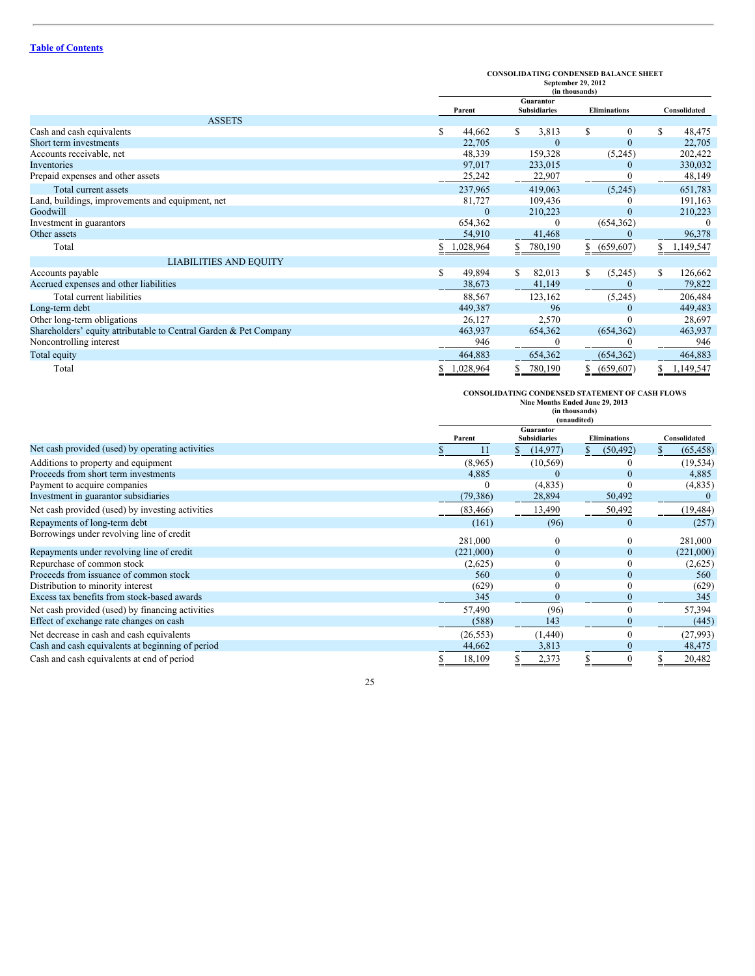|                                                                   |                 | <b>CONSOLIDATING CONDENSED BALANCE SHEET</b><br>September 29, 2012<br>(in thousands) |                     |                |  |  |
|-------------------------------------------------------------------|-----------------|--------------------------------------------------------------------------------------|---------------------|----------------|--|--|
|                                                                   | Parent          | Guarantor<br><b>Subsidiaries</b>                                                     | <b>Eliminations</b> | Consolidated   |  |  |
| <b>ASSETS</b>                                                     |                 |                                                                                      |                     |                |  |  |
| Cash and cash equivalents                                         | S.<br>44,662    | \$<br>3,813                                                                          | \$<br>$\theta$      | 48,475<br>S    |  |  |
| Short term investments                                            | 22,705          | $\theta$                                                                             | $\mathbf{0}$        | 22,705         |  |  |
| Accounts receivable, net                                          | 48,339          | 159,328                                                                              | (5,245)             | 202,422        |  |  |
| Inventories                                                       | 97,017          | 233,015                                                                              | $\theta$            | 330,032        |  |  |
| Prepaid expenses and other assets                                 | 25,242          | 22,907                                                                               |                     | 48,149         |  |  |
| Total current assets                                              | 237,965         | 419,063                                                                              | (5,245)             | 651,783        |  |  |
| Land, buildings, improvements and equipment, net                  | 81,727          | 109,436                                                                              | $\theta$            | 191,163        |  |  |
| Goodwill                                                          | 0               | 210,223                                                                              | $\Omega$            | 210,223        |  |  |
| Investment in guarantors                                          | 654,362         | 0                                                                                    | (654, 362)          | $\Omega$       |  |  |
| Other assets                                                      | 54,910          | 41,468                                                                               | 0                   | 96,378         |  |  |
| Total                                                             | 1,028,964       | 780,190<br>S.                                                                        | \$ (659,607)        | 1,149,547<br>S |  |  |
| <b>LIABILITIES AND EQUITY</b>                                     |                 |                                                                                      |                     |                |  |  |
| Accounts payable                                                  | \$<br>49,894    | \$<br>82,013                                                                         | \$<br>(5,245)       | 126,662<br>\$  |  |  |
| Accrued expenses and other liabilities                            | 38,673          | 41,149                                                                               |                     | 79,822         |  |  |
| Total current liabilities                                         | 88,567          | 123,162                                                                              | (5,245)             | 206,484        |  |  |
| Long-term debt                                                    | 449,387         | 96                                                                                   |                     | 449,483        |  |  |
| Other long-term obligations                                       | 26,127          | 2,570                                                                                |                     | 28,697         |  |  |
| Shareholders' equity attributable to Central Garden & Pet Company | 463,937         | 654,362                                                                              | (654, 362)          | 463,937        |  |  |
| Noncontrolling interest                                           | 946             |                                                                                      |                     | 946            |  |  |
| Total equity                                                      | 464,883         | 654,362                                                                              | (654, 362)          | 464,883        |  |  |
| Total                                                             | \$<br>1,028,964 | \$<br>780,190                                                                        | \$<br>(659, 607)    | 1,149,547<br>S |  |  |

**CONSOLIDATING CONDENSED STATEMENT OF CASH FLOWS Nine Months Ended June 29, 2013 (in thousands) (unaudited) Parent Guarantor Subsidiaries Eliminations Consolidated** Net cash provided (used) by operating activities  $\overline{\text{S}}$  11  $\overline{\text{S}}$  (14,977)  $\overline{\text{S}}$  (50,492)  $\overline{\text{S}}$  (65,458) Additions to property and equipment (8,965) (10,569) 0 (19,534)<br>Proceeds from short term investments 4,885 0 0 4,885 Proceeds from short term investments<br>
Payment to acquire companies 
(4,835) 0 (4,835) 0 (4,835) 0 (4,835) Payment to acquire companies <br>
Investment in guarantor subsidiaries <br>  $(79,386)$   $28,894$   $50,492$   $(4,835)$   $(4,835)$   $(4,835)$   $(4,835)$   $(4,835)$   $(4,835)$   $(4,835)$   $(4,835)$   $(4,835)$   $(4,835)$   $(4,835)$   $(4,835)$   $(4$ Investment in guarantor subsidiaries Net cash provided (used) by investing activities (83,466) 13,490 50,492 (19,484) Repayments of long-term debt (257) (257) (257) Borrowings under revolving line of credit 281,000 0 281,000 Repayments under revolving line of credit  $(221,000)$   $0$   $0$   $(221,000)$   $(221,000)$   $(231,000)$   $(2,625)$   $(2,625)$ Repurchase of common stock (2,625) 0 0 (2,625) 0 (2,625) 0 (2,625) 0 (2,625) 0 (2,625) 0 (2,625) 0 (2,625) 0 (2,625) 0 (2,625) 0 (2,625) 0 (2,625) 0 (2,625) 0 (2,625) 0 (2,625) 0 (2,625) 0 (2,625) 0 (2,625) 0 (2,625) 0 (2, Proceeds from issuance of common stock 560 0 0 560<br>Distribution to minority interest 629) 0 0 0 (629) Distribution to minority interest (629) 0 0 (629)<br>Excess tax benefits from stock-based awards <br> $\frac{345}{2000}$   $\frac{0}{200}$   $\frac{0}{200}$   $\frac{0}{200}$   $\frac{0}{200}$   $\frac{0}{200}$   $\frac{0}{200}$   $\frac{0}{200}$   $\frac{0}{200}$   $\frac{0}{200}$   $\frac{$ Excess tax benefits from stock-based awards Net cash provided (used) by financing activities 57,490 (96) 0 57,394<br>Effect of exchange rate changes on cash (445) 0 57,394 Effect of exchange rate changes on cash (588) 143 0 (445) 143 0 (458) 143 0 (445) 143 0 (445) 143 0 (445) 143 0 (445) 143 0 (445) 143 0 (458) 143 0 (458) 143 0 (458) 143 0 (458) 143 0 (458) 143 0 (458) 143 0 (458) 143 0 (4 Net decrease in cash and cash equivalents<br>
Cash and cash equivalents at beginning of period<br>
Cash and cash equivalents at beginning of period<br>  $44,662$ <br>  $3,813$ <br>  $0$ <br>  $48,475$ Cash and cash equivalents at beginning of period  $\frac{44,662}{4} \frac{3,813}{4} \frac{4,662}{4}$ Cash and cash equivalents at end of period  $\overline{3}$  18,109  $\overline{3}$  2,373  $\overline{3}$  0  $\overline{3}$  20,482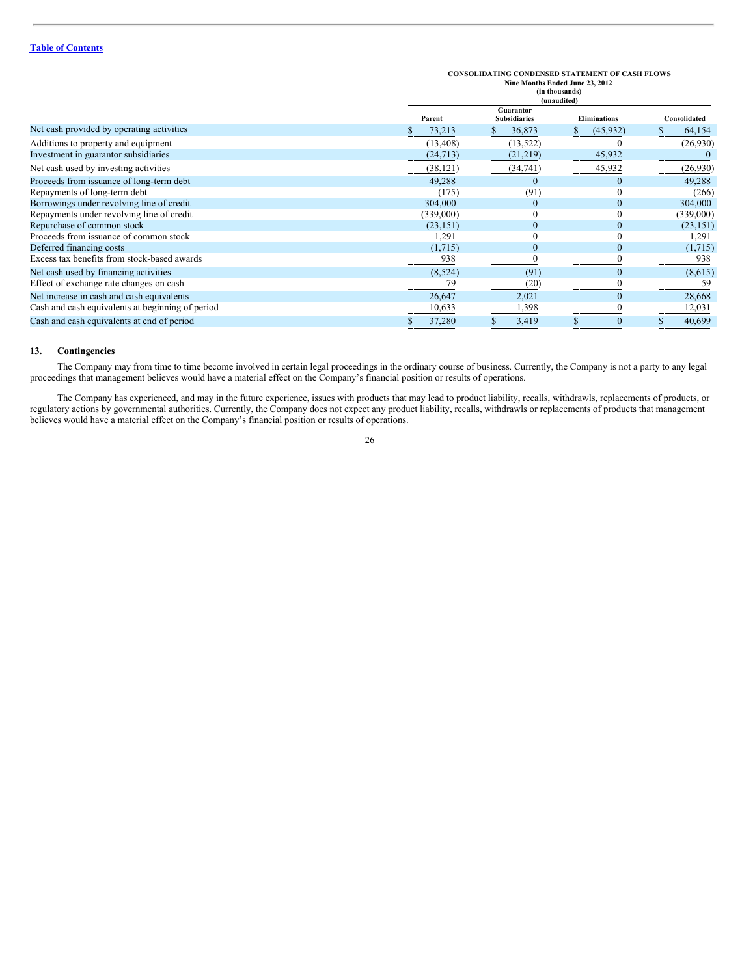|                                                  |           | <b>CONSOLIDATING CONDENSED STATEMENT OF CASH FLOWS</b><br>Nine Months Ended June 23, 2012<br>(in thousands)<br>(unaudited) |                     |  |              |  |
|--------------------------------------------------|-----------|----------------------------------------------------------------------------------------------------------------------------|---------------------|--|--------------|--|
|                                                  | Parent    | Guarantor<br><b>Subsidiaries</b>                                                                                           | <b>Eliminations</b> |  | Consolidated |  |
| Net cash provided by operating activities        | 73,213    | 36,873                                                                                                                     | (45, 932)           |  | 64,154       |  |
| Additions to property and equipment              | (13, 408) | (13, 522)                                                                                                                  | 0                   |  | (26,930)     |  |
| Investment in guarantor subsidiaries             | (24, 713) | (21,219)                                                                                                                   | 45,932              |  |              |  |
| Net cash used by investing activities            | (38, 121) | (34, 741)                                                                                                                  | 45,932              |  | (26,930)     |  |
| Proceeds from issuance of long-term debt         | 49,288    |                                                                                                                            | $\mathbf{0}$        |  | 49,288       |  |
| Repayments of long-term debt                     | (175)     | (91)                                                                                                                       | $\mathbf{0}$        |  | (266)        |  |
| Borrowings under revolving line of credit        | 304,000   |                                                                                                                            | $\mathbf{0}$        |  | 304,000      |  |
| Repayments under revolving line of credit        | (339,000) |                                                                                                                            | $\mathbf{0}$        |  | (339,000)    |  |
| Repurchase of common stock                       | (23, 151) |                                                                                                                            | $\mathbf{0}$        |  | (23, 151)    |  |
| Proceeds from issuance of common stock           | 1,291     |                                                                                                                            | $\theta$            |  | 1,291        |  |
| Deferred financing costs                         | (1,715)   | $\mathbf{0}$                                                                                                               | $\mathbf{0}$        |  | (1,715)      |  |
| Excess tax benefits from stock-based awards      | 938       |                                                                                                                            |                     |  | 938          |  |
| Net cash used by financing activities            | (8,524)   | (91)                                                                                                                       | $\mathbf{0}$        |  | (8,615)      |  |
| Effect of exchange rate changes on cash          | 79        | (20)                                                                                                                       |                     |  | 59           |  |
| Net increase in cash and cash equivalents        | 26,647    | 2,021                                                                                                                      | $\mathbf{0}$        |  | 28,668       |  |
| Cash and cash equivalents at beginning of period | 10,633    | 1,398                                                                                                                      |                     |  | 12,031       |  |
| Cash and cash equivalents at end of period       | 37,280    | 3,419                                                                                                                      | $\mathbf{0}$        |  | 40,699       |  |

# **13. Contingencies**

The Company may from time to time become involved in certain legal proceedings in the ordinary course of business. Currently, the Company is not a party to any legal proceedings that management believes would have a material effect on the Company's financial position or results of operations.

The Company has experienced, and may in the future experience, issues with products that may lead to product liability, recalls, withdrawls, replacements of products, or regulatory actions by governmental authorities. Currently, the Company does not expect any product liability, recalls, withdrawls or replacements of products that management believes would have a material effect on the Company's financial position or results of operations.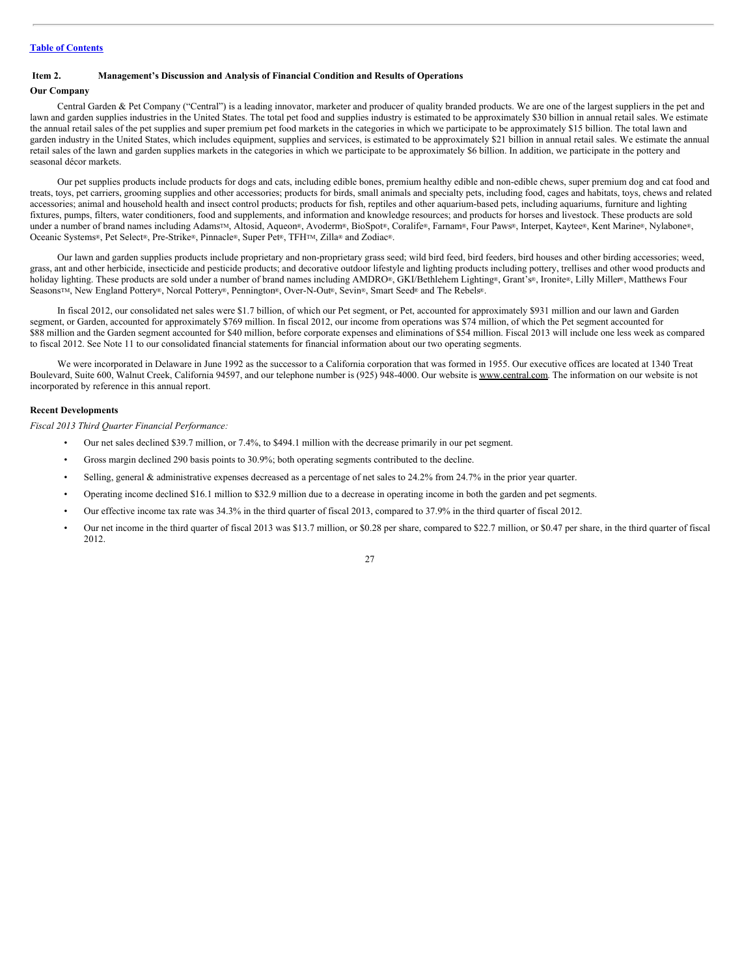# <span id="page-26-0"></span>**Item 2. Management's Discussion and Analysis of Financial Condition and Results of Operations**

#### **Our Company**

Central Garden & Pet Company ("Central") is a leading innovator, marketer and producer of quality branded products. We are one of the largest suppliers in the pet and lawn and garden supplies industries in the United States. The total pet food and supplies industry is estimated to be approximately \$30 billion in annual retail sales. We estimate the annual retail sales of the pet supplies and super premium pet food markets in the categories in which we participate to be approximately \$15 billion. The total lawn and garden industry in the United States, which includes equipment, supplies and services, is estimated to be approximately \$21 billion in annual retail sales. We estimate the annual retail sales of the lawn and garden supplies markets in the categories in which we participate to be approximately \$6 billion. In addition, we participate in the pottery and seasonal décor markets.

Our pet supplies products include products for dogs and cats, including edible bones, premium healthy edible and non-edible chews, super premium dog and cat food and treats, toys, pet carriers, grooming supplies and other accessories; products for birds, small animals and specialty pets, including food, cages and habitats, toys, chews and related accessories; animal and household health and insect control products; products for fish, reptiles and other aquarium-based pets, including aquariums, furniture and lighting fixtures, pumps, filters, water conditioners, food and supplements, and information and knowledge resources; and products for horses and livestock. These products are sold under a number of brand names including Adams™, Altosid, Aqueon®, Avoderm®, BioSpot®, Coralife®, Farnam®, Four Paws®, Interpet, Kaytee®, Kent Marine®, Nylabone®, Oceanic Systems®, Pet Select®, Pre-Strike®, Pinnacle®, Super Pet®, TFH<sup>TM</sup>, Zilla® and Zodiac®.

Our lawn and garden supplies products include proprietary and non-proprietary grass seed; wild bird feed, bird feeders, bird houses and other birding accessories; weed, grass, ant and other herbicide, insecticide and pesticide products; and decorative outdoor lifestyle and lighting products including pottery, trellises and other wood products and holiday lighting. These products are sold under a number of brand names including AMDRO®, GKI/Bethlehem Lighting®, Grant's®, Ironite®, Lilly Miller®, Matthews Four Seasons<sup>TM</sup>, New England Pottery®, Norcal Pottery®, Pennington®, Over-N-Out®, Sevin®, Smart Seed® and The Rebels®.

In fiscal 2012, our consolidated net sales were \$1.7 billion, of which our Pet segment, or Pet, accounted for approximately \$931 million and our lawn and Garden segment, or Garden, accounted for approximately \$769 million. In fiscal 2012, our income from operations was \$74 million, of which the Pet segment accounted for \$88 million and the Garden segment accounted for \$40 million, before corporate expenses and eliminations of \$54 million. Fiscal 2013 will include one less week as compared to fiscal 2012. See Note 11 to our consolidated financial statements for financial information about our two operating segments.

We were incorporated in Delaware in June 1992 as the successor to a California corporation that was formed in 1955. Our executive offices are located at 1340 Treat Boulevard, Suite 600, Walnut Creek, California 94597, and our telephone number is (925) 948-4000. Our website is www.central.com. The information on our website is not incorporated by reference in this annual report.

# **Recent Developments**

*Fiscal 2013 Third Quarter Financial Performance:*

- Our net sales declined \$39.7 million, or 7.4%, to \$494.1 million with the decrease primarily in our pet segment.
- Gross margin declined 290 basis points to 30.9%; both operating segments contributed to the decline.
- Selling, general & administrative expenses decreased as a percentage of net sales to 24.2% from 24.7% in the prior year quarter.
- Operating income declined \$16.1 million to \$32.9 million due to a decrease in operating income in both the garden and pet segments.
- Our effective income tax rate was 34.3% in the third quarter of fiscal 2013, compared to 37.9% in the third quarter of fiscal 2012.
- Our net income in the third quarter of fiscal 2013 was \$13.7 million, or \$0.28 per share, compared to \$22.7 million, or \$0.47 per share, in the third quarter of fiscal 2012.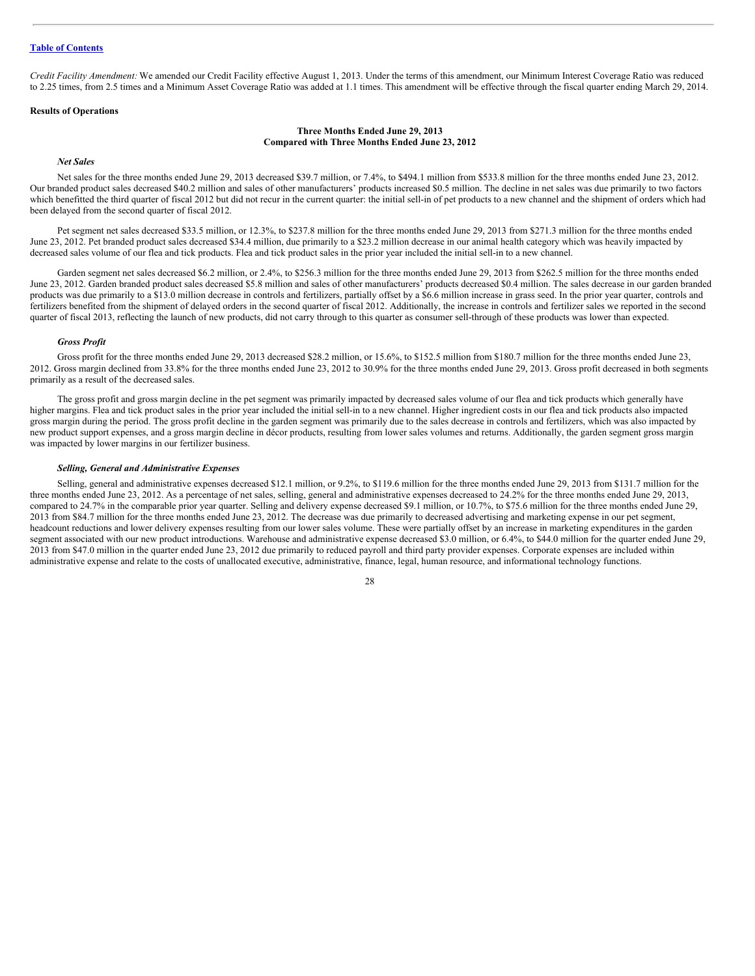*Credit Facility Amendment:* We amended our Credit Facility effective August 1, 2013. Under the terms of this amendment, our Minimum Interest Coverage Ratio was reduced to 2.25 times, from 2.5 times and a Minimum Asset Coverage Ratio was added at 1.1 times. This amendment will be effective through the fiscal quarter ending March 29, 2014.

#### **Results of Operations**

#### **Three Months Ended June 29, 2013 Compared with Three Months Ended June 23, 2012**

# *Net Sales*

Net sales for the three months ended June 29, 2013 decreased \$39.7 million, or 7.4%, to \$494.1 million from \$533.8 million for the three months ended June 23, 2012. Our branded product sales decreased \$40.2 million and sales of other manufacturers' products increased \$0.5 million. The decline in net sales was due primarily to two factors which benefitted the third quarter of fiscal 2012 but did not recur in the current quarter: the initial sell-in of pet products to a new channel and the shipment of orders which had been delayed from the second quarter of fiscal 2012.

Pet segment net sales decreased \$33.5 million, or 12.3%, to \$237.8 million for the three months ended June 29, 2013 from \$271.3 million for the three months ended June 23, 2012. Pet branded product sales decreased \$34.4 million, due primarily to a \$23.2 million decrease in our animal health category which was heavily impacted by decreased sales volume of our flea and tick products. Flea and tick product sales in the prior year included the initial sell-in to a new channel.

Garden segment net sales decreased \$6.2 million, or 2.4%, to \$256.3 million for the three months ended June 29, 2013 from \$262.5 million for the three months ended June 23, 2012. Garden branded product sales decreased \$5.8 million and sales of other manufacturers' products decreased \$0.4 million. The sales decrease in our garden branded products was due primarily to a \$13.0 million decrease in controls and fertilizers, partially offset by a \$6.6 million increase in grass seed. In the prior year quarter, controls and fertilizers benefited from the shipment of delayed orders in the second quarter of fiscal 2012. Additionally, the increase in controls and fertilizer sales we reported in the second quarter of fiscal 2013, reflecting the launch of new products, did not carry through to this quarter as consumer sell-through of these products was lower than expected.

#### *Gross Profit*

Gross profit for the three months ended June 29, 2013 decreased \$28.2 million, or 15.6%, to \$152.5 million from \$180.7 million for the three months ended June 23, 2012. Gross margin declined from 33.8% for the three months ended June 23, 2012 to 30.9% for the three months ended June 29, 2013. Gross profit decreased in both segments primarily as a result of the decreased sales.

The gross profit and gross margin decline in the pet segment was primarily impacted by decreased sales volume of our flea and tick products which generally have higher margins. Flea and tick product sales in the prior year included the initial sell-in to a new channel. Higher ingredient costs in our flea and tick products also impacted gross margin during the period. The gross profit decline in the garden segment was primarily due to the sales decrease in controls and fertilizers, which was also impacted by new product support expenses, and a gross margin decline in décor products, resulting from lower sales volumes and returns. Additionally, the garden segment gross margin was impacted by lower margins in our fertilizer business.

## *Selling, General and Administrative Expenses*

Selling, general and administrative expenses decreased \$12.1 million, or 9.2%, to \$119.6 million for the three months ended June 29, 2013 from \$131.7 million for the three months ended June 23, 2012. As a percentage of net sales, selling, general and administrative expenses decreased to 24.2% for the three months ended June 29, 2013, compared to 24.7% in the comparable prior year quarter. Selling and delivery expense decreased \$9.1 million, or 10.7%, to \$75.6 million for the three months ended June 29, 2013 from \$84.7 million for the three months ended June 23, 2012. The decrease was due primarily to decreased advertising and marketing expense in our pet segment, headcount reductions and lower delivery expenses resulting from our lower sales volume. These were partially offset by an increase in marketing expenditures in the garden segment associated with our new product introductions. Warehouse and administrative expense decreased \$3.0 million, or 6.4%, to \$44.0 million for the quarter ended June 29, 2013 from \$47.0 million in the quarter ended June 23, 2012 due primarily to reduced payroll and third party provider expenses. Corporate expenses are included within administrative expense and relate to the costs of unallocated executive, administrative, finance, legal, human resource, and informational technology functions.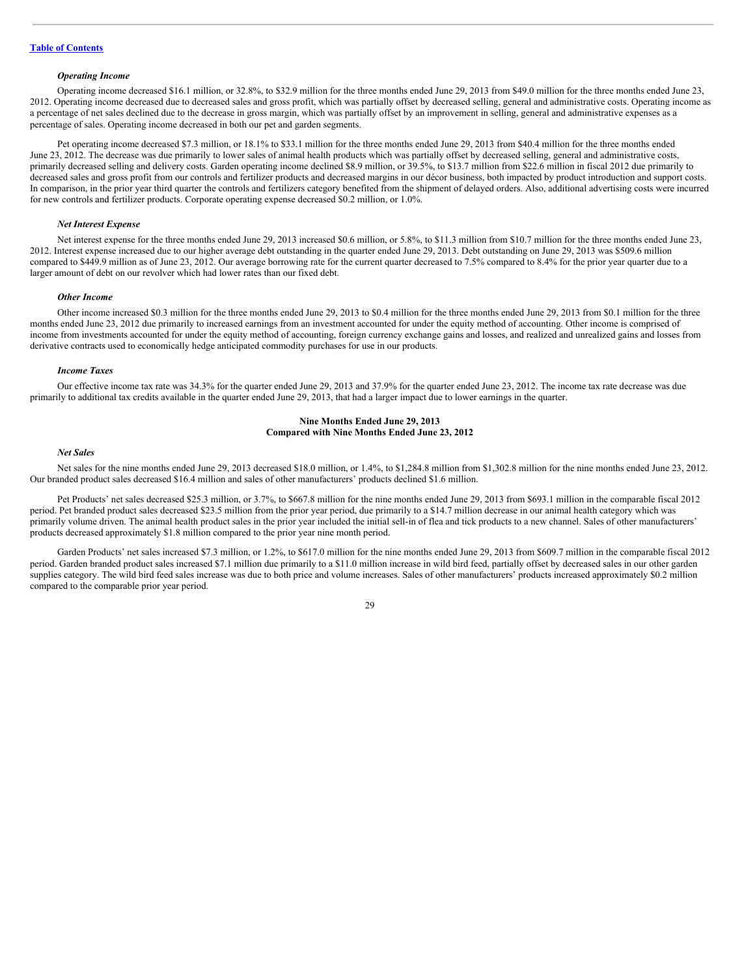# *Operating Income*

Operating income decreased \$16.1 million, or 32.8%, to \$32.9 million for the three months ended June 29, 2013 from \$49.0 million for the three months ended June 23, 2012. Operating income decreased due to decreased sales and gross profit, which was partially offset by decreased selling, general and administrative costs. Operating income as a percentage of net sales declined due to the decrease in gross margin, which was partially offset by an improvement in selling, general and administrative expenses as a percentage of sales. Operating income decreased in both our pet and garden segments.

Pet operating income decreased \$7.3 million, or 18.1% to \$33.1 million for the three months ended June 29, 2013 from \$40.4 million for the three months ended June 23, 2012. The decrease was due primarily to lower sales of animal health products which was partially offset by decreased selling, general and administrative costs, primarily decreased selling and delivery costs. Garden operating income declined \$8.9 million, or 39.5%, to \$13.7 million from \$22.6 million in fiscal 2012 due primarily to decreased sales and gross profit from our controls and fertilizer products and decreased margins in our décor business, both impacted by product introduction and support costs. In comparison, in the prior year third quarter the controls and fertilizers category benefited from the shipment of delayed orders. Also, additional advertising costs were incurred for new controls and fertilizer products. Corporate operating expense decreased \$0.2 million, or 1.0%.

#### *Net Interest Expense*

Net interest expense for the three months ended June 29, 2013 increased \$0.6 million, or 5.8%, to \$11.3 million from \$10.7 million for the three months ended June 23, 2012. Interest expense increased due to our higher average debt outstanding in the quarter ended June 29, 2013. Debt outstanding on June 29, 2013 was \$509.6 million compared to \$449.9 million as of June 23, 2012. Our average borrowing rate for the current quarter decreased to 7.5% compared to 8.4% for the prior year quarter due to a larger amount of debt on our revolver which had lower rates than our fixed debt.

# *Other Income*

Other income increased \$0.3 million for the three months ended June 29, 2013 to \$0.4 million for the three months ended June 29, 2013 from \$0.1 million for the three months ended June 23, 2012 due primarily to increased earnings from an investment accounted for under the equity method of accounting. Other income is comprised of income from investments accounted for under the equity method of accounting, foreign currency exchange gains and losses, and realized and unrealized gains and losses from derivative contracts used to economically hedge anticipated commodity purchases for use in our products.

#### *Income Taxes*

Our effective income tax rate was 34.3% for the quarter ended June 29, 2013 and 37.9% for the quarter ended June 23, 2012. The income tax rate decrease was due primarily to additional tax credits available in the quarter ended June 29, 2013, that had a larger impact due to lower earnings in the quarter.

#### **Nine Months Ended June 29, 2013 Compared with Nine Months Ended June 23, 2012**

# *Net Sales*

Net sales for the nine months ended June 29, 2013 decreased \$18.0 million, or 1.4%, to \$1,284.8 million from \$1,302.8 million for the nine months ended June 23, 2012. Our branded product sales decreased \$16.4 million and sales of other manufacturers' products declined \$1.6 million.

Pet Products' net sales decreased \$25.3 million, or 3.7%, to \$667.8 million for the nine months ended June 29, 2013 from \$693.1 million in the comparable fiscal 2012 period. Pet branded product sales decreased \$23.5 million from the prior year period, due primarily to a \$14.7 million decrease in our animal health category which was primarily volume driven. The animal health product sales in the prior year included the initial sell-in of flea and tick products to a new channel. Sales of other manufacturers' products decreased approximately \$1.8 million compared to the prior year nine month period.

Garden Products' net sales increased \$7.3 million, or 1.2%, to \$617.0 million for the nine months ended June 29, 2013 from \$609.7 million in the comparable fiscal 2012 period. Garden branded product sales increased \$7.1 million due primarily to a \$11.0 million increase in wild bird feed, partially offset by decreased sales in our other garden supplies category. The wild bird feed sales increase was due to both price and volume increases. Sales of other manufacturers' products increased approximately \$0.2 million compared to the comparable prior year period.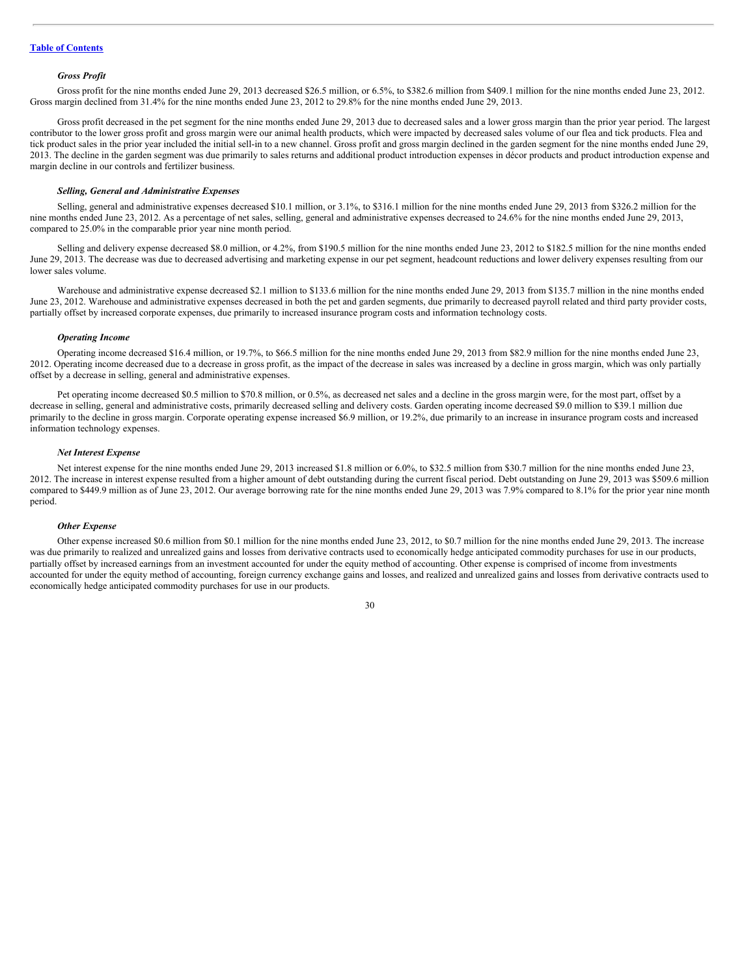#### *Gross Profit*

Gross profit for the nine months ended June 29, 2013 decreased \$26.5 million, or 6.5%, to \$382.6 million from \$409.1 million for the nine months ended June 23, 2012. Gross margin declined from 31.4% for the nine months ended June 23, 2012 to 29.8% for the nine months ended June 29, 2013.

Gross profit decreased in the pet segment for the nine months ended June 29, 2013 due to decreased sales and a lower gross margin than the prior year period. The largest contributor to the lower gross profit and gross margin were our animal health products, which were impacted by decreased sales volume of our flea and tick products. Flea and tick product sales in the prior year included the initial sell-in to a new channel. Gross profit and gross margin declined in the garden segment for the nine months ended June 29, 2013. The decline in the garden segment was due primarily to sales returns and additional product introduction expenses in décor products and product introduction expense and margin decline in our controls and fertilizer business.

#### *Selling, General and Administrative Expenses*

Selling, general and administrative expenses decreased \$10.1 million, or 3.1%, to \$316.1 million for the nine months ended June 29, 2013 from \$326.2 million for the nine months ended June 23, 2012. As a percentage of net sales, selling, general and administrative expenses decreased to 24.6% for the nine months ended June 29, 2013, compared to 25.0% in the comparable prior year nine month period.

Selling and delivery expense decreased \$8.0 million, or 4.2%, from \$190.5 million for the nine months ended June 23, 2012 to \$182.5 million for the nine months ended June 29, 2013. The decrease was due to decreased advertising and marketing expense in our pet segment, headcount reductions and lower delivery expenses resulting from our lower sales volume.

Warehouse and administrative expense decreased \$2.1 million to \$133.6 million for the nine months ended June 29, 2013 from \$135.7 million in the nine months ended June 23, 2012. Warehouse and administrative expenses decreased in both the pet and garden segments, due primarily to decreased payroll related and third party provider costs, partially offset by increased corporate expenses, due primarily to increased insurance program costs and information technology costs.

#### *Operating Income*

Operating income decreased \$16.4 million, or 19.7%, to \$66.5 million for the nine months ended June 29, 2013 from \$82.9 million for the nine months ended June 23, 2012. Operating income decreased due to a decrease in gross profit, as the impact of the decrease in sales was increased by a decline in gross margin, which was only partially offset by a decrease in selling, general and administrative expenses.

Pet operating income decreased \$0.5 million to \$70.8 million, or 0.5%, as decreased net sales and a decline in the gross margin were, for the most part, offset by a decrease in selling, general and administrative costs, primarily decreased selling and delivery costs. Garden operating income decreased \$9.0 million to \$39.1 million due primarily to the decline in gross margin. Corporate operating expense increased \$6.9 million, or 19.2%, due primarily to an increase in insurance program costs and increased information technology expenses.

# *Net Interest Expense*

Net interest expense for the nine months ended June 29, 2013 increased \$1.8 million or 6.0%, to \$32.5 million from \$30.7 million for the nine months ended June 23, 2012. The increase in interest expense resulted from a higher amount of debt outstanding during the current fiscal period. Debt outstanding on June 29, 2013 was \$509.6 million compared to \$449.9 million as of June 23, 2012. Our average borrowing rate for the nine months ended June 29, 2013 was 7.9% compared to 8.1% for the prior year nine month period.

#### *Other Expense*

Other expense increased \$0.6 million from \$0.1 million for the nine months ended June 23, 2012, to \$0.7 million for the nine months ended June 29, 2013. The increase was due primarily to realized and unrealized gains and losses from derivative contracts used to economically hedge anticipated commodity purchases for use in our products, partially offset by increased earnings from an investment accounted for under the equity method of accounting. Other expense is comprised of income from investments accounted for under the equity method of accounting, foreign currency exchange gains and losses, and realized and unrealized gains and losses from derivative contracts used to economically hedge anticipated commodity purchases for use in our products.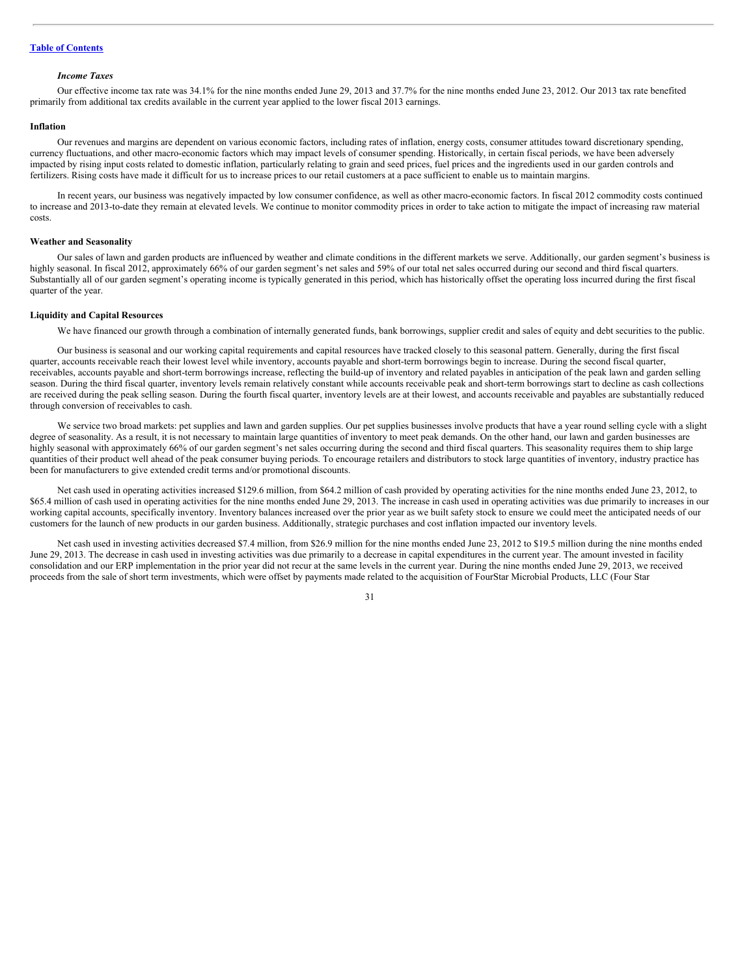#### *Income Taxes*

Our effective income tax rate was 34.1% for the nine months ended June 29, 2013 and 37.7% for the nine months ended June 23, 2012. Our 2013 tax rate benefited primarily from additional tax credits available in the current year applied to the lower fiscal 2013 earnings.

#### **Inflation**

Our revenues and margins are dependent on various economic factors, including rates of inflation, energy costs, consumer attitudes toward discretionary spending, currency fluctuations, and other macro-economic factors which may impact levels of consumer spending. Historically, in certain fiscal periods, we have been adversely impacted by rising input costs related to domestic inflation, particularly relating to grain and seed prices, fuel prices and the ingredients used in our garden controls and fertilizers. Rising costs have made it difficult for us to increase prices to our retail customers at a pace sufficient to enable us to maintain margins.

In recent years, our business was negatively impacted by low consumer confidence, as well as other macro-economic factors. In fiscal 2012 commodity costs continued to increase and 2013-to-date they remain at elevated levels. We continue to monitor commodity prices in order to take action to mitigate the impact of increasing raw material costs.

# **Weather and Seasonality**

Our sales of lawn and garden products are influenced by weather and climate conditions in the different markets we serve. Additionally, our garden segment's business is highly seasonal. In fiscal 2012, approximately 66% of our garden segment's net sales and 59% of our total net sales occurred during our second and third fiscal quarters. Substantially all of our garden segment's operating income is typically generated in this period, which has historically offset the operating loss incurred during the first fiscal quarter of the year.

#### **Liquidity and Capital Resources**

We have financed our growth through a combination of internally generated funds, bank borrowings, supplier credit and sales of equity and debt securities to the public.

Our business is seasonal and our working capital requirements and capital resources have tracked closely to this seasonal pattern. Generally, during the first fiscal quarter, accounts receivable reach their lowest level while inventory, accounts payable and short-term borrowings begin to increase. During the second fiscal quarter, receivables, accounts payable and short-term borrowings increase, reflecting the build-up of inventory and related payables in anticipation of the peak lawn and garden selling season. During the third fiscal quarter, inventory levels remain relatively constant while accounts receivable peak and short-term borrowings start to decline as cash collections are received during the peak selling season. During the fourth fiscal quarter, inventory levels are at their lowest, and accounts receivable and payables are substantially reduced through conversion of receivables to cash.

We service two broad markets: pet supplies and lawn and garden supplies. Our pet supplies businesses involve products that have a year round selling cycle with a slight degree of seasonality. As a result, it is not necessary to maintain large quantities of inventory to meet peak demands. On the other hand, our lawn and garden businesses are highly seasonal with approximately 66% of our garden segment's net sales occurring during the second and third fiscal quarters. This seasonality requires them to ship large quantities of their product well ahead of the peak consumer buying periods. To encourage retailers and distributors to stock large quantities of inventory, industry practice has been for manufacturers to give extended credit terms and/or promotional discounts.

Net cash used in operating activities increased \$129.6 million, from \$64.2 million of cash provided by operating activities for the nine months ended June 23, 2012, to \$65.4 million of cash used in operating activities for the nine months ended June 29, 2013. The increase in cash used in operating activities was due primarily to increases in our working capital accounts, specifically inventory. Inventory balances increased over the prior year as we built safety stock to ensure we could meet the anticipated needs of our customers for the launch of new products in our garden business. Additionally, strategic purchases and cost inflation impacted our inventory levels.

Net cash used in investing activities decreased \$7.4 million, from \$26.9 million for the nine months ended June 23, 2012 to \$19.5 million during the nine months ended June 29, 2013. The decrease in cash used in investing activities was due primarily to a decrease in capital expenditures in the current year. The amount invested in facility consolidation and our ERP implementation in the prior year did not recur at the same levels in the current year. During the nine months ended June 29, 2013, we received proceeds from the sale of short term investments, which were offset by payments made related to the acquisition of FourStar Microbial Products, LLC (Four Star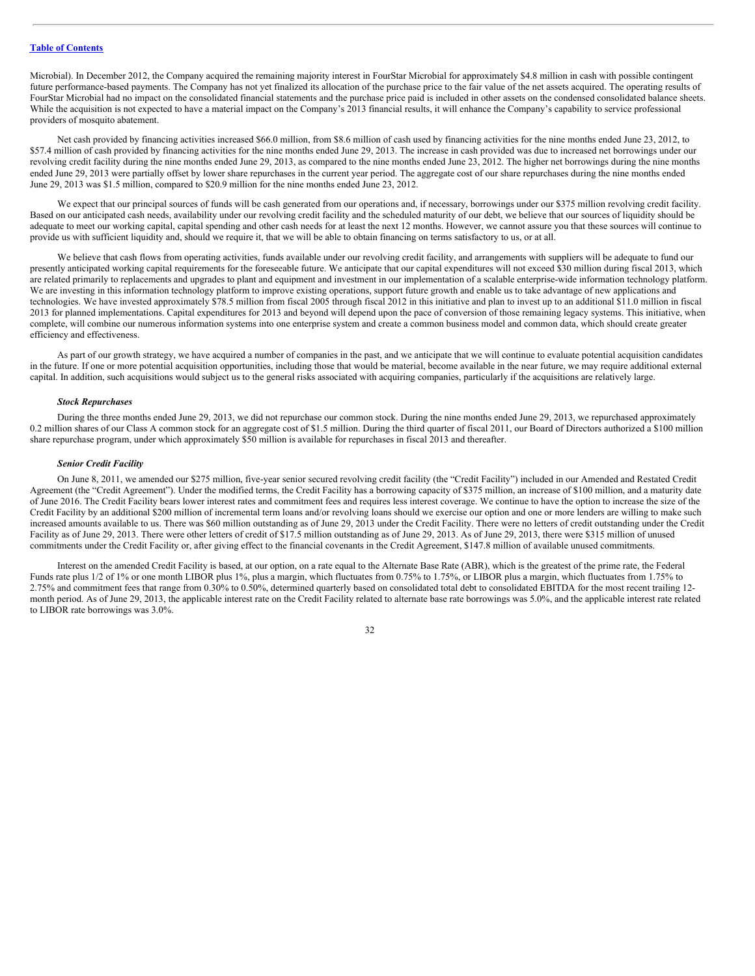Microbial). In December 2012, the Company acquired the remaining majority interest in FourStar Microbial for approximately \$4.8 million in cash with possible contingent future performance-based payments. The Company has not yet finalized its allocation of the purchase price to the fair value of the net assets acquired. The operating results of FourStar Microbial had no impact on the consolidated financial statements and the purchase price paid is included in other assets on the condensed consolidated balance sheets. While the acquisition is not expected to have a material impact on the Company's 2013 financial results, it will enhance the Company's capability to service professional providers of mosquito abatement.

Net cash provided by financing activities increased \$66.0 million, from \$8.6 million of cash used by financing activities for the nine months ended June 23, 2012, to \$57.4 million of cash provided by financing activities for the nine months ended June 29, 2013. The increase in cash provided was due to increased net borrowings under our revolving credit facility during the nine months ended June 29, 2013, as compared to the nine months ended June 23, 2012. The higher net borrowings during the nine months ended June 29, 2013 were partially offset by lower share repurchases in the current year period. The aggregate cost of our share repurchases during the nine months ended June 29, 2013 was \$1.5 million, compared to \$20.9 million for the nine months ended June 23, 2012.

We expect that our principal sources of funds will be cash generated from our operations and, if necessary, borrowings under our \$375 million revolving credit facility. Based on our anticipated cash needs, availability under our revolving credit facility and the scheduled maturity of our debt, we believe that our sources of liquidity should be adequate to meet our working capital, capital spending and other cash needs for at least the next 12 months. However, we cannot assure you that these sources will continue to provide us with sufficient liquidity and, should we require it, that we will be able to obtain financing on terms satisfactory to us, or at all.

We believe that cash flows from operating activities, funds available under our revolving credit facility, and arrangements with suppliers will be adequate to fund our presently anticipated working capital requirements for the foreseeable future. We anticipate that our capital expenditures will not exceed \$30 million during fiscal 2013, which are related primarily to replacements and upgrades to plant and equipment and investment in our implementation of a scalable enterprise-wide information technology platform. We are investing in this information technology platform to improve existing operations, support future growth and enable us to take advantage of new applications and technologies. We have invested approximately \$78.5 million from fiscal 2005 through fiscal 2012 in this initiative and plan to invest up to an additional \$11.0 million in fiscal 2013 for planned implementations. Capital expenditures for 2013 and beyond will depend upon the pace of conversion of those remaining legacy systems. This initiative, when complete, will combine our numerous information systems into one enterprise system and create a common business model and common data, which should create greater efficiency and effectiveness.

As part of our growth strategy, we have acquired a number of companies in the past, and we anticipate that we will continue to evaluate potential acquisition candidates in the future. If one or more potential acquisition opportunities, including those that would be material, become available in the near future, we may require additional external capital. In addition, such acquisitions would subject us to the general risks associated with acquiring companies, particularly if the acquisitions are relatively large.

## *Stock Repurchases*

During the three months ended June 29, 2013, we did not repurchase our common stock. During the nine months ended June 29, 2013, we repurchased approximately 0.2 million shares of our Class A common stock for an aggregate cost of \$1.5 million. During the third quarter of fiscal 2011, our Board of Directors authorized a \$100 million share repurchase program, under which approximately \$50 million is available for repurchases in fiscal 2013 and thereafter.

#### *Senior Credit Facility*

On June 8, 2011, we amended our \$275 million, five-year senior secured revolving credit facility (the "Credit Facility") included in our Amended and Restated Credit Agreement (the "Credit Agreement"). Under the modified terms, the Credit Facility has a borrowing capacity of \$375 million, an increase of \$100 million, and a maturity date of June 2016. The Credit Facility bears lower interest rates and commitment fees and requires less interest coverage. We continue to have the option to increase the size of the Credit Facility by an additional \$200 million of incremental term loans and/or revolving loans should we exercise our option and one or more lenders are willing to make such increased amounts available to us. There was \$60 million outstanding as of June 29, 2013 under the Credit Facility. There were no letters of credit outstanding under the Credit Facility as of June 29, 2013. There were other letters of credit of \$17.5 million outstanding as of June 29, 2013. As of June 29, 2013, there were \$315 million of unused commitments under the Credit Facility or, after giving effect to the financial covenants in the Credit Agreement, \$147.8 million of available unused commitments.

Interest on the amended Credit Facility is based, at our option, on a rate equal to the Alternate Base Rate (ABR), which is the greatest of the prime rate, the Federal Funds rate plus 1/2 of 1% or one month LIBOR plus 1%, plus a margin, which fluctuates from 0.75% to 1.75%, or LIBOR plus a margin, which fluctuates from 1.75% to 2.75% and commitment fees that range from 0.30% to 0.50%, determined quarterly based on consolidated total debt to consolidated EBITDA for the most recent trailing 12month period. As of June 29, 2013, the applicable interest rate on the Credit Facility related to alternate base rate borrowings was 5.0%, and the applicable interest rate related to LIBOR rate borrowings was 3.0%.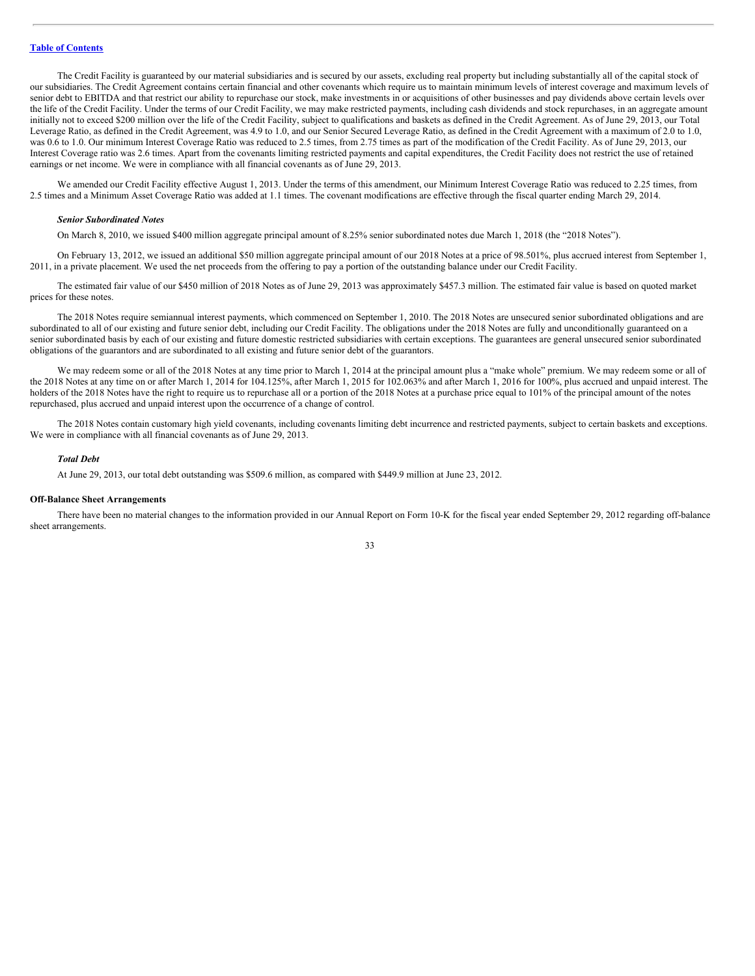The Credit Facility is guaranteed by our material subsidiaries and is secured by our assets, excluding real property but including substantially all of the capital stock of our subsidiaries. The Credit Agreement contains certain financial and other covenants which require us to maintain minimum levels of interest coverage and maximum levels of senior debt to EBITDA and that restrict our ability to repurchase our stock, make investments in or acquisitions of other businesses and pay dividends above certain levels over the life of the Credit Facility. Under the terms of our Credit Facility, we may make restricted payments, including cash dividends and stock repurchases, in an aggregate amount initially not to exceed \$200 million over the life of the Credit Facility, subject to qualifications and baskets as defined in the Credit Agreement. As of June 29, 2013, our Total Leverage Ratio, as defined in the Credit Agreement, was 4.9 to 1.0, and our Senior Secured Leverage Ratio, as defined in the Credit Agreement with a maximum of 2.0 to 1.0, was 0.6 to 1.0. Our minimum Interest Coverage Ratio was reduced to 2.5 times, from 2.75 times as part of the modification of the Credit Facility. As of June 29, 2013, our Interest Coverage ratio was 2.6 times. Apart from the covenants limiting restricted payments and capital expenditures, the Credit Facility does not restrict the use of retained earnings or net income. We were in compliance with all financial covenants as of June 29, 2013.

We amended our Credit Facility effective August 1, 2013. Under the terms of this amendment, our Minimum Interest Coverage Ratio was reduced to 2.25 times, from 2.5 times and a Minimum Asset Coverage Ratio was added at 1.1 times. The covenant modifications are effective through the fiscal quarter ending March 29, 2014.

#### *Senior Subordinated Notes*

On March 8, 2010, we issued \$400 million aggregate principal amount of 8.25% senior subordinated notes due March 1, 2018 (the "2018 Notes").

On February 13, 2012, we issued an additional \$50 million aggregate principal amount of our 2018 Notes at a price of 98.501%, plus accrued interest from September 1, 2011, in a private placement. We used the net proceeds from the offering to pay a portion of the outstanding balance under our Credit Facility.

The estimated fair value of our \$450 million of 2018 Notes as of June 29, 2013 was approximately \$457.3 million. The estimated fair value is based on quoted market prices for these notes.

The 2018 Notes require semiannual interest payments, which commenced on September 1, 2010. The 2018 Notes are unsecured senior subordinated obligations and are subordinated to all of our existing and future senior debt, including our Credit Facility. The obligations under the 2018 Notes are fully and unconditionally guaranteed on a senior subordinated basis by each of our existing and future domestic restricted subsidiaries with certain exceptions. The guarantees are general unsecured senior subordinated obligations of the guarantors and are subordinated to all existing and future senior debt of the guarantors.

We may redeem some or all of the 2018 Notes at any time prior to March 1, 2014 at the principal amount plus a "make whole" premium. We may redeem some or all of the 2018 Notes at any time on or after March 1, 2014 for 104.125%, after March 1, 2015 for 102.063% and after March 1, 2016 for 100%, plus accrued and unpaid interest. The holders of the 2018 Notes have the right to require us to repurchase all or a portion of the 2018 Notes at a purchase price equal to 101% of the principal amount of the notes repurchased, plus accrued and unpaid interest upon the occurrence of a change of control.

The 2018 Notes contain customary high yield covenants, including covenants limiting debt incurrence and restricted payments, subject to certain baskets and exceptions. We were in compliance with all financial covenants as of June 29, 2013.

#### *Total Debt*

At June 29, 2013, our total debt outstanding was \$509.6 million, as compared with \$449.9 million at June 23, 2012.

## **Off-Balance Sheet Arrangements**

There have been no material changes to the information provided in our Annual Report on Form 10-K for the fiscal year ended September 29, 2012 regarding off-balance sheet arrangements.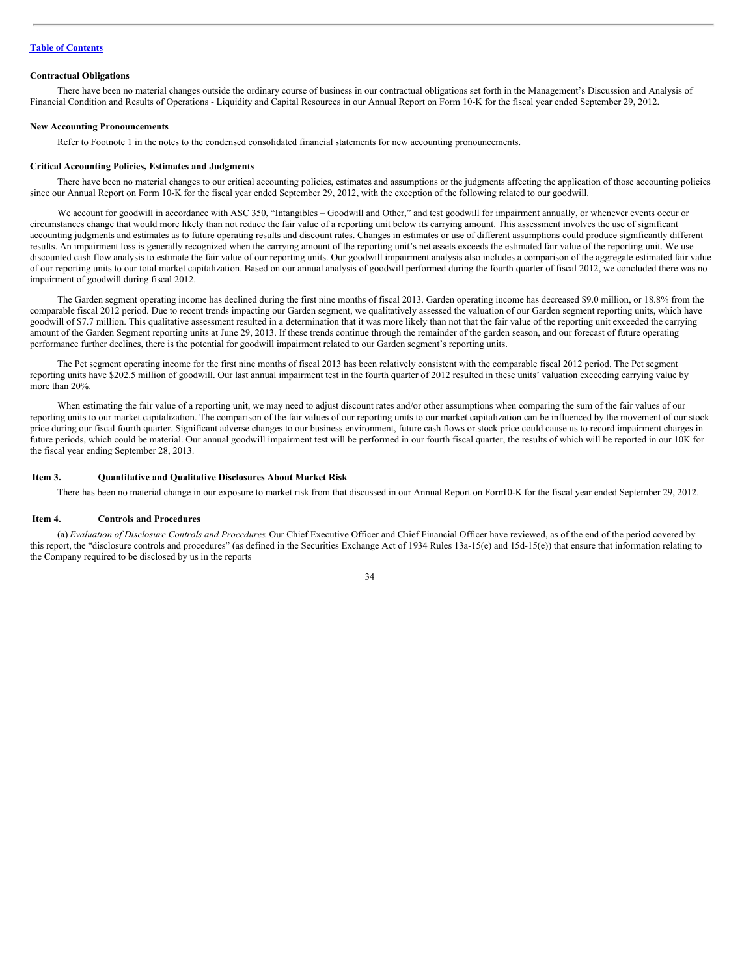#### **Contractual Obligations**

There have been no material changes outside the ordinary course of business in our contractual obligations set forth in the Management's Discussion and Analysis of Financial Condition and Results of Operations - Liquidity and Capital Resources in our Annual Report on Form 10-K for the fiscal year ended September 29, 2012.

#### **New Accounting Pronouncements**

Refer to Footnote 1 in the notes to the condensed consolidated financial statements for new accounting pronouncements.

#### **Critical Accounting Policies, Estimates and Judgments**

There have been no material changes to our critical accounting policies, estimates and assumptions or the judgments affecting the application of those accounting policies since our Annual Report on Form 10-K for the fiscal year ended September 29, 2012, with the exception of the following related to our goodwill.

We account for goodwill in accordance with ASC 350, "Intangibles - Goodwill and Other," and test goodwill for impairment annually, or whenever events occur or circumstances change that would more likely than not reduce the fair value of a reporting unit below its carrying amount. This assessment involves the use of significant accounting judgments and estimates as to future operating results and discount rates. Changes in estimates or use of different assumptions could produce significantly different results. An impairment loss is generally recognized when the carrying amount of the reporting unit's net assets exceeds the estimated fair value of the reporting unit. We use discounted cash flow analysis to estimate the fair value of our reporting units. Our goodwill impairment analysis also includes a comparison of the aggregate estimated fair value of our reporting units to our total market capitalization. Based on our annual analysis of goodwill performed during the fourth quarter of fiscal 2012, we concluded there was no impairment of goodwill during fiscal 2012.

The Garden segment operating income has declined during the first nine months of fiscal 2013. Garden operating income has decreased \$9.0 million, or 18.8% from the comparable fiscal 2012 period. Due to recent trends impacting our Garden segment, we qualitatively assessed the valuation of our Garden segment reporting units, which have goodwill of \$7.7 million. This qualitative assessment resulted in a determination that it was more likely than not that the fair value of the reporting unit exceeded the carrying amount of the Garden Segment reporting units at June 29, 2013. If these trends continue through the remainder of the garden season, and our forecast of future operating performance further declines, there is the potential for goodwill impairment related to our Garden segment's reporting units.

The Pet segment operating income for the first nine months of fiscal 2013 has been relatively consistent with the comparable fiscal 2012 period. The Pet segment reporting units have \$202.5 million of goodwill. Our last annual impairment test in the fourth quarter of 2012 resulted in these units' valuation exceeding carrying value by more than 20%.

When estimating the fair value of a reporting unit, we may need to adjust discount rates and/or other assumptions when comparing the sum of the fair values of our reporting units to our market capitalization. The comparison of the fair values of our reporting units to our market capitalization can be influenced by the movement of our stock price during our fiscal fourth quarter. Significant adverse changes to our business environment, future cash flows or stock price could cause us to record impairment charges in future periods, which could be material. Our annual goodwill impairment test will be performed in our fourth fiscal quarter, the results of which will be reported in our 10K for the fiscal year ending September 28, 2013.

#### <span id="page-33-0"></span>**Item 3. Quantitative and Qualitative Disclosures About Market Risk**

There has been no material change in our exposure to market risk from that discussed in our Annual Report on Form10-K for the fiscal year ended September 29, 2012.

#### <span id="page-33-1"></span>**Item 4. Controls and Procedures**

(a) *Evaluation of Disclosure Controls and Procedures*. Our Chief Executive Officer and Chief Financial Officer have reviewed, as of the end of the period covered by this report, the "disclosure controls and procedures" (as defined in the Securities Exchange Act of 1934 Rules 13a-15(e) and 15d-15(e)) that ensure that information relating to the Company required to be disclosed by us in the reports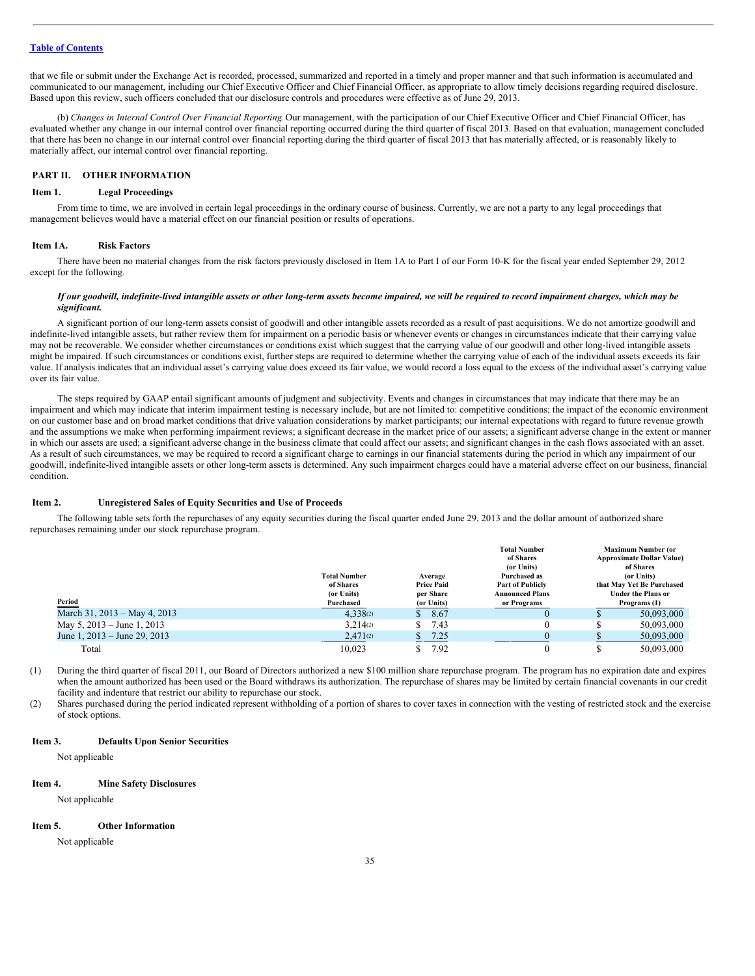that we file or submit under the Exchange Act is recorded, processed, summarized and reported in a timely and proper manner and that such information is accumulated and communicated to our management, including our Chief Executive Officer and Chief Financial Officer, as appropriate to allow timely decisions regarding required disclosure. Based upon this review, such officers concluded that our disclosure controls and procedures were effective as of June 29, 2013.

(b) *Changes in Internal Control Over Financial Reporting*. Our management, with the participation of our Chief Executive Officer and Chief Financial Officer, has evaluated whether any change in our internal control over financial reporting occurred during the third quarter of fiscal 2013. Based on that evaluation, management concluded that there has been no change in our internal control over financial reporting during the third quarter of fiscal 2013 that has materially affected, or is reasonably likely to materially affect, our internal control over financial reporting.

## <span id="page-34-0"></span>**PART II. OTHER INFORMATION**

### <span id="page-34-1"></span>**Item 1. Legal Proceedings**

From time to time, we are involved in certain legal proceedings in the ordinary course of business. Currently, we are not a party to any legal proceedings that management believes would have a material effect on our financial position or results of operations.

## <span id="page-34-2"></span>**Item 1A. Risk Factors**

There have been no material changes from the risk factors previously disclosed in Item 1A to Part I of our Form 10-K for the fiscal year ended September 29, 2012 except for the following.

# If our goodwill, indefinite-lived intangible assets or other long-term assets become impaired, we will be required to record impairment charges, which may be *significant.*

A significant portion of our long-term assets consist of goodwill and other intangible assets recorded as a result of past acquisitions. We do not amortize goodwill and indefinite-lived intangible assets, but rather review them for impairment on a periodic basis or whenever events or changes in circumstances indicate that their carrying value may not be recoverable. We consider whether circumstances or conditions exist which suggest that the carrying value of our goodwill and other long-lived intangible assets might be impaired. If such circumstances or conditions exist, further steps are required to determine whether the carrying value of each of the individual assets exceeds its fair value. If analysis indicates that an individual asset's carrying value does exceed its fair value, we would record a loss equal to the excess of the individual asset's carrying value over its fair value.

The steps required by GAAP entail significant amounts of judgment and subjectivity. Events and changes in circumstances that may indicate that there may be an impairment and which may indicate that interim impairment testing is necessary include, but are not limited to: competitive conditions; the impact of the economic environment on our customer base and on broad market conditions that drive valuation considerations by market participants; our internal expectations with regard to future revenue growth and the assumptions we make when performing impairment reviews; a significant decrease in the market price of our assets; a significant adverse change in the extent or manner in which our assets are used; a significant adverse change in the business climate that could affect our assets; and significant changes in the cash flows associated with an asset. As a result of such circumstances, we may be required to record a significant charge to earnings in our financial statements during the period in which any impairment of our goodwill, indefinite-lived intangible assets or other long-term assets is determined. Any such impairment charges could have a material adverse effect on our business, financial condition.

#### <span id="page-34-3"></span>**Item 2. Unregistered Sales of Equity Securities and Use of Proceeds**

The following table sets forth the repurchases of any equity securities during the fiscal quarter ended June 29, 2013 and the dollar amount of authorized share repurchases remaining under our stock repurchase program.

|                              | <b>Total Number</b><br>of Shares<br>(or Units) | Average<br><b>Price Paid</b><br>per Share | <b>Total Number</b><br>of Shares<br>(or Units)<br>Purchased as<br><b>Part of Publicly</b><br><b>Announced Plans</b> | <b>Maximum Number (or</b><br><b>Approximate Dollar Value)</b><br>of Shares<br>(or Units)<br>that May Yet Be Purchased<br><b>Under the Plans or</b> |
|------------------------------|------------------------------------------------|-------------------------------------------|---------------------------------------------------------------------------------------------------------------------|----------------------------------------------------------------------------------------------------------------------------------------------------|
| Period                       | Purchased                                      | (or Units)                                | or Programs                                                                                                         | Programs (1)                                                                                                                                       |
| March 31, 2013 – May 4, 2013 | 4.338(2)                                       | 8.67<br>S.                                |                                                                                                                     | 50.093,000                                                                                                                                         |
| May $5, 2013 -$ June 1, 2013 | 3.214(2)                                       | 7.43<br>S.                                |                                                                                                                     | 50.093.000                                                                                                                                         |
| June 1, 2013 – June 29, 2013 | 2,471(2)                                       | 7.25                                      |                                                                                                                     | 50,093,000                                                                                                                                         |
| Total                        | 10.023                                         | 7.92                                      |                                                                                                                     | 50.093,000                                                                                                                                         |

(1) During the third quarter of fiscal 2011, our Board of Directors authorized a new \$100 million share repurchase program. The program has no expiration date and expires when the amount authorized has been used or the Board withdraws its authorization. The repurchase of shares may be limited by certain financial covenants in our credit facility and indenture that restrict our ability to repurchase our stock.

(2) Shares purchased during the period indicated represent withholding of a portion of shares to cover taxes in connection with the vesting of restricted stock and the exercise of stock options.

#### <span id="page-34-4"></span>**Item 3. Defaults Upon Senior Securities**

Not applicable

#### <span id="page-34-5"></span>**Item 4. Mine Safety Disclosures**

Not applicable

#### <span id="page-34-6"></span>**Item 5. Other Information**

Not applicable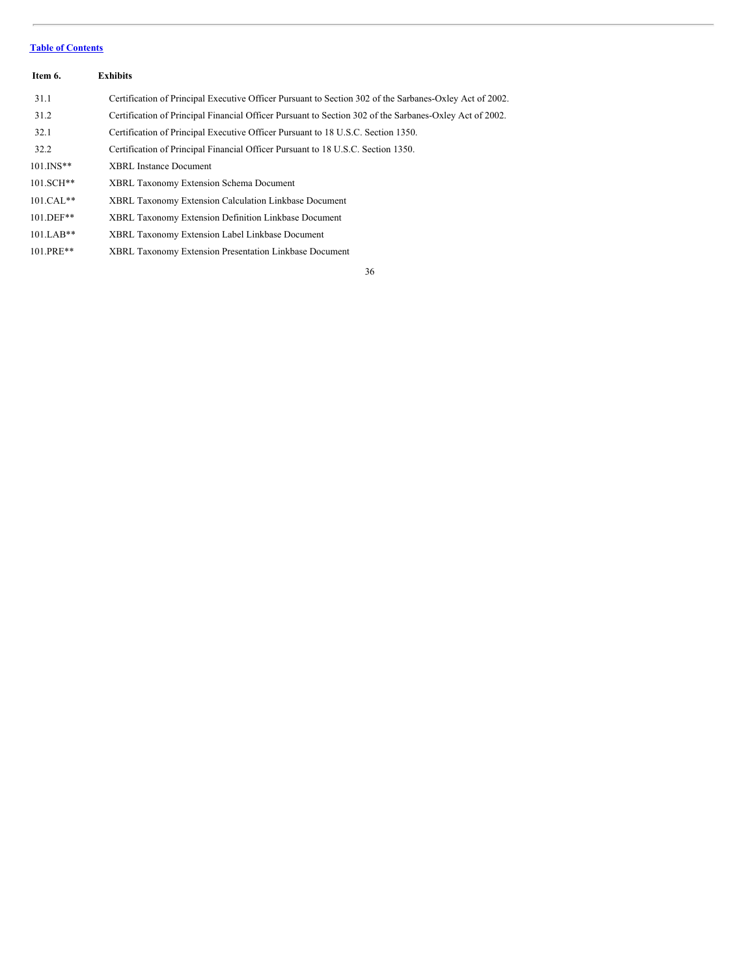<span id="page-35-0"></span>

| Item 6.      | <b>Exhibits</b>                                                                                         |
|--------------|---------------------------------------------------------------------------------------------------------|
| 31.1         | Certification of Principal Executive Officer Pursuant to Section 302 of the Sarbanes-Oxley Act of 2002. |
| 31.2         | Certification of Principal Financial Officer Pursuant to Section 302 of the Sarbanes-Oxley Act of 2002. |
| 32.1         | Certification of Principal Executive Officer Pursuant to 18 U.S.C. Section 1350.                        |
| 32.2         | Certification of Principal Financial Officer Pursuant to 18 U.S.C. Section 1350.                        |
| $101.$ INS** | <b>XBRL Instance Document</b>                                                                           |
| 101.SCH**    | <b>XBRL Taxonomy Extension Schema Document</b>                                                          |
| $101.CAL**$  | <b>XBRL Taxonomy Extension Calculation Linkbase Document</b>                                            |
| $101.$ DEF** | XBRL Taxonomy Extension Definition Linkbase Document                                                    |
| $101.LAB**$  | XBRL Taxonomy Extension Label Linkbase Document                                                         |
| 101.PRE**    | XBRL Taxonomy Extension Presentation Linkbase Document                                                  |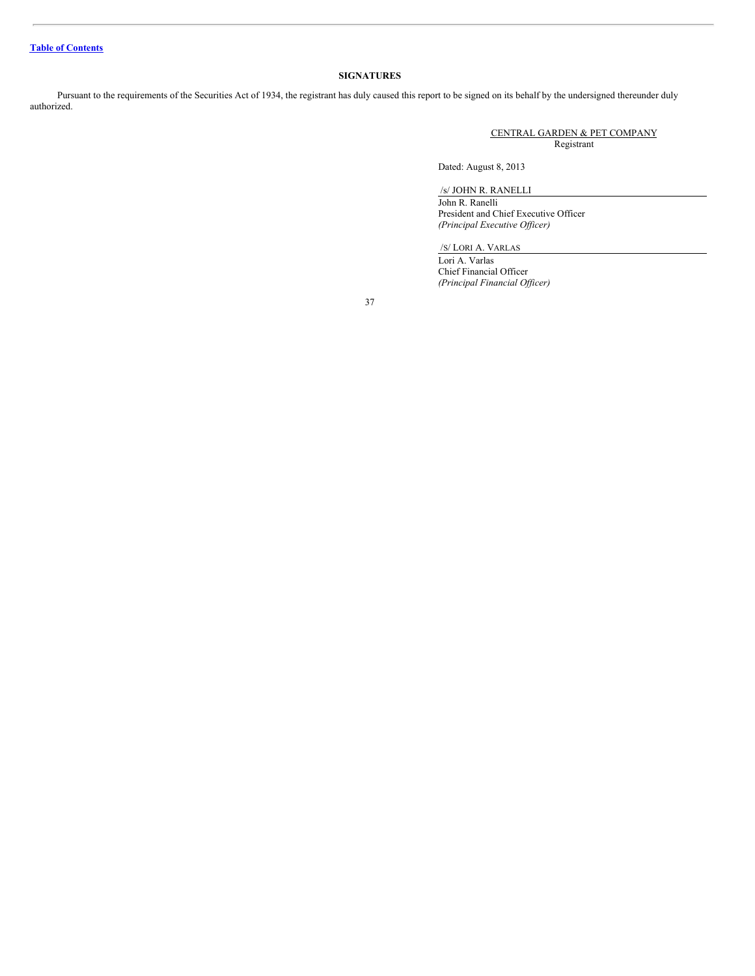# **SIGNATURES**

Pursuant to the requirements of the Securities Act of 1934, the registrant has duly caused this report to be signed on its behalf by the undersigned thereunder duly authorized.

> CENTRAL GARDEN & PET COMPANY Registrant

Dated: August 8, 2013

/s/ JOHN R. RANELLI

John R. Ranelli President and Chief Executive Officer *(Principal Executive Of icer)*

/S/ LORI A. VARLAS

Lori A. Varlas Chief Financial Officer *(Principal Financial Of icer)*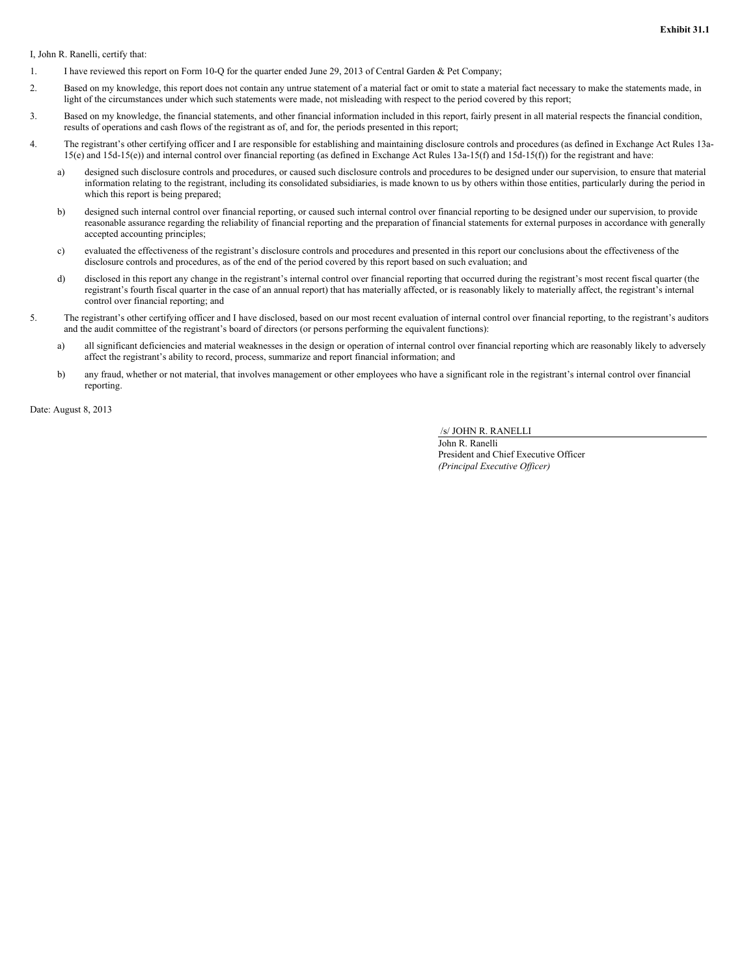I, John R. Ranelli, certify that:

- 1. I have reviewed this report on Form 10-Q for the quarter ended June 29, 2013 of Central Garden & Pet Company;
- 2. Based on my knowledge, this report does not contain any untrue statement of a material fact or omit to state a material fact necessary to make the statements made, in light of the circumstances under which such statements were made, not misleading with respect to the period covered by this report;
- 3. Based on my knowledge, the financial statements, and other financial information included in this report, fairly present in all material respects the financial condition, results of operations and cash flows of the registrant as of, and for, the periods presented in this report;
- 4. The registrant's other certifying officer and I are responsible for establishing and maintaining disclosure controls and procedures (as defined in Exchange Act Rules 13a-15(e) and 15d-15(e)) and internal control over financial reporting (as defined in Exchange Act Rules 13a-15(f) and 15d-15(f)) for the registrant and have:
	- a) designed such disclosure controls and procedures, or caused such disclosure controls and procedures to be designed under our supervision, to ensure that material information relating to the registrant, including its consolidated subsidiaries, is made known to us by others within those entities, particularly during the period in which this report is being prepared;
	- b) designed such internal control over financial reporting, or caused such internal control over financial reporting to be designed under our supervision, to provide reasonable assurance regarding the reliability of financial reporting and the preparation of financial statements for external purposes in accordance with generally accepted accounting principles;
	- c) evaluated the effectiveness of the registrant's disclosure controls and procedures and presented in this report our conclusions about the effectiveness of the disclosure controls and procedures, as of the end of the period covered by this report based on such evaluation; and
	- d) disclosed in this report any change in the registrant's internal control over financial reporting that occurred during the registrant's most recent fiscal quarter (the registrant's fourth fiscal quarter in the case of an annual report) that has materially affected, or is reasonably likely to materially affect, the registrant's internal control over financial reporting; and
- 5. The registrant's other certifying officer and I have disclosed, based on our most recent evaluation of internal control over financial reporting, to the registrant's auditors and the audit committee of the registrant's board of directors (or persons performing the equivalent functions):
	- a) all significant deficiencies and material weaknesses in the design or operation of internal control over financial reporting which are reasonably likely to adversely affect the registrant's ability to record, process, summarize and report financial information; and
	- b) any fraud, whether or not material, that involves management or other employees who have a significant role in the registrant's internal control over financial reporting.

Date: August 8, 2013

/s/ JOHN R. RANELLI

John R. Ranelli President and Chief Executive Officer *(Principal Executive Of icer)*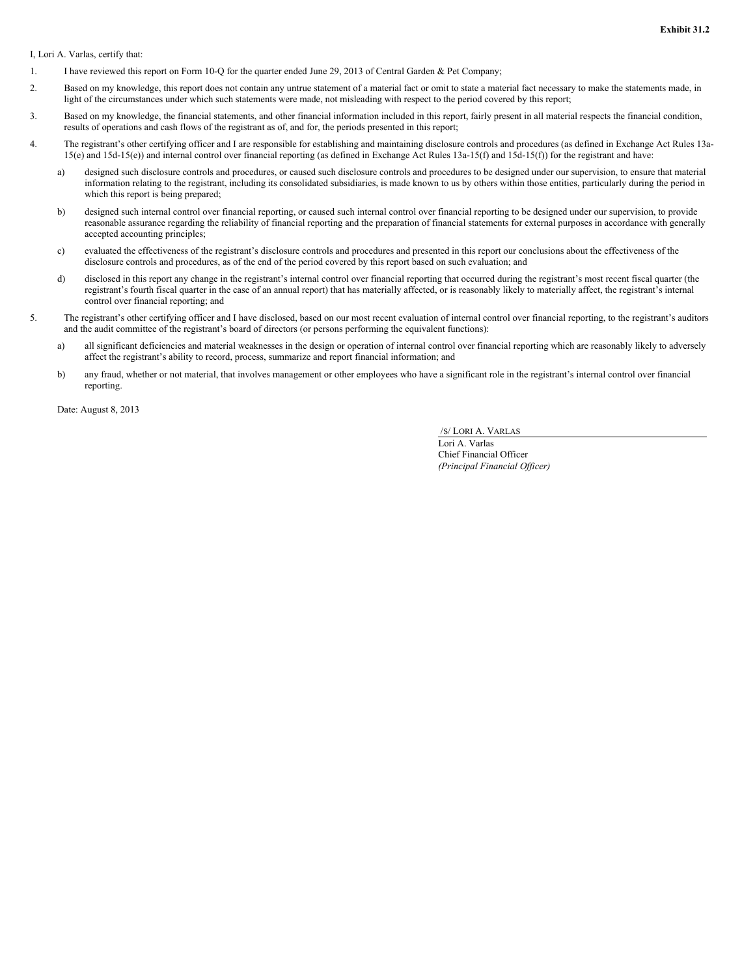I, Lori A. Varlas, certify that:

- 1. I have reviewed this report on Form 10-Q for the quarter ended June 29, 2013 of Central Garden & Pet Company;
- 2. Based on my knowledge, this report does not contain any untrue statement of a material fact or omit to state a material fact necessary to make the statements made, in light of the circumstances under which such statements were made, not misleading with respect to the period covered by this report;
- 3. Based on my knowledge, the financial statements, and other financial information included in this report, fairly present in all material respects the financial condition, results of operations and cash flows of the registrant as of, and for, the periods presented in this report;
- 4. The registrant's other certifying officer and I are responsible for establishing and maintaining disclosure controls and procedures (as defined in Exchange Act Rules 13a-15(e) and 15d-15(e)) and internal control over financial reporting (as defined in Exchange Act Rules 13a-15(f) and 15d-15(f)) for the registrant and have:
	- a) designed such disclosure controls and procedures, or caused such disclosure controls and procedures to be designed under our supervision, to ensure that material information relating to the registrant, including its consolidated subsidiaries, is made known to us by others within those entities, particularly during the period in which this report is being prepared;
	- b) designed such internal control over financial reporting, or caused such internal control over financial reporting to be designed under our supervision, to provide reasonable assurance regarding the reliability of financial reporting and the preparation of financial statements for external purposes in accordance with generally accepted accounting principles;
	- c) evaluated the effectiveness of the registrant's disclosure controls and procedures and presented in this report our conclusions about the effectiveness of the disclosure controls and procedures, as of the end of the period covered by this report based on such evaluation; and
	- d) disclosed in this report any change in the registrant's internal control over financial reporting that occurred during the registrant's most recent fiscal quarter (the registrant's fourth fiscal quarter in the case of an annual report) that has materially affected, or is reasonably likely to materially affect, the registrant's internal control over financial reporting; and
- 5. The registrant's other certifying officer and I have disclosed, based on our most recent evaluation of internal control over financial reporting, to the registrant's auditors and the audit committee of the registrant's board of directors (or persons performing the equivalent functions):
	- a) all significant deficiencies and material weaknesses in the design or operation of internal control over financial reporting which are reasonably likely to adversely affect the registrant's ability to record, process, summarize and report financial information; and
	- b) any fraud, whether or not material, that involves management or other employees who have a significant role in the registrant's internal control over financial reporting.

Date: August 8, 2013

/S/ LORI A. VARLAS

Lori A. Varlas Chief Financial Officer *(Principal Financial Of icer)*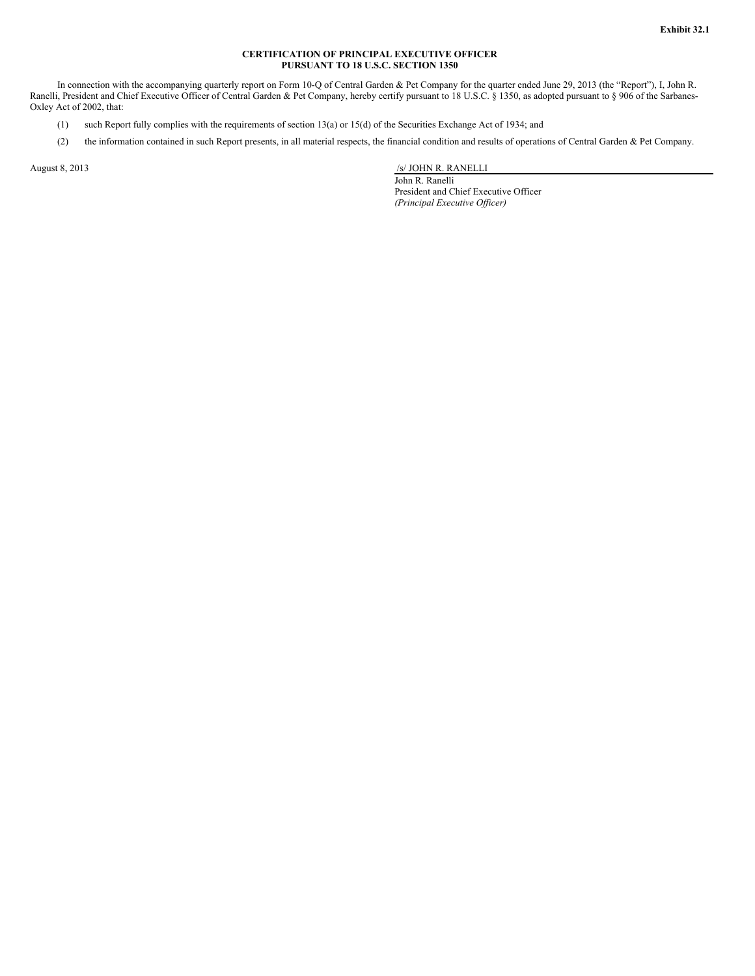# **CERTIFICATION OF PRINCIPAL EXECUTIVE OFFICER PURSUANT TO 18 U.S.C. SECTION 1350**

In connection with the accompanying quarterly report on Form 10-Q of Central Garden & Pet Company for the quarter ended June 29, 2013 (the "Report"), I, John R. Ranelli, President and Chief Executive Officer of Central Garden & Pet Company, hereby certify pursuant to 18 U.S.C. § 1350, as adopted pursuant to § 906 of the Sarbanes-Oxley Act of 2002, that:

- (1) such Report fully complies with the requirements of section 13(a) or 15(d) of the Securities Exchange Act of 1934; and
- (2) the information contained in such Report presents, in all material respects, the financial condition and results of operations of Central Garden & Pet Company.

August 8, 2013 *S/ JOHN R. RANELLI* 

John R. Ranelli President and Chief Executive Officer *(Principal Executive Of icer)*